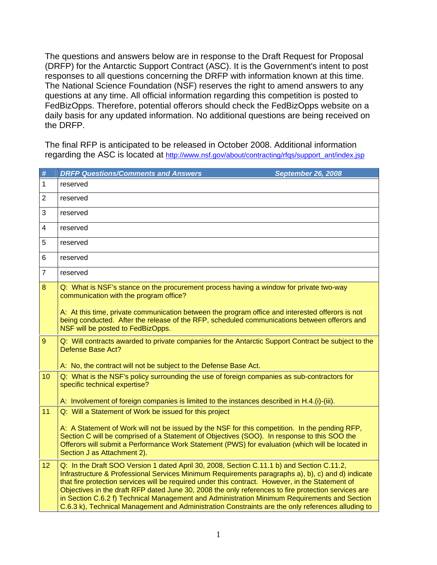The questions and answers below are in response to the Draft Request for Proposal (DRFP) for the Antarctic Support Contract (ASC). It is the Government's intent to post responses to all questions concerning the DRFP with information known at this time. The National Science Foundation (NSF) reserves the right to amend answers to any questions at any time. All official information regarding this competition is posted to FedBizOpps. Therefore, potential offerors should check the FedBizOpps website on a daily basis for any updated information. No additional questions are being received on the DRFP.

The final RFP is anticipated to be released in October 2008. Additional information regarding the ASC is located at http://www.nsf.gov/about/contracting/rfqs/support\_ant/index.jsp

| $\#$           | <b>DRFP Questions/Comments and Answers</b>                                                                                                                                                                                                                                                                                                                                                                                                                                                                                                                                                                     | <b>September 26, 2008</b> |
|----------------|----------------------------------------------------------------------------------------------------------------------------------------------------------------------------------------------------------------------------------------------------------------------------------------------------------------------------------------------------------------------------------------------------------------------------------------------------------------------------------------------------------------------------------------------------------------------------------------------------------------|---------------------------|
| $\mathbf{1}$   | reserved                                                                                                                                                                                                                                                                                                                                                                                                                                                                                                                                                                                                       |                           |
| $\overline{2}$ | reserved                                                                                                                                                                                                                                                                                                                                                                                                                                                                                                                                                                                                       |                           |
| 3              | reserved                                                                                                                                                                                                                                                                                                                                                                                                                                                                                                                                                                                                       |                           |
| $\overline{4}$ | reserved                                                                                                                                                                                                                                                                                                                                                                                                                                                                                                                                                                                                       |                           |
| 5              | reserved                                                                                                                                                                                                                                                                                                                                                                                                                                                                                                                                                                                                       |                           |
| 6              | reserved                                                                                                                                                                                                                                                                                                                                                                                                                                                                                                                                                                                                       |                           |
| $\overline{7}$ | reserved                                                                                                                                                                                                                                                                                                                                                                                                                                                                                                                                                                                                       |                           |
| 8              | Q: What is NSF's stance on the procurement process having a window for private two-way<br>communication with the program office?                                                                                                                                                                                                                                                                                                                                                                                                                                                                               |                           |
|                | A: At this time, private communication between the program office and interested offerors is not<br>being conducted. After the release of the RFP, scheduled communications between offerors and<br>NSF will be posted to FedBizOpps.                                                                                                                                                                                                                                                                                                                                                                          |                           |
| $\overline{9}$ | Q: Will contracts awarded to private companies for the Antarctic Support Contract be subject to the<br><b>Defense Base Act?</b>                                                                                                                                                                                                                                                                                                                                                                                                                                                                                |                           |
|                | A: No, the contract will not be subject to the Defense Base Act.                                                                                                                                                                                                                                                                                                                                                                                                                                                                                                                                               |                           |
| 10             | Q: What is the NSF's policy surrounding the use of foreign companies as sub-contractors for<br>specific technical expertise?                                                                                                                                                                                                                                                                                                                                                                                                                                                                                   |                           |
|                | A: Involvement of foreign companies is limited to the instances described in H.4.(i)-(iii).                                                                                                                                                                                                                                                                                                                                                                                                                                                                                                                    |                           |
| 11             | Q: Will a Statement of Work be issued for this project                                                                                                                                                                                                                                                                                                                                                                                                                                                                                                                                                         |                           |
|                | A: A Statement of Work will not be issued by the NSF for this competition. In the pending RFP,<br>Section C will be comprised of a Statement of Objectives (SOO). In response to this SOO the<br>Offerors will submit a Performance Work Statement (PWS) for evaluation (which will be located in<br>Section J as Attachment 2).                                                                                                                                                                                                                                                                               |                           |
| 12             | Q: In the Draft SOO Version 1 dated April 30, 2008, Section C.11.1 b) and Section C.11.2,<br>Infrastructure & Professional Services Minimum Requirements paragraphs a), b), c) and d) indicate<br>that fire protection services will be required under this contract. However, in the Statement of<br>Objectives in the draft RFP dated June 30, 2008 the only references to fire protection services are<br>in Section C.6.2 f) Technical Management and Administration Minimum Requirements and Section<br>C.6.3 k), Technical Management and Administration Constraints are the only references alluding to |                           |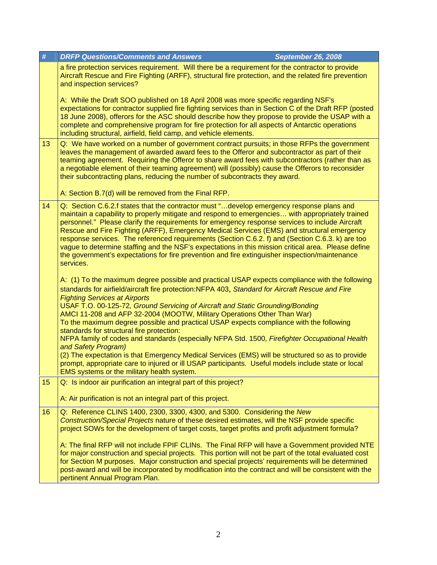| # |    | <b>DRFP Questions/Comments and Answers</b><br><b>September 26, 2008</b>                                                                                                                                                                                                                                                                                                                                                                                                                                                                                                                                                                                                                                                                                                                                                                                                                                                         |
|---|----|---------------------------------------------------------------------------------------------------------------------------------------------------------------------------------------------------------------------------------------------------------------------------------------------------------------------------------------------------------------------------------------------------------------------------------------------------------------------------------------------------------------------------------------------------------------------------------------------------------------------------------------------------------------------------------------------------------------------------------------------------------------------------------------------------------------------------------------------------------------------------------------------------------------------------------|
|   |    | a fire protection services requirement. Will there be a requirement for the contractor to provide<br>Aircraft Rescue and Fire Fighting (ARFF), structural fire protection, and the related fire prevention<br>and inspection services?                                                                                                                                                                                                                                                                                                                                                                                                                                                                                                                                                                                                                                                                                          |
|   |    | A: While the Draft SOO published on 18 April 2008 was more specific regarding NSF's<br>expectations for contractor supplied fire fighting services than in Section C of the Draft RFP (posted<br>18 June 2008), offerors for the ASC should describe how they propose to provide the USAP with a<br>complete and comprehensive program for fire protection for all aspects of Antarctic operations<br>including structural, airfield, field camp, and vehicle elements.                                                                                                                                                                                                                                                                                                                                                                                                                                                         |
|   | 13 | Q: We have worked on a number of government contract pursuits; in those RFPs the government<br>leaves the management of awarded award fees to the Offeror and subcontractor as part of their<br>teaming agreement. Requiring the Offeror to share award fees with subcontractors (rather than as<br>a negotiable element of their teaming agreement) will (possibly) cause the Offerors to reconsider<br>their subcontracting plans, reducing the number of subcontracts they award.<br>A: Section B.7(d) will be removed from the Final RFP.                                                                                                                                                                                                                                                                                                                                                                                   |
|   | 14 | Q: Section C.6.2.f states that the contractor must "develop emergency response plans and<br>maintain a capability to properly mitigate and respond to emergencies with appropriately trained<br>personnel." Please clarify the requirements for emergency response services to include Aircraft<br>Rescue and Fire Fighting (ARFF), Emergency Medical Services (EMS) and structural emergency<br>response services. The referenced requirements (Section C.6.2. f) and (Section C.6.3. k) are too<br>vague to determine staffing and the NSF's expectations in this mission critical area. Please define<br>the government's expectations for fire prevention and fire extinguisher inspection/maintenance<br>services.                                                                                                                                                                                                         |
|   |    | A: (1) To the maximum degree possible and practical USAP expects compliance with the following<br>standards for airfield/aircraft fire protection:NFPA 403, Standard for Aircraft Rescue and Fire<br><b>Fighting Services at Airports</b><br>USAF T.O. 00-125-72, Ground Servicing of Aircraft and Static Grounding/Bonding<br>AMCI 11-208 and AFP 32-2004 (MOOTW, Military Operations Other Than War)<br>To the maximum degree possible and practical USAP expects compliance with the following<br>standards for structural fire protection:<br>NFPA family of codes and standards (especially NFPA Std. 1500, Firefighter Occupational Health<br>and Safety Program)<br>(2) The expectation is that Emergency Medical Services (EMS) will be structured so as to provide<br>prompt, appropriate care to injured or ill USAP participants. Useful models include state or local<br>EMS systems or the military health system. |
|   | 15 | Q: Is indoor air purification an integral part of this project?<br>A: Air purification is not an integral part of this project.                                                                                                                                                                                                                                                                                                                                                                                                                                                                                                                                                                                                                                                                                                                                                                                                 |
|   | 16 | Q: Reference CLINS 1400, 2300, 3300, 4300, and 5300. Considering the New<br>Construction/Special Projects nature of these desired estimates, will the NSF provide specific<br>project SOWs for the development of target costs, target profits and profit adjustment formula?<br>A: The final RFP will not include FPIF CLINs. The Final RFP will have a Government provided NTE<br>for major construction and special projects. This portion will not be part of the total evaluated cost<br>for Section M purposes. Major construction and special projects' requirements will be determined<br>post-award and will be incorporated by modification into the contract and will be consistent with the                                                                                                                                                                                                                         |
|   |    | pertinent Annual Program Plan.                                                                                                                                                                                                                                                                                                                                                                                                                                                                                                                                                                                                                                                                                                                                                                                                                                                                                                  |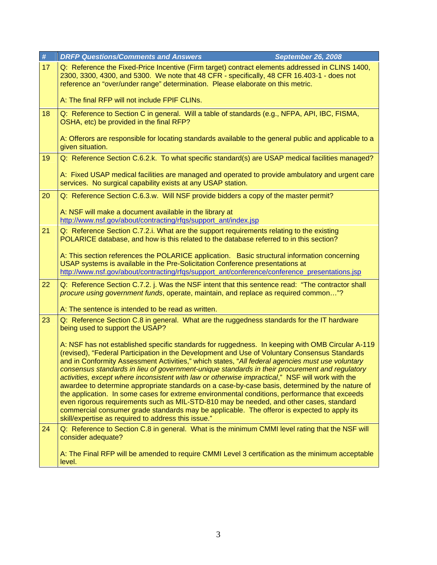| $\#$ | <b>DRFP Questions/Comments and Answers</b><br><b>September 26, 2008</b>                                                                                                                                                                                                                                                                                                                                                                                                                                                                                                                                                                                                                                                                                                                                                                                                                                                                                          |
|------|------------------------------------------------------------------------------------------------------------------------------------------------------------------------------------------------------------------------------------------------------------------------------------------------------------------------------------------------------------------------------------------------------------------------------------------------------------------------------------------------------------------------------------------------------------------------------------------------------------------------------------------------------------------------------------------------------------------------------------------------------------------------------------------------------------------------------------------------------------------------------------------------------------------------------------------------------------------|
| 17   | Q: Reference the Fixed-Price Incentive (Firm target) contract elements addressed in CLINS 1400,<br>2300, 3300, 4300, and 5300. We note that 48 CFR - specifically, 48 CFR 16.403-1 - does not<br>reference an "over/under range" determination. Please elaborate on this metric.                                                                                                                                                                                                                                                                                                                                                                                                                                                                                                                                                                                                                                                                                 |
|      | A: The final RFP will not include FPIF CLINs.                                                                                                                                                                                                                                                                                                                                                                                                                                                                                                                                                                                                                                                                                                                                                                                                                                                                                                                    |
| 18   | Q: Reference to Section C in general. Will a table of standards (e.g., NFPA, API, IBC, FISMA,<br>OSHA, etc) be provided in the final RFP?                                                                                                                                                                                                                                                                                                                                                                                                                                                                                                                                                                                                                                                                                                                                                                                                                        |
|      | A: Offerors are responsible for locating standards available to the general public and applicable to a<br>given situation.                                                                                                                                                                                                                                                                                                                                                                                                                                                                                                                                                                                                                                                                                                                                                                                                                                       |
| 19   | Q: Reference Section C.6.2.k. To what specific standard(s) are USAP medical facilities managed?                                                                                                                                                                                                                                                                                                                                                                                                                                                                                                                                                                                                                                                                                                                                                                                                                                                                  |
|      | A: Fixed USAP medical facilities are managed and operated to provide ambulatory and urgent care<br>services. No surgical capability exists at any USAP station.                                                                                                                                                                                                                                                                                                                                                                                                                                                                                                                                                                                                                                                                                                                                                                                                  |
| 20   | Q: Reference Section C.6.3.w. Will NSF provide bidders a copy of the master permit?                                                                                                                                                                                                                                                                                                                                                                                                                                                                                                                                                                                                                                                                                                                                                                                                                                                                              |
|      | A: NSF will make a document available in the library at<br>http://www.nsf.gov/about/contracting/rfqs/support_ant/index.jsp                                                                                                                                                                                                                                                                                                                                                                                                                                                                                                                                                                                                                                                                                                                                                                                                                                       |
| 21   | Q: Reference Section C.7.2.i. What are the support requirements relating to the existing<br>POLARICE database, and how is this related to the database referred to in this section?                                                                                                                                                                                                                                                                                                                                                                                                                                                                                                                                                                                                                                                                                                                                                                              |
|      | A: This section references the POLARICE application. Basic structural information concerning<br>USAP systems is available in the Pre-Solicitation Conference presentations at<br>http://www.nsf.gov/about/contracting/rfqs/support_ant/conference/conference_presentations.jsp                                                                                                                                                                                                                                                                                                                                                                                                                                                                                                                                                                                                                                                                                   |
| 22   | Q: Reference Section C.7.2. j. Was the NSF intent that this sentence read: "The contractor shall<br>procure using government funds, operate, maintain, and replace as required common"?                                                                                                                                                                                                                                                                                                                                                                                                                                                                                                                                                                                                                                                                                                                                                                          |
|      | A: The sentence is intended to be read as written.                                                                                                                                                                                                                                                                                                                                                                                                                                                                                                                                                                                                                                                                                                                                                                                                                                                                                                               |
| 23   | Q: Reference Section C.8 in general. What are the ruggedness standards for the IT hardware<br>being used to support the USAP?                                                                                                                                                                                                                                                                                                                                                                                                                                                                                                                                                                                                                                                                                                                                                                                                                                    |
|      | A: NSF has not established specific standards for ruggedness. In keeping with OMB Circular A-119<br>(revised), "Federal Participation in the Development and Use of Voluntary Consensus Standards<br>and in Conformity Assessment Activities," which states, "All federal agencies must use voluntary<br>consensus standards in lieu of government-unique standards in their procurement and regulatory<br>activities, except where inconsistent with law or otherwise impractical," NSF will work with the<br>awardee to determine appropriate standards on a case-by-case basis, determined by the nature of<br>the application. In some cases for extreme environmental conditions, performance that exceeds<br>even rigorous requirements such as MIL-STD-810 may be needed, and other cases, standard<br>commercial consumer grade standards may be applicable. The offeror is expected to apply its<br>skill/expertise as required to address this issue." |
| 24   | Q: Reference to Section C.8 in general. What is the minimum CMMI level rating that the NSF will<br>consider adequate?                                                                                                                                                                                                                                                                                                                                                                                                                                                                                                                                                                                                                                                                                                                                                                                                                                            |
|      | A: The Final RFP will be amended to require CMMI Level 3 certification as the minimum acceptable<br>level.                                                                                                                                                                                                                                                                                                                                                                                                                                                                                                                                                                                                                                                                                                                                                                                                                                                       |
|      |                                                                                                                                                                                                                                                                                                                                                                                                                                                                                                                                                                                                                                                                                                                                                                                                                                                                                                                                                                  |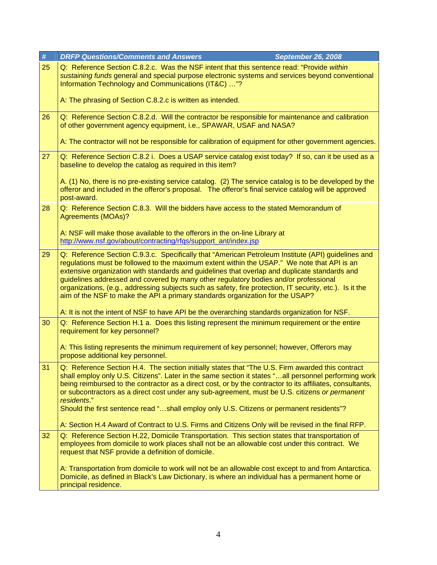| $\#$ | <b>DRFP Questions/Comments and Answers</b><br><b>September 26, 2008</b>                                                                                                                                                                                                                                                                                                                                                                                                                                                                                                                                                                                                                  |
|------|------------------------------------------------------------------------------------------------------------------------------------------------------------------------------------------------------------------------------------------------------------------------------------------------------------------------------------------------------------------------------------------------------------------------------------------------------------------------------------------------------------------------------------------------------------------------------------------------------------------------------------------------------------------------------------------|
| 25   | Q: Reference Section C.8.2.c. Was the NSF intent that this sentence read: "Provide within<br>sustaining funds general and special purpose electronic systems and services beyond conventional<br>Information Technology and Communications (IT&C) "?                                                                                                                                                                                                                                                                                                                                                                                                                                     |
|      | A: The phrasing of Section C.8.2.c is written as intended.                                                                                                                                                                                                                                                                                                                                                                                                                                                                                                                                                                                                                               |
| 26   | Q: Reference Section C.8.2.d. Will the contractor be responsible for maintenance and calibration<br>of other government agency equipment, i.e., SPAWAR, USAF and NASA?                                                                                                                                                                                                                                                                                                                                                                                                                                                                                                                   |
|      | A: The contractor will not be responsible for calibration of equipment for other government agencies.                                                                                                                                                                                                                                                                                                                                                                                                                                                                                                                                                                                    |
| 27   | Q: Reference Section C.8.2 i. Does a USAP service catalog exist today? If so, can it be used as a<br>baseline to develop the catalog as required in this item?                                                                                                                                                                                                                                                                                                                                                                                                                                                                                                                           |
|      | A. (1) No, there is no pre-existing service catalog. (2) The service catalog is to be developed by the<br>offeror and included in the offeror's proposal. The offeror's final service catalog will be approved<br>post-award.                                                                                                                                                                                                                                                                                                                                                                                                                                                            |
| 28   | Q: Reference Section C.8.3. Will the bidders have access to the stated Memorandum of<br><b>Agreements (MOAs)?</b>                                                                                                                                                                                                                                                                                                                                                                                                                                                                                                                                                                        |
|      | A: NSF will make those available to the offerors in the on-line Library at<br>http://www.nsf.gov/about/contracting/rfqs/support_ant/index.jsp                                                                                                                                                                                                                                                                                                                                                                                                                                                                                                                                            |
| 29   | Q: Reference Section C.9.3.c. Specifically that "American Petroleum Institute (API) guidelines and<br>regulations must be followed to the maximum extent within the USAP." We note that API is an<br>extensive organization with standards and guidelines that overlap and duplicate standards and<br>guidelines addressed and covered by many other regulatory bodies and/or professional<br>organizations, (e.g., addressing subjects such as safety, fire protection, IT security, etc.). Is it the<br>aim of the NSF to make the API a primary standards organization for the USAP?<br>A: It is not the intent of NSF to have API be the overarching standards organization for NSF. |
| 30   | Q: Reference Section H.1 a. Does this listing represent the minimum requirement or the entire                                                                                                                                                                                                                                                                                                                                                                                                                                                                                                                                                                                            |
|      | requirement for key personnel?                                                                                                                                                                                                                                                                                                                                                                                                                                                                                                                                                                                                                                                           |
|      | A: This listing represents the minimum requirement of key personnel; however, Offerors may<br>propose additional key personnel.                                                                                                                                                                                                                                                                                                                                                                                                                                                                                                                                                          |
| 31   | Q: Reference Section H.4. The section initially states that "The U.S. Firm awarded this contract<br>shall employ only U.S. Citizens". Later in the same section it states "all personnel performing work<br>being reimbursed to the contractor as a direct cost, or by the contractor to its affiliates, consultants,<br>or subcontractors as a direct cost under any sub-agreement, must be U.S. citizens or permanent<br>residents."<br>Should the first sentence read "shall employ only U.S. Citizens or permanent residents"?                                                                                                                                                       |
|      | A: Section H.4 Award of Contract to U.S. Firms and Citizens Only will be revised in the final RFP.                                                                                                                                                                                                                                                                                                                                                                                                                                                                                                                                                                                       |
| 32   | Q: Reference Section H.22, Domicile Transportation. This section states that transportation of<br>employees from domicile to work places shall not be an allowable cost under this contract. We<br>request that NSF provide a definition of domicile.                                                                                                                                                                                                                                                                                                                                                                                                                                    |
|      | A: Transportation from domicile to work will not be an allowable cost except to and from Antarctica.<br>Domicile, as defined in Black's Law Dictionary, is where an individual has a permanent home or<br>principal residence.                                                                                                                                                                                                                                                                                                                                                                                                                                                           |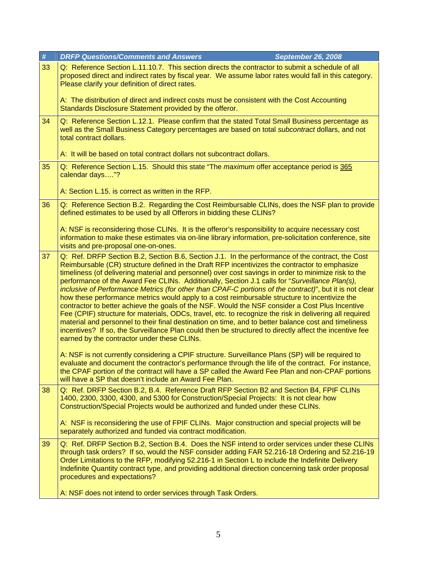| $\#$ | <b>DRFP Questions/Comments and Answers</b><br><b>September 26, 2008</b>                                                                                                                                                                                                                                                                                                                                                                                                                                                                                                                                                                                                                                                                                                                                                                                                                                                                                                                                                                                                                                |
|------|--------------------------------------------------------------------------------------------------------------------------------------------------------------------------------------------------------------------------------------------------------------------------------------------------------------------------------------------------------------------------------------------------------------------------------------------------------------------------------------------------------------------------------------------------------------------------------------------------------------------------------------------------------------------------------------------------------------------------------------------------------------------------------------------------------------------------------------------------------------------------------------------------------------------------------------------------------------------------------------------------------------------------------------------------------------------------------------------------------|
| 33   | Q: Reference Section L.11.10.7. This section directs the contractor to submit a schedule of all<br>proposed direct and indirect rates by fiscal year. We assume labor rates would fall in this category.<br>Please clarify your definition of direct rates.                                                                                                                                                                                                                                                                                                                                                                                                                                                                                                                                                                                                                                                                                                                                                                                                                                            |
|      | A: The distribution of direct and indirect costs must be consistent with the Cost Accounting<br>Standards Disclosure Statement provided by the offeror.                                                                                                                                                                                                                                                                                                                                                                                                                                                                                                                                                                                                                                                                                                                                                                                                                                                                                                                                                |
| 34   | Q: Reference Section L.12.1. Please confirm that the stated Total Small Business percentage as<br>well as the Small Business Category percentages are based on total <i>subcontract</i> dollars, and not<br>total contract dollars.                                                                                                                                                                                                                                                                                                                                                                                                                                                                                                                                                                                                                                                                                                                                                                                                                                                                    |
|      | A: It will be based on total contract dollars not subcontract dollars.                                                                                                                                                                                                                                                                                                                                                                                                                                                                                                                                                                                                                                                                                                                                                                                                                                                                                                                                                                                                                                 |
| 35   | Q: Reference Section L.15. Should this state "The maximum offer acceptance period is 365<br>calendar days"?                                                                                                                                                                                                                                                                                                                                                                                                                                                                                                                                                                                                                                                                                                                                                                                                                                                                                                                                                                                            |
|      | A: Section L.15. is correct as written in the RFP.                                                                                                                                                                                                                                                                                                                                                                                                                                                                                                                                                                                                                                                                                                                                                                                                                                                                                                                                                                                                                                                     |
| 36   | Q: Reference Section B.2. Regarding the Cost Reimbursable CLINs, does the NSF plan to provide<br>defined estimates to be used by all Offerors in bidding these CLINs?                                                                                                                                                                                                                                                                                                                                                                                                                                                                                                                                                                                                                                                                                                                                                                                                                                                                                                                                  |
|      | A: NSF is reconsidering those CLINs. It is the offeror's responsibility to acquire necessary cost<br>information to make these estimates via on-line library information, pre-solicitation conference, site<br>visits and pre-proposal one-on-ones.                                                                                                                                                                                                                                                                                                                                                                                                                                                                                                                                                                                                                                                                                                                                                                                                                                                    |
| 37   | Q: Ref. DRFP Section B.2, Section B.6, Section J.1. In the performance of the contract, the Cost<br>Reimbursable (CR) structure defined in the Draft RFP incentivizes the contractor to emphasize<br>timeliness (of delivering material and personnel) over cost savings in order to minimize risk to the<br>performance of the Award Fee CLINs. Additionally, Section J.1 calls for "Surveillance Plan(s),<br>inclusive of Performance Metrics (for other than CPAF-C portions of the contract)", but it is not clear<br>how these performance metrics would apply to a cost reimbursable structure to incentivize the<br>contractor to better achieve the goals of the NSF. Would the NSF consider a Cost Plus Incentive<br>Fee (CPIF) structure for materials, ODCs, travel, etc. to recognize the risk in delivering all required<br>material and personnel to their final destination on time, and to better balance cost and timeliness<br>incentives? If so, the Surveillance Plan could then be structured to directly affect the incentive fee<br>earned by the contractor under these CLINs. |
|      | A: NSF is not currently considering a CPIF structure. Surveillance Plans (SP) will be required to<br>evaluate and document the contractor's performance through the life of the contract. For instance,<br>the CPAF portion of the contract will have a SP called the Award Fee Plan and non-CPAF portions<br>will have a SP that doesn't include an Award Fee Plan.                                                                                                                                                                                                                                                                                                                                                                                                                                                                                                                                                                                                                                                                                                                                   |
| 38   | Q: Ref. DRFP Section B.2, B.4. Reference Draft RFP Section B2 and Section B4, FPIF CLINs<br>1400, 2300, 3300, 4300, and 5300 for Construction/Special Projects: It is not clear how<br>Construction/Special Projects would be authorized and funded under these CLINs.                                                                                                                                                                                                                                                                                                                                                                                                                                                                                                                                                                                                                                                                                                                                                                                                                                 |
|      | A: NSF is reconsidering the use of FPIF CLINs. Major construction and special projects will be<br>separately authorized and funded via contract modification.                                                                                                                                                                                                                                                                                                                                                                                                                                                                                                                                                                                                                                                                                                                                                                                                                                                                                                                                          |
| 39   | Q: Ref. DRFP Section B.2, Section B.4. Does the NSF intend to order services under these CLINs<br>through task orders? If so, would the NSF consider adding FAR 52.216-18 Ordering and 52.216-19<br>Order Limitations to the RFP, modifying 52.216-1 in Section L to include the Indefinite Delivery<br>Indefinite Quantity contract type, and providing additional direction concerning task order proposal<br>procedures and expectations?                                                                                                                                                                                                                                                                                                                                                                                                                                                                                                                                                                                                                                                           |
|      | A: NSF does not intend to order services through Task Orders.                                                                                                                                                                                                                                                                                                                                                                                                                                                                                                                                                                                                                                                                                                                                                                                                                                                                                                                                                                                                                                          |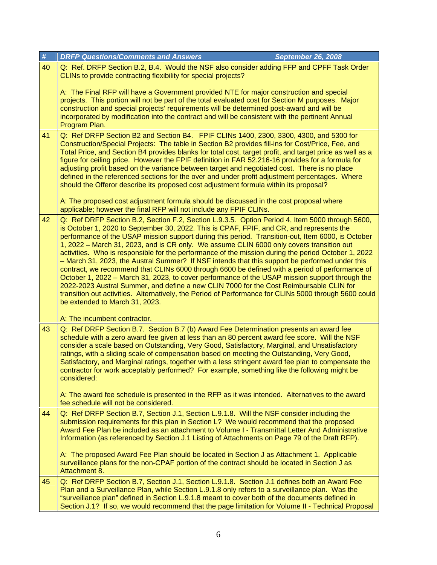| $\pmb{\#}$ | <b>September 26, 2008</b><br><b>DRFP Questions/Comments and Answers</b>                                                                                                                                                                                                                                                                                                                                                                                                                                                                                                                                                                                                                                                                                                                                                                                                                                                                                                                                                                         |
|------------|-------------------------------------------------------------------------------------------------------------------------------------------------------------------------------------------------------------------------------------------------------------------------------------------------------------------------------------------------------------------------------------------------------------------------------------------------------------------------------------------------------------------------------------------------------------------------------------------------------------------------------------------------------------------------------------------------------------------------------------------------------------------------------------------------------------------------------------------------------------------------------------------------------------------------------------------------------------------------------------------------------------------------------------------------|
| 40         | Q: Ref. DRFP Section B.2, B.4. Would the NSF also consider adding FFP and CPFF Task Order<br>CLINs to provide contracting flexibility for special projects?                                                                                                                                                                                                                                                                                                                                                                                                                                                                                                                                                                                                                                                                                                                                                                                                                                                                                     |
|            | A: The Final RFP will have a Government provided NTE for major construction and special<br>projects. This portion will not be part of the total evaluated cost for Section M purposes. Major<br>construction and special projects' requirements will be determined post-award and will be<br>incorporated by modification into the contract and will be consistent with the pertinent Annual<br>Program Plan.                                                                                                                                                                                                                                                                                                                                                                                                                                                                                                                                                                                                                                   |
| 41         | Q: Ref DRFP Section B2 and Section B4. FPIF CLINs 1400, 2300, 3300, 4300, and 5300 for<br>Construction/Special Projects: The table in Section B2 provides fill-ins for Cost/Price, Fee, and<br>Total Price, and Section B4 provides blanks for total cost, target profit, and target price as well as a<br>figure for ceiling price. However the FPIF definition in FAR 52.216-16 provides for a formula for<br>adjusting profit based on the variance between target and negotiated cost. There is no place<br>defined in the referenced sections for the over and under profit adjustment percentages. Where<br>should the Offeror describe its proposed cost adjustment formula within its proposal?                                                                                                                                                                                                                                                                                                                                         |
|            | A: The proposed cost adjustment formula should be discussed in the cost proposal where<br>applicable; however the final RFP will not include any FPIF CLINs.                                                                                                                                                                                                                                                                                                                                                                                                                                                                                                                                                                                                                                                                                                                                                                                                                                                                                    |
| 42         | Q: Ref DRFP Section B.2, Section F.2, Section L.9.3.5. Option Period 4, Item 5000 through 5600,<br>is October 1, 2020 to September 30, 2022. This is CPAF, FPIF, and CR, and represents the<br>performance of the USAP mission support during this period. Transition-out, Item 6000, is October<br>1, 2022 – March 31, 2023, and is CR only. We assume CLIN 6000 only covers transition out<br>activities. Who is responsible for the performance of the mission during the period October 1, 2022<br>- March 31, 2023, the Austral Summer? If NSF intends that this support be performed under this<br>contract, we recommend that CLINs 6000 through 6600 be defined with a period of performance of<br>October 1, 2022 – March 31, 2023, to cover performance of the USAP mission support through the<br>2022-2023 Austral Summer, and define a new CLIN 7000 for the Cost Reimbursable CLIN for<br>transition out activities. Alternatively, the Period of Performance for CLINs 5000 through 5600 could<br>be extended to March 31, 2023. |
|            | A: The incumbent contractor.                                                                                                                                                                                                                                                                                                                                                                                                                                                                                                                                                                                                                                                                                                                                                                                                                                                                                                                                                                                                                    |
| 43         | Q: Ref DRFP Section B.7. Section B.7 (b) Award Fee Determination presents an award fee<br>schedule with a zero award fee given at less than an 80 percent award fee score. Will the NSF<br>consider a scale based on Outstanding, Very Good, Satisfactory, Marginal, and Unsatisfactory<br>ratings, with a sliding scale of compensation based on meeting the Outstanding, Very Good,<br>Satisfactory, and Marginal ratings, together with a less stringent award fee plan to compensate the<br>contractor for work acceptably performed? For example, something like the following might be<br>considered:                                                                                                                                                                                                                                                                                                                                                                                                                                     |
|            | A: The award fee schedule is presented in the RFP as it was intended. Alternatives to the award<br>fee schedule will not be considered.                                                                                                                                                                                                                                                                                                                                                                                                                                                                                                                                                                                                                                                                                                                                                                                                                                                                                                         |
| 44         | Q: Ref DRFP Section B.7, Section J.1, Section L.9.1.8. Will the NSF consider including the<br>submission requirements for this plan in Section L? We would recommend that the proposed<br>Award Fee Plan be included as an attachment to Volume I - Transmittal Letter And Administrative<br>Information (as referenced by Section J.1 Listing of Attachments on Page 79 of the Draft RFP).<br>A: The proposed Award Fee Plan should be located in Section J as Attachment 1. Applicable<br>surveillance plans for the non-CPAF portion of the contract should be located in Section J as                                                                                                                                                                                                                                                                                                                                                                                                                                                       |
| 45         | Attachment 8.<br>Q: Ref DRFP Section B.7, Section J.1, Section L.9.1.8. Section J.1 defines both an Award Fee<br>Plan and a Surveillance Plan, while Section L.9.1.8 only refers to a surveillance plan. Was the<br>"surveillance plan" defined in Section L.9.1.8 meant to cover both of the documents defined in<br>Section J.1? If so, we would recommend that the page limitation for Volume II - Technical Proposal                                                                                                                                                                                                                                                                                                                                                                                                                                                                                                                                                                                                                        |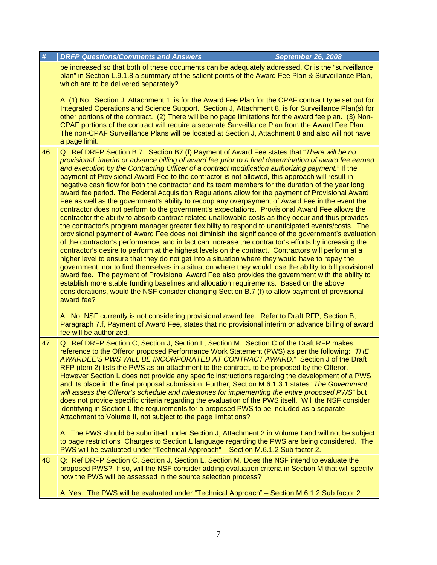| $\#$ | <b>DRFP Questions/Comments and Answers</b><br><b>September 26, 2008</b>                                                                                                                                                                                                                                                                                                                                                                                                                                                                                                                                                                                                                                                                                                                                                                                                                                                                                                                                                                                                                                                                                                                                                                                                                                                                                                                                                                                                                                                                                                                                                                                                                                                                                                                                                                                                                    |
|------|--------------------------------------------------------------------------------------------------------------------------------------------------------------------------------------------------------------------------------------------------------------------------------------------------------------------------------------------------------------------------------------------------------------------------------------------------------------------------------------------------------------------------------------------------------------------------------------------------------------------------------------------------------------------------------------------------------------------------------------------------------------------------------------------------------------------------------------------------------------------------------------------------------------------------------------------------------------------------------------------------------------------------------------------------------------------------------------------------------------------------------------------------------------------------------------------------------------------------------------------------------------------------------------------------------------------------------------------------------------------------------------------------------------------------------------------------------------------------------------------------------------------------------------------------------------------------------------------------------------------------------------------------------------------------------------------------------------------------------------------------------------------------------------------------------------------------------------------------------------------------------------------|
|      | be increased so that both of these documents can be adequately addressed. Or is the "surveillance<br>plan" in Section L.9.1.8 a summary of the salient points of the Award Fee Plan & Surveillance Plan,<br>which are to be delivered separately?                                                                                                                                                                                                                                                                                                                                                                                                                                                                                                                                                                                                                                                                                                                                                                                                                                                                                                                                                                                                                                                                                                                                                                                                                                                                                                                                                                                                                                                                                                                                                                                                                                          |
|      | A: (1) No. Section J, Attachment 1, is for the Award Fee Plan for the CPAF contract type set out for<br>Integrated Operations and Science Support. Section J, Attachment 8, is for Surveillance Plan(s) for<br>other portions of the contract. (2) There will be no page limitations for the award fee plan. (3) Non-<br>CPAF portions of the contract will require a separate Surveillance Plan from the Award Fee Plan.<br>The non-CPAF Surveillance Plans will be located at Section J, Attachment 8 and also will not have<br>a page limit.                                                                                                                                                                                                                                                                                                                                                                                                                                                                                                                                                                                                                                                                                                                                                                                                                                                                                                                                                                                                                                                                                                                                                                                                                                                                                                                                            |
| 46   | Q: Ref DRFP Section B.7. Section B7 (f) Payment of Award Fee states that "There will be no<br>provisional, interim or advance billing of award fee prior to a final determination of award fee earned<br>and execution by the Contracting Officer of a contract modification authorizing payment." If the<br>payment of Provisional Award Fee to the contractor is not allowed, this approach will result in<br>negative cash flow for both the contractor and its team members for the duration of the year long<br>award fee period. The Federal Acquisition Regulations allow for the payment of Provisional Award<br>Fee as well as the government's ability to recoup any overpayment of Award Fee in the event the<br>contractor does not perform to the government's expectations. Provisional Award Fee allows the<br>contractor the ability to absorb contract related unallowable costs as they occur and thus provides<br>the contractor's program manager greater flexibility to respond to unanticipated events/costs. The<br>provisional payment of Award Fee does not diminish the significance of the government's evaluation<br>of the contractor's performance, and in fact can increase the contractor's efforts by increasing the<br>contractor's desire to perform at the highest levels on the contract. Contractors will perform at a<br>higher level to ensure that they do not get into a situation where they would have to repay the<br>government, nor to find themselves in a situation where they would lose the ability to bill provisional<br>award fee. The payment of Provisional Award Fee also provides the government with the ability to<br>establish more stable funding baselines and allocation requirements. Based on the above<br>considerations, would the NSF consider changing Section B.7 (f) to allow payment of provisional<br>award fee? |
|      | A: No. NSF currently is not considering provisional award fee. Refer to Draft RFP, Section B,<br>Paragraph 7.f, Payment of Award Fee, states that no provisional interim or advance billing of award<br>fee will be authorized.                                                                                                                                                                                                                                                                                                                                                                                                                                                                                                                                                                                                                                                                                                                                                                                                                                                                                                                                                                                                                                                                                                                                                                                                                                                                                                                                                                                                                                                                                                                                                                                                                                                            |
| 47   | Q: Ref DRFP Section C, Section J, Section L; Section M. Section C of the Draft RFP makes<br>reference to the Offeror proposed Performance Work Statement (PWS) as per the following: "THE<br>AWARDEE'S PWS WILL BE INCORPORATED AT CONTRACT AWARD." Section J of the Draft<br>RFP (item 2) lists the PWS as an attachment to the contract, to be proposed by the Offeror.<br>However Section L does not provide any specific instructions regarding the development of a PWS<br>and its place in the final proposal submission. Further, Section M.6.1.3.1 states "The Government<br>will assess the Offeror's schedule and milestones for implementing the entire proposed PWS" but<br>does not provide specific criteria regarding the evaluation of the PWS itself. Will the NSF consider<br>identifying in Section L the requirements for a proposed PWS to be included as a separate<br>Attachment to Volume II, not subject to the page limitations?                                                                                                                                                                                                                                                                                                                                                                                                                                                                                                                                                                                                                                                                                                                                                                                                                                                                                                                                 |
|      | A: The PWS should be submitted under Section J, Attachment 2 in Volume I and will not be subject<br>to page restrictions Changes to Section L language regarding the PWS are being considered. The<br>PWS will be evaluated under "Technical Approach" - Section M.6.1.2 Sub factor 2.                                                                                                                                                                                                                                                                                                                                                                                                                                                                                                                                                                                                                                                                                                                                                                                                                                                                                                                                                                                                                                                                                                                                                                                                                                                                                                                                                                                                                                                                                                                                                                                                     |
| 48   | Q: Ref DRFP Section C, Section J, Section L, Section M. Does the NSF intend to evaluate the<br>proposed PWS? If so, will the NSF consider adding evaluation criteria in Section M that will specify<br>how the PWS will be assessed in the source selection process?                                                                                                                                                                                                                                                                                                                                                                                                                                                                                                                                                                                                                                                                                                                                                                                                                                                                                                                                                                                                                                                                                                                                                                                                                                                                                                                                                                                                                                                                                                                                                                                                                       |
|      | A: Yes. The PWS will be evaluated under "Technical Approach" - Section M.6.1.2 Sub factor 2                                                                                                                                                                                                                                                                                                                                                                                                                                                                                                                                                                                                                                                                                                                                                                                                                                                                                                                                                                                                                                                                                                                                                                                                                                                                                                                                                                                                                                                                                                                                                                                                                                                                                                                                                                                                |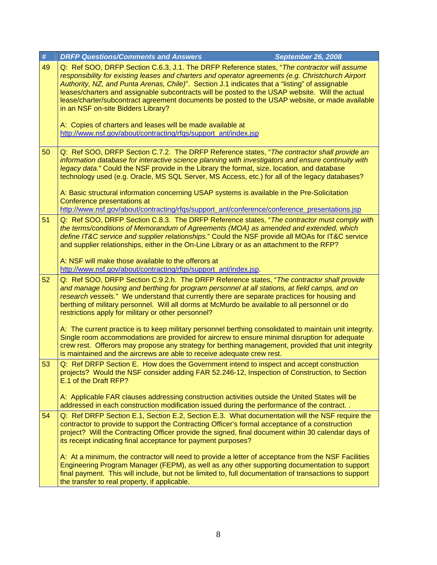| #  | <b>DRFP Questions/Comments and Answers</b><br><b>September 26, 2008</b>                                                                                                                                                                                                                                                                                                                                                                                                                                                                        |
|----|------------------------------------------------------------------------------------------------------------------------------------------------------------------------------------------------------------------------------------------------------------------------------------------------------------------------------------------------------------------------------------------------------------------------------------------------------------------------------------------------------------------------------------------------|
| 49 | Q: Ref SOO, DRFP Section C.6.3, J.1. The DRFP Reference states, "The contractor will assume<br>responsibility for existing leases and charters and operator agreements (e.g. Christchurch Airport<br>Authority, NZ, and Punta Arenas, Chile)". Section J.1 indicates that a "listing" of assignable<br>leases/charters and assignable subcontracts will be posted to the USAP website. Will the actual<br>lease/charter/subcontract agreement documents be posted to the USAP website, or made available<br>in an NSF on-site Bidders Library? |
|    | A: Copies of charters and leases will be made available at<br>http://www.nsf.gov/about/contracting/rfqs/support_ant/index.jsp                                                                                                                                                                                                                                                                                                                                                                                                                  |
| 50 | Q: Ref SOO, DRFP Section C.7.2. The DRFP Reference states, "The contractor shall provide an<br>information database for interactive science planning with investigators and ensure continuity with<br>legacy data." Could the NSF provide in the Library the format, size, location, and database<br>technology used (e.g. Oracle, MS SQL Server, MS Access, etc.) for all of the legacy databases?                                                                                                                                            |
|    | A: Basic structural information concerning USAP systems is available in the Pre-Solicitation<br>Conference presentations at<br>http://www.nsf.gov/about/contracting/rfgs/support_ant/conference/conference_presentations.jsp                                                                                                                                                                                                                                                                                                                   |
| 51 | Q: Ref SOO, DRFP Section C.8.3. The DRFP Reference states, "The contractor must comply with<br>the terms/conditions of Memorandum of Agreements (MOA) as amended and extended, which<br>define IT&C service and supplier relationships." Could the NSF provide all MOAs for IT&C service<br>and supplier relationships, either in the On-Line Library or as an attachment to the RFP?                                                                                                                                                          |
|    | A: NSF will make those available to the offerors at<br>http://www.nsf.gov/about/contracting/rfqs/support_ant/index.jsp.                                                                                                                                                                                                                                                                                                                                                                                                                        |
| 52 | Q: Ref SOO, DRFP Section C.9.2.h. The DRFP Reference states, "The contractor shall provide<br>and manage housing and berthing for program personnel at all stations, at field camps, and on<br>research vessels." We understand that currently there are separate practices for housing and<br>berthing of military personnel. Will all dorms at McMurdo be available to all personnel or do<br>restrictions apply for military or other personnel?                                                                                            |
|    | A: The current practice is to keep military personnel berthing consolidated to maintain unit integrity.<br>Single room accommodations are provided for aircrew to ensure minimal disruption for adequate<br>crew rest. Offerors may propose any strategy for berthing management, provided that unit integrity<br>is maintained and the aircrews are able to receive adequate crew rest.                                                                                                                                                       |
| 53 | Q: Ref DRFP Section E. How does the Government intend to inspect and accept construction<br>projects? Would the NSF consider adding FAR 52.246-12, Inspection of Construction, to Section<br>E.1 of the Draft RFP?                                                                                                                                                                                                                                                                                                                             |
|    | A: Applicable FAR clauses addressing construction activities outside the United States will be<br>addressed in each construction modification issued during the performance of the contract                                                                                                                                                                                                                                                                                                                                                    |
| 54 | Q: Ref DRFP Section E.1, Section E.2, Section E.3. What documentation will the NSF require the<br>contractor to provide to support the Contracting Officer's formal acceptance of a construction<br>project? Will the Contracting Officer provide the signed, final document within 30 calendar days of<br>its receipt indicating final acceptance for payment purposes?                                                                                                                                                                       |
|    | A: At a minimum, the contractor will need to provide a letter of acceptance from the NSF Facilities<br>Engineering Program Manager (FEPM), as well as any other supporting documentation to support<br>final payment. This will include, but not be limited to, full documentation of transactions to support<br>the transfer to real property, if applicable.                                                                                                                                                                                 |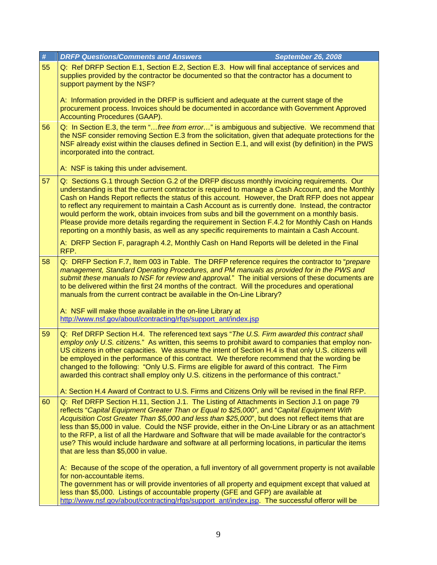| #  | <b>DRFP Questions/Comments and Answers</b><br><b>September 26, 2008</b>                                                                                                                                                                                                                                                                                                                                                                                                                                                                                                                                                                                                                                             |  |
|----|---------------------------------------------------------------------------------------------------------------------------------------------------------------------------------------------------------------------------------------------------------------------------------------------------------------------------------------------------------------------------------------------------------------------------------------------------------------------------------------------------------------------------------------------------------------------------------------------------------------------------------------------------------------------------------------------------------------------|--|
| 55 | Q: Ref DRFP Section E.1, Section E.2, Section E.3. How will final acceptance of services and<br>supplies provided by the contractor be documented so that the contractor has a document to<br>support payment by the NSF?                                                                                                                                                                                                                                                                                                                                                                                                                                                                                           |  |
|    | A: Information provided in the DRFP is sufficient and adequate at the current stage of the<br>procurement process. Invoices should be documented in accordance with Government Approved<br><b>Accounting Procedures (GAAP).</b>                                                                                                                                                                                                                                                                                                                                                                                                                                                                                     |  |
| 56 | Q: In Section E.3, the term "free from error" is ambiguous and subjective. We recommend that<br>the NSF consider removing Section E.3 from the solicitation, given that adequate protections for the<br>NSF already exist within the clauses defined in Section E.1, and will exist (by definition) in the PWS<br>incorporated into the contract.<br>A: NSF is taking this under advisement.                                                                                                                                                                                                                                                                                                                        |  |
| 57 | Q: Sections G.1 through Section G.2 of the DRFP discuss monthly invoicing requirements. Our<br>understanding is that the current contractor is required to manage a Cash Account, and the Monthly<br>Cash on Hands Report reflects the status of this account. However, the Draft RFP does not appear<br>to reflect any requirement to maintain a Cash Account as is currently done. Instead, the contractor<br>would perform the work, obtain invoices from subs and bill the government on a monthly basis.<br>Please provide more details regarding the requirement in Section F.4.2 for Monthly Cash on Hands<br>reporting on a monthly basis, as well as any specific requirements to maintain a Cash Account. |  |
|    | A: DRFP Section F, paragraph 4.2, Monthly Cash on Hand Reports will be deleted in the Final<br>RFP.                                                                                                                                                                                                                                                                                                                                                                                                                                                                                                                                                                                                                 |  |
| 58 | Q: DRFP Section F.7, Item 003 in Table. The DRFP reference requires the contractor to "prepare<br>management, Standard Operating Procedures, and PM manuals as provided for in the PWS and<br>submit these manuals to NSF for review and approval." The initial versions of these documents are<br>to be delivered within the first 24 months of the contract. Will the procedures and operational<br>manuals from the current contract be available in the On-Line Library?                                                                                                                                                                                                                                        |  |
|    | A: NSF will make those available in the on-line Library at<br>http://www.nsf.gov/about/contracting/rfqs/support_ant/index.jsp                                                                                                                                                                                                                                                                                                                                                                                                                                                                                                                                                                                       |  |
| 59 | Q: Ref DRFP Section H.4. The referenced text says "The U.S. Firm awarded this contract shall<br>employ only U.S. citizens." As written, this seems to prohibit award to companies that employ non-<br>US citizens in other capacities. We assume the intent of Section H.4 is that only U.S. citizens will<br>be employed in the performance of this contract. We therefore recommend that the wording be<br>changed to the following: "Only U.S. Firms are eligible for award of this contract. The Firm<br>awarded this contract shall employ only U.S. citizens in the performance of this contract."                                                                                                            |  |
|    | A: Section H.4 Award of Contract to U.S. Firms and Citizens Only will be revised in the final RFP.                                                                                                                                                                                                                                                                                                                                                                                                                                                                                                                                                                                                                  |  |
| 60 | Q: Ref DRFP Section H.11, Section J.1. The Listing of Attachments in Section J.1 on page 79<br>reflects "Capital Equipment Greater Than or Equal to \$25,000", and "Capital Equipment With<br>Acquisition Cost Greater Than \$5,000 and less than \$25,000", but does not reflect items that are<br>less than \$5,000 in value. Could the NSF provide, either in the On-Line Library or as an attachment<br>to the RFP, a list of all the Hardware and Software that will be made available for the contractor's<br>use? This would include hardware and software at all performing locations, in particular the items<br>that are less than \$5,000 in value.                                                      |  |
|    | A: Because of the scope of the operation, a full inventory of all government property is not available<br>for non-accountable items.<br>The government has or will provide inventories of all property and equipment except that valued at                                                                                                                                                                                                                                                                                                                                                                                                                                                                          |  |
|    | less than \$5,000. Listings of accountable property (GFE and GFP) are available at<br>http://www.nsf.gov/about/contracting/rfqs/support_ant/index.jsp. The successful offeror will be                                                                                                                                                                                                                                                                                                                                                                                                                                                                                                                               |  |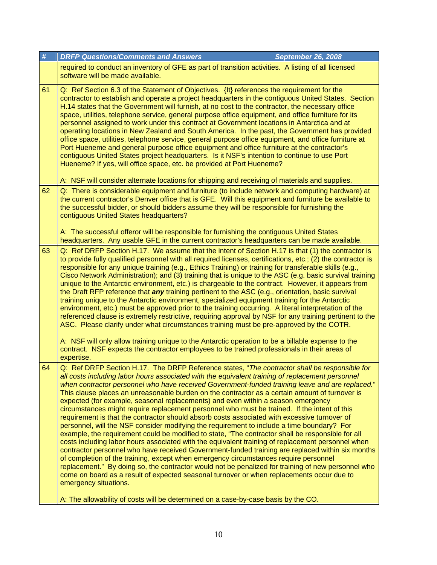| required to conduct an inventory of GFE as part of transition activities. A listing of all licensed<br>software will be made available.<br>Q: Ref Section 6.3 of the Statement of Objectives. {It} references the requirement for the<br>contractor to establish and operate a project headquarters in the contiguous United States. Section<br>H.14 states that the Government will furnish, at no cost to the contractor, the necessary office<br>space, utilities, telephone service, general purpose office equipment, and office furniture for its<br>personnel assigned to work under this contract at Government locations in Antarctica and at<br>operating locations in New Zealand and South America. In the past, the Government has provided<br>office space, utilities, telephone service, general purpose office equipment, and office furniture at<br>Port Hueneme and general purpose office equipment and office furniture at the contractor's<br>contiguous United States project headquarters. Is it NSF's intention to continue to use Port                                                                                                                                                                                                                                                                                                                                                                                                                                                  |
|------------------------------------------------------------------------------------------------------------------------------------------------------------------------------------------------------------------------------------------------------------------------------------------------------------------------------------------------------------------------------------------------------------------------------------------------------------------------------------------------------------------------------------------------------------------------------------------------------------------------------------------------------------------------------------------------------------------------------------------------------------------------------------------------------------------------------------------------------------------------------------------------------------------------------------------------------------------------------------------------------------------------------------------------------------------------------------------------------------------------------------------------------------------------------------------------------------------------------------------------------------------------------------------------------------------------------------------------------------------------------------------------------------------------------------------------------------------------------------------------------------------|
|                                                                                                                                                                                                                                                                                                                                                                                                                                                                                                                                                                                                                                                                                                                                                                                                                                                                                                                                                                                                                                                                                                                                                                                                                                                                                                                                                                                                                                                                                                                  |
| Hueneme? If yes, will office space, etc. be provided at Port Hueneme?<br>A: NSF will consider alternate locations for shipping and receiving of materials and supplies.                                                                                                                                                                                                                                                                                                                                                                                                                                                                                                                                                                                                                                                                                                                                                                                                                                                                                                                                                                                                                                                                                                                                                                                                                                                                                                                                          |
| Q: There is considerable equipment and furniture (to include network and computing hardware) at<br>the current contractor's Denver office that is GFE. Will this equipment and furniture be available to<br>the successful bidder, or should bidders assume they will be responsible for furnishing the<br>contiguous United States headquarters?<br>A: The successful offeror will be responsible for furnishing the contiguous United States                                                                                                                                                                                                                                                                                                                                                                                                                                                                                                                                                                                                                                                                                                                                                                                                                                                                                                                                                                                                                                                                   |
| headquarters. Any usable GFE in the current contractor's headquarters can be made available.<br>Q: Ref DRFP Section H.17. We assume that the intent of Section H.17 is that (1) the contractor is<br>to provide fully qualified personnel with all required licenses, certifications, etc.; (2) the contractor is<br>responsible for any unique training (e.g., Ethics Training) or training for transferable skills (e.g.,<br>Cisco Network Administration); and (3) training that is unique to the ASC (e.g. basic survival training<br>unique to the Antarctic environment, etc.) is chargeable to the contract. However, it appears from<br>the Draft RFP reference that <i>any</i> training pertinent to the ASC (e.g., orientation, basic survival<br>training unique to the Antarctic environment, specialized equipment training for the Antarctic<br>environment, etc.) must be approved prior to the training occurring. A literal interpretation of the<br>referenced clause is extremely restrictive, requiring approval by NSF for any training pertinent to the<br>ASC. Please clarify under what circumstances training must be pre-approved by the COTR.<br>A: NSF will only allow training unique to the Antarctic operation to be a billable expense to the<br>contract. NSF expects the contractor employees to be trained professionals in their areas of<br>expertise.                                                                                                                      |
| Q: Ref DRFP Section H.17. The DRFP Reference states, "The contractor shall be responsible for<br>all costs including labor hours associated with the equivalent training of replacement personnel<br>when contractor personnel who have received Government-funded training leave and are replaced."<br>This clause places an unreasonable burden on the contractor as a certain amount of turnover is<br>expected (for example, seasonal replacements) and even within a season emergency<br>circumstances might require replacement personnel who must be trained. If the intent of this<br>requirement is that the contractor should absorb costs associated with excessive turnover of<br>personnel, will the NSF consider modifying the requirement to include a time boundary? For<br>example, the requirement could be modified to state, "The contractor shall be responsible for all<br>costs including labor hours associated with the equivalent training of replacement personnel when<br>contractor personnel who have received Government-funded training are replaced within six months<br>of completion of the training, except when emergency circumstances require personnel<br>replacement." By doing so, the contractor would not be penalized for training of new personnel who<br>come on board as a result of expected seasonal turnover or when replacements occur due to<br>emergency situations.<br>A: The allowability of costs will be determined on a case-by-case basis by the CO. |
|                                                                                                                                                                                                                                                                                                                                                                                                                                                                                                                                                                                                                                                                                                                                                                                                                                                                                                                                                                                                                                                                                                                                                                                                                                                                                                                                                                                                                                                                                                                  |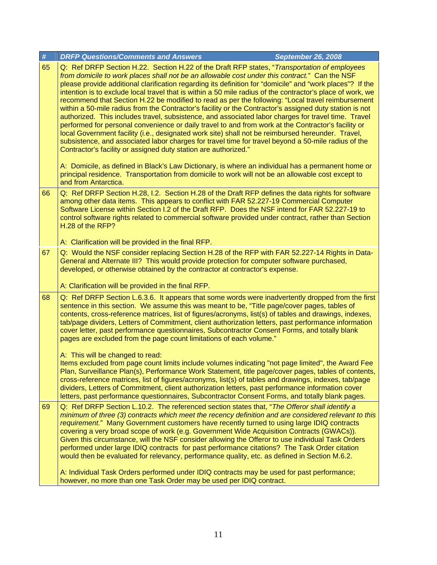| $\#$ | <b>DRFP Questions/Comments and Answers</b><br><b>September 26, 2008</b>                                                                                                                                                                                                                                                                                                                                                                                                                                                                                                                                                                                                                                                                                                                                                                                                                                                                                                                                                                                                                                                                                                                                                                                                                                                                                                 |
|------|-------------------------------------------------------------------------------------------------------------------------------------------------------------------------------------------------------------------------------------------------------------------------------------------------------------------------------------------------------------------------------------------------------------------------------------------------------------------------------------------------------------------------------------------------------------------------------------------------------------------------------------------------------------------------------------------------------------------------------------------------------------------------------------------------------------------------------------------------------------------------------------------------------------------------------------------------------------------------------------------------------------------------------------------------------------------------------------------------------------------------------------------------------------------------------------------------------------------------------------------------------------------------------------------------------------------------------------------------------------------------|
| 65   | Q: Ref DRFP Section H.22. Section H.22 of the Draft RFP states, "Transportation of employees<br>from domicile to work places shall not be an allowable cost under this contract." Can the NSF<br>please provide additional clarification regarding its definition for "domicile" and "work places"? If the<br>intention is to exclude local travel that is within a 50 mile radius of the contractor's place of work, we<br>recommend that Section H.22 be modified to read as per the following: "Local travel reimbursement<br>within a 50-mile radius from the Contractor's facility or the Contractor's assigned duty station is not<br>authorized. This includes travel, subsistence, and associated labor charges for travel time. Travel<br>performed for personal convenience or daily travel to and from work at the Contractor's facility or<br>local Government facility (i.e., designated work site) shall not be reimbursed hereunder. Travel,<br>subsistence, and associated labor charges for travel time for travel beyond a 50-mile radius of the<br>Contractor's facility or assigned duty station are authorized."<br>A: Domicile, as defined in Black's Law Dictionary, is where an individual has a permanent home or<br>principal residence. Transportation from domicile to work will not be an allowable cost except to<br>and from Antarctica. |
| 66   | Q: Ref DRFP Section H.28, I.2. Section H.28 of the Draft RFP defines the data rights for software<br>among other data items. This appears to conflict with FAR 52.227-19 Commercial Computer<br>Software License within Section I.2 of the Draft RFP. Does the NSF intend for FAR 52.227-19 to<br>control software rights related to commercial software provided under contract, rather than Section<br>H.28 of the RFP?                                                                                                                                                                                                                                                                                                                                                                                                                                                                                                                                                                                                                                                                                                                                                                                                                                                                                                                                               |
|      | A: Clarification will be provided in the final RFP.                                                                                                                                                                                                                                                                                                                                                                                                                                                                                                                                                                                                                                                                                                                                                                                                                                                                                                                                                                                                                                                                                                                                                                                                                                                                                                                     |
| 67   | Q: Would the NSF consider replacing Section H.28 of the RFP with FAR 52.227-14 Rights in Data-<br>General and Alternate III? This would provide protection for computer software purchased,<br>developed, or otherwise obtained by the contractor at contractor's expense.<br>A: Clarification will be provided in the final RFP.                                                                                                                                                                                                                                                                                                                                                                                                                                                                                                                                                                                                                                                                                                                                                                                                                                                                                                                                                                                                                                       |
| 68   | Q: Ref DRFP Section L.6.3.6. It appears that some words were inadvertently dropped from the first<br>sentence in this section. We assume this was meant to be, "Title page/cover pages, tables of<br>contents, cross-reference matrices, list of figures/acronyms, list(s) of tables and drawings, indexes,<br>tab/page dividers, Letters of Commitment, client authorization letters, past performance information<br>cover letter, past performance questionnaires, Subcontractor Consent Forms, and totally blank<br>pages are excluded from the page count limitations of each volume."<br>A: This will be changed to read:<br>Items excluded from page count limits include volumes indicating "not page limited", the Award Fee                                                                                                                                                                                                                                                                                                                                                                                                                                                                                                                                                                                                                                   |
|      | Plan, Surveillance Plan(s), Performance Work Statement, title page/cover pages, tables of contents,<br>cross-reference matrices, list of figures/acronyms, list(s) of tables and drawings, indexes, tab/page<br>dividers, Letters of Commitment, client authorization letters, past performance information cover<br>letters, past performance questionnaires, Subcontractor Consent Forms, and totally blank pages.                                                                                                                                                                                                                                                                                                                                                                                                                                                                                                                                                                                                                                                                                                                                                                                                                                                                                                                                                    |
| 69   | Q: Ref DRFP Section L.10.2. The referenced section states that, "The Offeror shall identify a<br>minimum of three (3) contracts which meet the recency definition and are considered relevant to this<br>requirement." Many Government customers have recently turned to using large IDIQ contracts<br>covering a very broad scope of work (e.g. Government Wide Acquisition Contracts (GWACs)).<br>Given this circumstance, will the NSF consider allowing the Offeror to use individual Task Orders<br>performed under large IDIQ contracts for past performance citations? The Task Order citation<br>would then be evaluated for relevancy, performance quality, etc. as defined in Section M.6.2.                                                                                                                                                                                                                                                                                                                                                                                                                                                                                                                                                                                                                                                                  |
|      | A: Individual Task Orders performed under IDIQ contracts may be used for past performance;<br>however, no more than one Task Order may be used per IDIQ contract.                                                                                                                                                                                                                                                                                                                                                                                                                                                                                                                                                                                                                                                                                                                                                                                                                                                                                                                                                                                                                                                                                                                                                                                                       |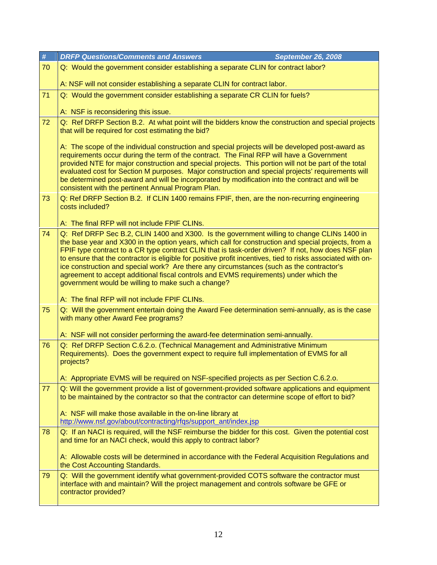| #  | <b>DRFP Questions/Comments and Answers</b><br><b>September 26, 2008</b>                                                                                                                                                                                                                                                                                                                                                                                                                                                                                                                                                                                            |
|----|--------------------------------------------------------------------------------------------------------------------------------------------------------------------------------------------------------------------------------------------------------------------------------------------------------------------------------------------------------------------------------------------------------------------------------------------------------------------------------------------------------------------------------------------------------------------------------------------------------------------------------------------------------------------|
| 70 | Q: Would the government consider establishing a separate CLIN for contract labor?                                                                                                                                                                                                                                                                                                                                                                                                                                                                                                                                                                                  |
|    | A: NSF will not consider establishing a separate CLIN for contract labor.                                                                                                                                                                                                                                                                                                                                                                                                                                                                                                                                                                                          |
| 71 | Q: Would the government consider establishing a separate CR CLIN for fuels?                                                                                                                                                                                                                                                                                                                                                                                                                                                                                                                                                                                        |
|    | A: NSF is reconsidering this issue.                                                                                                                                                                                                                                                                                                                                                                                                                                                                                                                                                                                                                                |
| 72 | Q: Ref DRFP Section B.2. At what point will the bidders know the construction and special projects<br>that will be required for cost estimating the bid?                                                                                                                                                                                                                                                                                                                                                                                                                                                                                                           |
|    | A: The scope of the individual construction and special projects will be developed post-award as<br>requirements occur during the term of the contract. The Final RFP will have a Government<br>provided NTE for major construction and special projects. This portion will not be part of the total<br>evaluated cost for Section M purposes. Major construction and special projects' requirements will<br>be determined post-award and will be incorporated by modification into the contract and will be<br>consistent with the pertinent Annual Program Plan.                                                                                                 |
| 73 | Q: Ref DRFP Section B.2. If CLIN 1400 remains FPIF, then, are the non-recurring engineering<br>costs included?                                                                                                                                                                                                                                                                                                                                                                                                                                                                                                                                                     |
|    | A: The final RFP will not include FPIF CLINs.                                                                                                                                                                                                                                                                                                                                                                                                                                                                                                                                                                                                                      |
| 74 | Q: Ref DRFP Sec B.2, CLIN 1400 and X300. Is the government willing to change CLINs 1400 in<br>the base year and X300 in the option years, which call for construction and special projects, from a<br>FPIF type contract to a CR type contract CLIN that is task-order driven? If not, how does NSF plan<br>to ensure that the contractor is eligible for positive profit incentives, tied to risks associated with on-<br>ice construction and special work? Are there any circumstances (such as the contractor's<br>agreement to accept additional fiscal controls and EVMS requirements) under which the<br>government would be willing to make such a change? |
|    | A: The final RFP will not include FPIF CLINs.                                                                                                                                                                                                                                                                                                                                                                                                                                                                                                                                                                                                                      |
| 75 | Q: Will the government entertain doing the Award Fee determination semi-annually, as is the case<br>with many other Award Fee programs?                                                                                                                                                                                                                                                                                                                                                                                                                                                                                                                            |
|    | A: NSF will not consider performing the award-fee determination semi-annually.                                                                                                                                                                                                                                                                                                                                                                                                                                                                                                                                                                                     |
| 76 | Q: Ref DRFP Section C.6.2.o. (Technical Management and Administrative Minimum<br>Requirements). Does the government expect to require full implementation of EVMS for all<br>projects?                                                                                                                                                                                                                                                                                                                                                                                                                                                                             |
|    | A: Appropriate EVMS will be required on NSF-specified projects as per Section C.6.2.o.                                                                                                                                                                                                                                                                                                                                                                                                                                                                                                                                                                             |
| 77 | Q: Will the government provide a list of government-provided software applications and equipment<br>to be maintained by the contractor so that the contractor can determine scope of effort to bid?                                                                                                                                                                                                                                                                                                                                                                                                                                                                |
|    | A: NSF will make those available in the on-line library at<br>http://www.nsf.gov/about/contracting/rfqs/support_ant/index.jsp                                                                                                                                                                                                                                                                                                                                                                                                                                                                                                                                      |
| 78 | Q: If an NACI is required, will the NSF reimburse the bidder for this cost. Given the potential cost<br>and time for an NACI check, would this apply to contract labor?                                                                                                                                                                                                                                                                                                                                                                                                                                                                                            |
|    | A: Allowable costs will be determined in accordance with the Federal Acquisition Regulations and<br>the Cost Accounting Standards.                                                                                                                                                                                                                                                                                                                                                                                                                                                                                                                                 |
| 79 | Q: Will the government identify what government-provided COTS software the contractor must<br>interface with and maintain? Will the project management and controls software be GFE or<br>contractor provided?                                                                                                                                                                                                                                                                                                                                                                                                                                                     |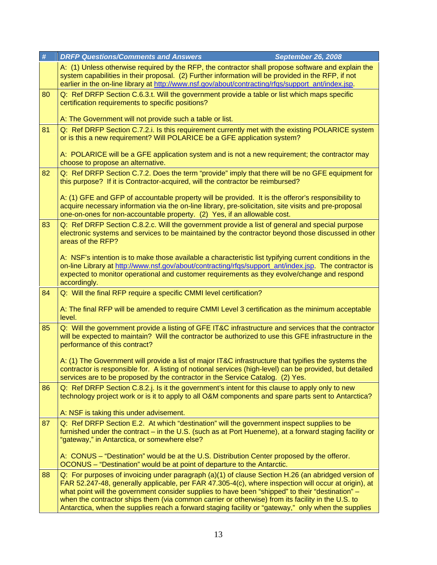| $\#$ | <b>DRFP Questions/Comments and Answers</b><br><b>September 26, 2008</b>                                                                                                                                                                                                                                                                                                                                                                                                                                                    |
|------|----------------------------------------------------------------------------------------------------------------------------------------------------------------------------------------------------------------------------------------------------------------------------------------------------------------------------------------------------------------------------------------------------------------------------------------------------------------------------------------------------------------------------|
|      | A: (1) Unless otherwise required by the RFP, the contractor shall propose software and explain the<br>system capabilities in their proposal. (2) Further information will be provided in the RFP, if not<br>earlier in the on-line library at http://www.nsf.gov/about/contracting/rfqs/support_ant/index.jsp.                                                                                                                                                                                                             |
| 80   | Q: Ref DRFP Section C.6.3.t. Will the government provide a table or list which maps specific<br>certification requirements to specific positions?                                                                                                                                                                                                                                                                                                                                                                          |
|      | A: The Government will not provide such a table or list.                                                                                                                                                                                                                                                                                                                                                                                                                                                                   |
| 81   | Q: Ref DRFP Section C.7.2.i. Is this requirement currently met with the existing POLARICE system<br>or is this a new requirement? Will POLARICE be a GFE application system?                                                                                                                                                                                                                                                                                                                                               |
|      | A: POLARICE will be a GFE application system and is not a new requirement; the contractor may<br>choose to propose an alternative.                                                                                                                                                                                                                                                                                                                                                                                         |
| 82   | Q: Ref DRFP Section C.7.2. Does the term "provide" imply that there will be no GFE equipment for<br>this purpose? If it is Contractor-acquired, will the contractor be reimbursed?                                                                                                                                                                                                                                                                                                                                         |
|      | A: (1) GFE and GFP of accountable property will be provided. It is the offeror's responsibility to<br>acquire necessary information via the on-line library, pre-solicitation, site visits and pre-proposal<br>one-on-ones for non-accountable property. (2) Yes, if an allowable cost.                                                                                                                                                                                                                                    |
| 83   | Q: Ref DRFP Section C.8.2.c. Will the government provide a list of general and special purpose<br>electronic systems and services to be maintained by the contractor beyond those discussed in other<br>areas of the RFP?                                                                                                                                                                                                                                                                                                  |
|      | A: NSF's intention is to make those available a characteristic list typifying current conditions in the<br>on-line Library at http://www.nsf.gov/about/contracting/rfqs/support_ant/index.jsp. The contractor is<br>expected to monitor operational and customer requirements as they evolve/change and respond                                                                                                                                                                                                            |
|      | accordingly.                                                                                                                                                                                                                                                                                                                                                                                                                                                                                                               |
| 84   | Q: Will the final RFP require a specific CMMI level certification?                                                                                                                                                                                                                                                                                                                                                                                                                                                         |
|      | A: The final RFP will be amended to require CMMI Level 3 certification as the minimum acceptable<br>level.                                                                                                                                                                                                                                                                                                                                                                                                                 |
| 85   | Q: Will the government provide a listing of GFE IT&C infrastructure and services that the contractor<br>will be expected to maintain? Will the contractor be authorized to use this GFE infrastructure in the<br>performance of this contract?                                                                                                                                                                                                                                                                             |
|      | A: (1) The Government will provide a list of major IT&C infrastructure that typifies the systems the<br>contractor is responsible for. A listing of notional services (high-level) can be provided, but detailed<br>services are to be proposed by the contractor in the Service Catalog. (2) Yes.                                                                                                                                                                                                                         |
| 86   | Q: Ref DRFP Section C.8.2.j. Is it the government's intent for this clause to apply only to new<br>technology project work or is it to apply to all O&M components and spare parts sent to Antarctica?                                                                                                                                                                                                                                                                                                                     |
|      | A: NSF is taking this under advisement.                                                                                                                                                                                                                                                                                                                                                                                                                                                                                    |
| 87   | Q: Ref DRFP Section E.2. At which "destination" will the government inspect supplies to be<br>furnished under the contract – in the U.S. (such as at Port Hueneme), at a forward staging facility or<br>"gateway," in Antarctica, or somewhere else?                                                                                                                                                                                                                                                                       |
|      | A: CONUS – "Destination" would be at the U.S. Distribution Center proposed by the offeror.<br>OCONUS - "Destination" would be at point of departure to the Antarctic.                                                                                                                                                                                                                                                                                                                                                      |
| 88   | Q: For purposes of invoicing under paragraph (a)(1) of clause Section H.26 (an abridged version of<br>FAR 52.247-48, generally applicable, per FAR 47.305-4(c), where inspection will occur at origin), at<br>what point will the government consider supplies to have been "shipped" to their "destination" -<br>when the contractor ships them (via common carrier or otherwise) from its facility in the U.S. to<br>Antarctica, when the supplies reach a forward staging facility or "gateway," only when the supplies |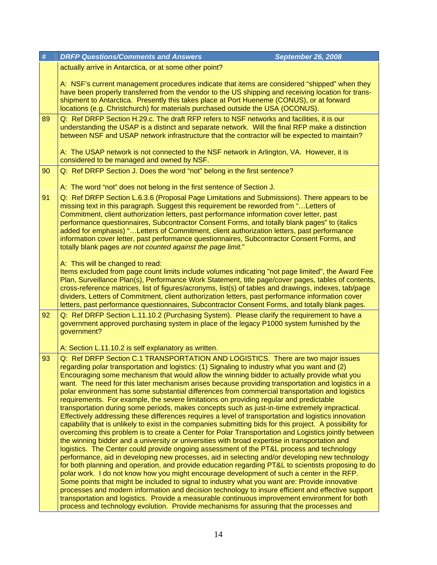| $\pmb{\#}$ | <b>DRFP Questions/Comments and Answers</b><br><b>September 26, 2008</b>                                                                                                                                                                                                                                                                                                                                                                                                                                                                                                                                                                                                                                                                                                                                                                                                                                                                                                                                                                                                                                                                                                                                                                                                                                                                                                                                                                                                                                                                                                                                                                                                                                                                                                                                                                                                                                                         |
|------------|---------------------------------------------------------------------------------------------------------------------------------------------------------------------------------------------------------------------------------------------------------------------------------------------------------------------------------------------------------------------------------------------------------------------------------------------------------------------------------------------------------------------------------------------------------------------------------------------------------------------------------------------------------------------------------------------------------------------------------------------------------------------------------------------------------------------------------------------------------------------------------------------------------------------------------------------------------------------------------------------------------------------------------------------------------------------------------------------------------------------------------------------------------------------------------------------------------------------------------------------------------------------------------------------------------------------------------------------------------------------------------------------------------------------------------------------------------------------------------------------------------------------------------------------------------------------------------------------------------------------------------------------------------------------------------------------------------------------------------------------------------------------------------------------------------------------------------------------------------------------------------------------------------------------------------|
|            | actually arrive in Antarctica, or at some other point?<br>A: NSF's current management procedures indicate that items are considered "shipped" when they<br>have been properly transferred from the vendor to the US shipping and receiving location for trans-<br>shipment to Antarctica. Presently this takes place at Port Hueneme (CONUS), or at forward<br>locations (e.g. Christchurch) for materials purchased outside the USA (OCONUS).                                                                                                                                                                                                                                                                                                                                                                                                                                                                                                                                                                                                                                                                                                                                                                                                                                                                                                                                                                                                                                                                                                                                                                                                                                                                                                                                                                                                                                                                                  |
| 89         | Q: Ref DRFP Section H.29.c. The draft RFP refers to NSF networks and facilities, it is our<br>understanding the USAP is a distinct and separate network. Will the final RFP make a distinction<br>between NSF and USAP network infrastructure that the contractor will be expected to maintain?<br>A: The USAP network is not connected to the NSF network in Arlington, VA. However, it is                                                                                                                                                                                                                                                                                                                                                                                                                                                                                                                                                                                                                                                                                                                                                                                                                                                                                                                                                                                                                                                                                                                                                                                                                                                                                                                                                                                                                                                                                                                                     |
|            | considered to be managed and owned by NSF.                                                                                                                                                                                                                                                                                                                                                                                                                                                                                                                                                                                                                                                                                                                                                                                                                                                                                                                                                                                                                                                                                                                                                                                                                                                                                                                                                                                                                                                                                                                                                                                                                                                                                                                                                                                                                                                                                      |
| 90         | Q: Ref DRFP Section J. Does the word "not" belong in the first sentence?<br>A: The word "not" does not belong in the first sentence of Section J.                                                                                                                                                                                                                                                                                                                                                                                                                                                                                                                                                                                                                                                                                                                                                                                                                                                                                                                                                                                                                                                                                                                                                                                                                                                                                                                                                                                                                                                                                                                                                                                                                                                                                                                                                                               |
| 91         | Q: Ref DRFP Section L.6.3.6 (Proposal Page Limitations and Submissions). There appears to be<br>missing text in this paragraph. Suggest this requirement be reworded from "Letters of<br>Commitment, client authorization letters, past performance information cover letter, past<br>performance questionnaires, Subcontractor Consent Forms, and totally blank pages" to (italics<br>added for emphasis) "Letters of Commitment, client authorization letters, past performance<br>information cover letter, past performance questionnaires, Subcontractor Consent Forms, and<br>totally blank pages are not counted against the page limit."                                                                                                                                                                                                                                                                                                                                                                                                                                                                                                                                                                                                                                                                                                                                                                                                                                                                                                                                                                                                                                                                                                                                                                                                                                                                                |
|            | A: This will be changed to read:<br>Items excluded from page count limits include volumes indicating "not page limited", the Award Fee<br>Plan, Surveillance Plan(s), Performance Work Statement, title page/cover pages, tables of contents,<br>cross-reference matrices, list of figures/acronyms, list(s) of tables and drawings, indexes, tab/page<br>dividers, Letters of Commitment, client authorization letters, past performance information cover<br>letters, past performance questionnaires, Subcontractor Consent Forms, and totally blank pages.                                                                                                                                                                                                                                                                                                                                                                                                                                                                                                                                                                                                                                                                                                                                                                                                                                                                                                                                                                                                                                                                                                                                                                                                                                                                                                                                                                  |
| 92         | Q: Ref DRFP Section L.11.10.2 (Purchasing System). Please clarify the requirement to have a<br>government approved purchasing system in place of the legacy P1000 system furnished by the<br>government?                                                                                                                                                                                                                                                                                                                                                                                                                                                                                                                                                                                                                                                                                                                                                                                                                                                                                                                                                                                                                                                                                                                                                                                                                                                                                                                                                                                                                                                                                                                                                                                                                                                                                                                        |
|            | A: Section L.11.10.2 is self explanatory as written.                                                                                                                                                                                                                                                                                                                                                                                                                                                                                                                                                                                                                                                                                                                                                                                                                                                                                                                                                                                                                                                                                                                                                                                                                                                                                                                                                                                                                                                                                                                                                                                                                                                                                                                                                                                                                                                                            |
| 93         | Q: Ref DRFP Section C.1 TRANSPORTATION AND LOGISTICS. There are two major issues<br>regarding polar transportation and logistics: (1) Signaling to industry what you want and (2)<br>Encouraging some mechanism that would allow the winning bidder to actually provide what you<br>want. The need for this later mechanism arises because providing transportation and logistics in a<br>polar environment has some substantial differences from commercial transportation and logistics<br>requirements. For example, the severe limitations on providing regular and predictable<br>transportation during some periods, makes concepts such as just-in-time extremely impractical.<br>Effectively addressing these differences requires a level of transportation and logistics innovation<br>capability that is unlikely to exist in the companies submitting bids for this project. A possibility for<br>overcoming this problem is to create a Center for Polar Transportation and Logistics jointly between<br>the winning bidder and a university or universities with broad expertise in transportation and<br>logistics. The Center could provide ongoing assessment of the PT&L process and technology<br>performance, aid in developing new processes, aid in selecting and/or developing new technology<br>for both planning and operation, and provide education regarding PT&L to scientists proposing to do<br>polar work. I do not know how you might encourage development of such a center in the RFP.<br>Some points that might be included to signal to industry what you want are: Provide innovative<br>processes and modern information and decision technology to insure efficient and effective support<br>transportation and logistics. Provide a measurable continuous improvement environment for both<br>process and technology evolution. Provide mechanisms for assuring that the processes and |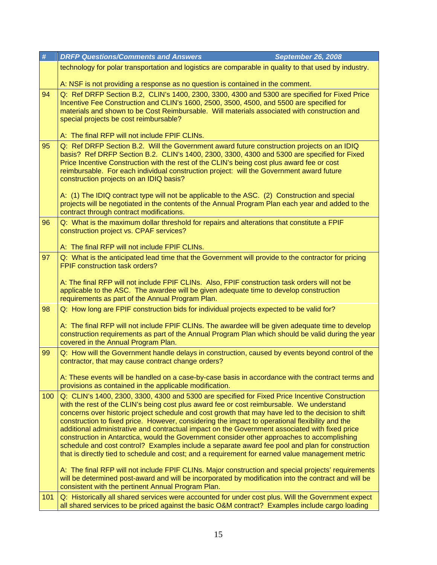| #   | <b>DRFP Questions/Comments and Answers</b><br>September 26, 2008                                                                                                                                                                                                                                                                                                                                                                                                                                                                                                                                                                                                                                                                                                                                                                                                                                                                                                                                                            |  |
|-----|-----------------------------------------------------------------------------------------------------------------------------------------------------------------------------------------------------------------------------------------------------------------------------------------------------------------------------------------------------------------------------------------------------------------------------------------------------------------------------------------------------------------------------------------------------------------------------------------------------------------------------------------------------------------------------------------------------------------------------------------------------------------------------------------------------------------------------------------------------------------------------------------------------------------------------------------------------------------------------------------------------------------------------|--|
|     | technology for polar transportation and logistics are comparable in quality to that used by industry.                                                                                                                                                                                                                                                                                                                                                                                                                                                                                                                                                                                                                                                                                                                                                                                                                                                                                                                       |  |
|     | A: NSF is not providing a response as no question is contained in the comment.                                                                                                                                                                                                                                                                                                                                                                                                                                                                                                                                                                                                                                                                                                                                                                                                                                                                                                                                              |  |
| 94  | Q: Ref DRFP Section B.2, CLIN's 1400, 2300, 3300, 4300 and 5300 are specified for Fixed Price<br>Incentive Fee Construction and CLIN's 1600, 2500, 3500, 4500, and 5500 are specified for<br>materials and shown to be Cost Reimbursable. Will materials associated with construction and<br>special projects be cost reimbursable?<br>A: The final RFP will not include FPIF CLINs.                                                                                                                                                                                                                                                                                                                                                                                                                                                                                                                                                                                                                                        |  |
| 95  | Q: Ref DRFP Section B.2. Will the Government award future construction projects on an IDIQ                                                                                                                                                                                                                                                                                                                                                                                                                                                                                                                                                                                                                                                                                                                                                                                                                                                                                                                                  |  |
|     | basis? Ref DRFP Section B.2. CLIN's 1400, 2300, 3300, 4300 and 5300 are specified for Fixed<br>Price Incentive Construction with the rest of the CLIN's being cost plus award fee or cost<br>reimbursable. For each individual construction project: will the Government award future<br>construction projects on an IDIQ basis?                                                                                                                                                                                                                                                                                                                                                                                                                                                                                                                                                                                                                                                                                            |  |
|     | A: (1) The IDIQ contract type will not be applicable to the ASC. (2) Construction and special<br>projects will be negotiated in the contents of the Annual Program Plan each year and added to the<br>contract through contract modifications.                                                                                                                                                                                                                                                                                                                                                                                                                                                                                                                                                                                                                                                                                                                                                                              |  |
| 96  | Q: What is the maximum dollar threshold for repairs and alterations that constitute a FPIF<br>construction project vs. CPAF services?                                                                                                                                                                                                                                                                                                                                                                                                                                                                                                                                                                                                                                                                                                                                                                                                                                                                                       |  |
|     | A: The final RFP will not include FPIF CLINs.                                                                                                                                                                                                                                                                                                                                                                                                                                                                                                                                                                                                                                                                                                                                                                                                                                                                                                                                                                               |  |
| 97  | Q: What is the anticipated lead time that the Government will provide to the contractor for pricing<br><b>FPIF construction task orders?</b><br>A: The final RFP will not include FPIF CLINs. Also, FPIF construction task orders will not be<br>applicable to the ASC. The awardee will be given adequate time to develop construction<br>requirements as part of the Annual Program Plan.                                                                                                                                                                                                                                                                                                                                                                                                                                                                                                                                                                                                                                 |  |
| 98  | Q: How long are FPIF construction bids for individual projects expected to be valid for?                                                                                                                                                                                                                                                                                                                                                                                                                                                                                                                                                                                                                                                                                                                                                                                                                                                                                                                                    |  |
|     | A: The final RFP will not include FPIF CLINs. The awardee will be given adequate time to develop<br>construction requirements as part of the Annual Program Plan which should be valid during the year<br>covered in the Annual Program Plan.                                                                                                                                                                                                                                                                                                                                                                                                                                                                                                                                                                                                                                                                                                                                                                               |  |
| 99  | Q: How will the Government handle delays in construction, caused by events beyond control of the<br>contractor, that may cause contract change orders?                                                                                                                                                                                                                                                                                                                                                                                                                                                                                                                                                                                                                                                                                                                                                                                                                                                                      |  |
|     | A: These events will be handled on a case-by-case basis in accordance with the contract terms and<br>provisions as contained in the applicable modification.                                                                                                                                                                                                                                                                                                                                                                                                                                                                                                                                                                                                                                                                                                                                                                                                                                                                |  |
| 100 | Q: CLIN's 1400, 2300, 3300, 4300 and 5300 are specified for Fixed Price Incentive Construction<br>with the rest of the CLIN's being cost plus award fee or cost reimbursable. We understand<br>concerns over historic project schedule and cost growth that may have led to the decision to shift<br>construction to fixed price. However, considering the impact to operational flexibility and the<br>additional administrative and contractual impact on the Government associated with fixed price<br>construction in Antarctica, would the Government consider other approaches to accomplishing<br>schedule and cost control? Examples include a separate award fee pool and plan for construction<br>that is directly tied to schedule and cost; and a requirement for earned value management metric<br>A: The final RFP will not include FPIF CLINs. Major construction and special projects' requirements<br>will be determined post-award and will be incorporated by modification into the contract and will be |  |
| 101 | consistent with the pertinent Annual Program Plan.<br>Q: Historically all shared services were accounted for under cost plus. Will the Government expect                                                                                                                                                                                                                                                                                                                                                                                                                                                                                                                                                                                                                                                                                                                                                                                                                                                                    |  |
|     | all shared services to be priced against the basic O&M contract? Examples include cargo loading                                                                                                                                                                                                                                                                                                                                                                                                                                                                                                                                                                                                                                                                                                                                                                                                                                                                                                                             |  |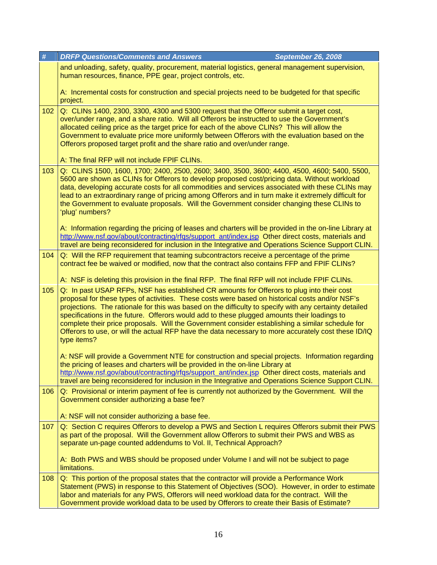| #   | <b>DRFP Questions/Comments and Answers</b><br><b>September 26, 2008</b>                                                                                                                                                                                                                                                                                                                                                                                                                                                                                                                                                         |
|-----|---------------------------------------------------------------------------------------------------------------------------------------------------------------------------------------------------------------------------------------------------------------------------------------------------------------------------------------------------------------------------------------------------------------------------------------------------------------------------------------------------------------------------------------------------------------------------------------------------------------------------------|
|     | and unloading, safety, quality, procurement, material logistics, general management supervision,<br>human resources, finance, PPE gear, project controls, etc.                                                                                                                                                                                                                                                                                                                                                                                                                                                                  |
|     | A: Incremental costs for construction and special projects need to be budgeted for that specific<br>project.                                                                                                                                                                                                                                                                                                                                                                                                                                                                                                                    |
| 102 | Q: CLINs 1400, 2300, 3300, 4300 and 5300 request that the Offeror submit a target cost,<br>over/under range, and a share ratio. Will all Offerors be instructed to use the Government's<br>allocated ceiling price as the target price for each of the above CLINs? This will allow the<br>Government to evaluate price more uniformly between Offerors with the evaluation based on the<br>Offerors proposed target profit and the share ratio and over/under range.                                                                                                                                                           |
|     | A: The final RFP will not include FPIF CLINs.                                                                                                                                                                                                                                                                                                                                                                                                                                                                                                                                                                                   |
| 103 | Q: CLINS 1500, 1600, 1700; 2400, 2500, 2600; 3400, 3500, 3600; 4400, 4500, 4600; 5400, 5500,<br>5600 are shown as CLINs for Offerors to develop proposed cost/pricing data. Without workload<br>data, developing accurate costs for all commodities and services associated with these CLINs may<br>lead to an extraordinary range of pricing among Offerors and in turn make it extremely difficult for<br>the Government to evaluate proposals. Will the Government consider changing these CLINs to<br>'plug' numbers?                                                                                                       |
|     | A: Information regarding the pricing of leases and charters will be provided in the on-line Library at<br>http://www.nsf.gov/about/contracting/rfqs/support_ant/index.jsp Other direct costs, materials and<br>travel are being reconsidered for inclusion in the Integrative and Operations Science Support CLIN.                                                                                                                                                                                                                                                                                                              |
| 104 | Q: Will the RFP requirement that teaming subcontractors receive a percentage of the prime<br>contract fee be waived or modified, now that the contract also contains FFP and FPIF CLINs?                                                                                                                                                                                                                                                                                                                                                                                                                                        |
|     | A: NSF is deleting this provision in the final RFP. The final RFP will not include FPIF CLINs.                                                                                                                                                                                                                                                                                                                                                                                                                                                                                                                                  |
| 105 | Q: In past USAP RFPs, NSF has established CR amounts for Offerors to plug into their cost<br>proposal for these types of activities. These costs were based on historical costs and/or NSF's<br>projections. The rationale for this was based on the difficulty to specify with any certainty detailed<br>specifications in the future. Offerors would add to these plugged amounts their loadings to<br>complete their price proposals. Will the Government consider establishing a similar schedule for<br>Offerors to use, or will the actual RFP have the data necessary to more accurately cost these ID/IQ<br>type items? |
|     | A: NSF will provide a Government NTE for construction and special projects. Information regarding<br>the pricing of leases and charters will be provided in the on-line Library at                                                                                                                                                                                                                                                                                                                                                                                                                                              |
|     | http://www.nsf.gov/about/contracting/rfqs/support_ant/index.jsp Other direct costs, materials and<br>travel are being reconsidered for inclusion in the Integrative and Operations Science Support CLIN.                                                                                                                                                                                                                                                                                                                                                                                                                        |
| 106 | Q: Provisional or interim payment of fee is currently not authorized by the Government. Will the<br>Government consider authorizing a base fee?                                                                                                                                                                                                                                                                                                                                                                                                                                                                                 |
|     | A: NSF will not consider authorizing a base fee.                                                                                                                                                                                                                                                                                                                                                                                                                                                                                                                                                                                |
| 107 | Q: Section C requires Offerors to develop a PWS and Section L requires Offerors submit their PWS<br>as part of the proposal. Will the Government allow Offerors to submit their PWS and WBS as<br>separate un-page counted addendums to Vol. II, Technical Approach?                                                                                                                                                                                                                                                                                                                                                            |
|     | A: Both PWS and WBS should be proposed under Volume I and will not be subject to page<br>limitations.                                                                                                                                                                                                                                                                                                                                                                                                                                                                                                                           |
| 108 | Q: This portion of the proposal states that the contractor will provide a Performance Work<br>Statement (PWS) in response to this Statement of Objectives (SOO). However, in order to estimate<br>labor and materials for any PWS, Offerors will need workload data for the contract. Will the<br>Government provide workload data to be used by Offerors to create their Basis of Estimate?                                                                                                                                                                                                                                    |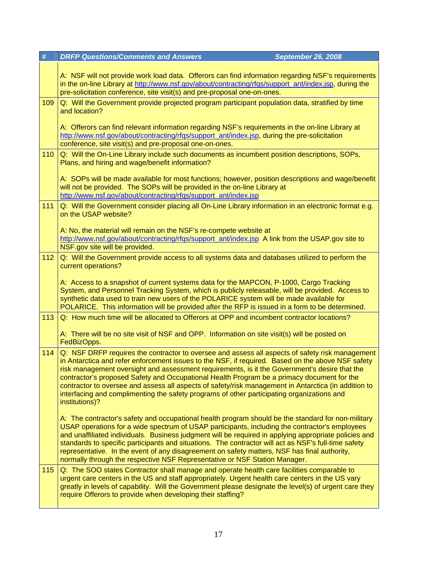| #   | <b>DRFP Questions/Comments and Answers</b><br><b>September 26, 2008</b>                                                                                                                                                                                                                                                                                                                                                                                                                                                                                                                                                     |
|-----|-----------------------------------------------------------------------------------------------------------------------------------------------------------------------------------------------------------------------------------------------------------------------------------------------------------------------------------------------------------------------------------------------------------------------------------------------------------------------------------------------------------------------------------------------------------------------------------------------------------------------------|
|     | A: NSF will not provide work load data. Offerors can find information regarding NSF's requirements<br>in the on-line Library at http://www.nsf.gov/about/contracting/rfqs/support_ant/index.jsp, during the<br>pre-solicitation conference, site visit(s) and pre-proposal one-on-ones.                                                                                                                                                                                                                                                                                                                                     |
| 109 | Q: Will the Government provide projected program participant population data, stratified by time                                                                                                                                                                                                                                                                                                                                                                                                                                                                                                                            |
|     | and location?                                                                                                                                                                                                                                                                                                                                                                                                                                                                                                                                                                                                               |
|     | A: Offerors can find relevant information regarding NSF's requirements in the on-line Library at<br>http://www.nsf.gov/about/contracting/rfqs/support_ant/index.jsp, during the pre-solicitation<br>conference, site visit(s) and pre-proposal one-on-ones.                                                                                                                                                                                                                                                                                                                                                                 |
| 110 | Q: Will the On-Line Library include such documents as incumbent position descriptions, SOPs,<br>Plans, and hiring and wage/benefit information?                                                                                                                                                                                                                                                                                                                                                                                                                                                                             |
|     | A: SOPs will be made available for most functions; however, position descriptions and wage/benefit<br>will not be provided. The SOPs will be provided in the on-line Library at<br>http://www.nsf.gov/about/contracting/rfqs/support_ant/index.jsp                                                                                                                                                                                                                                                                                                                                                                          |
| 111 | Q: Will the Government consider placing all On-Line Library information in an electronic format e.g.<br>on the USAP website?                                                                                                                                                                                                                                                                                                                                                                                                                                                                                                |
|     | A: No, the material will remain on the NSF's re-compete website at                                                                                                                                                                                                                                                                                                                                                                                                                                                                                                                                                          |
|     | http://www.nsf.gov/about/contracting/rfgs/support_ant/index.jsp A link from the USAP.gov site to<br>NSF.gov site will be provided.                                                                                                                                                                                                                                                                                                                                                                                                                                                                                          |
| 112 | Q: Will the Government provide access to all systems data and databases utilized to perform the                                                                                                                                                                                                                                                                                                                                                                                                                                                                                                                             |
|     | current operations?                                                                                                                                                                                                                                                                                                                                                                                                                                                                                                                                                                                                         |
|     | A: Access to a snapshot of current systems data for the MAPCON, P-1000, Cargo Tracking<br>System, and Personnel Tracking System, which is publicly releasable, will be provided. Access to<br>synthetic data used to train new users of the POLARICE system will be made available for<br>POLARICE. This information will be provided after the RFP is issued in a form to be determined.                                                                                                                                                                                                                                   |
| 113 | Q: How much time will be allocated to Offerors at OPP and incumbent contractor locations?                                                                                                                                                                                                                                                                                                                                                                                                                                                                                                                                   |
|     | A: There will be no site visit of NSF and OPP. Information on site visit(s) will be posted on<br>FedBizOpps.                                                                                                                                                                                                                                                                                                                                                                                                                                                                                                                |
| 114 | Q: NSF DRFP requires the contractor to oversee and assess all aspects of safety risk management<br>in Antarctica and refer enforcement issues to the NSF, if required. Based on the above NSF safety<br>risk management oversight and assessment requirements, is it the Government's desire that the<br>contractor's proposed Safety and Occupational Health Program be a primacy document for the<br>contractor to oversee and assess all aspects of safety/risk management in Antarctica (in addition to<br>interfacing and complimenting the safety programs of other participating organizations and<br>institutions)? |
|     | A: The contractor's safety and occupational health program should be the standard for non-military<br>USAP operations for a wide spectrum of USAP participants, including the contractor's employees<br>and unaffiliated individuals. Business judgment will be required in applying appropriate policies and<br>standards to specific participants and situations. The contractor will act as NSF's full-time safety<br>representative. In the event of any disagreement on safety matters, NSF has final authority,<br>normally through the respective NSF Representative or NSF Station Manager.                         |
| 115 | Q: The SOO states Contractor shall manage and operate health care facilities comparable to<br>urgent care centers in the US and staff appropriately. Urgent health care centers in the US vary<br>greatly in levels of capability. Will the Government please designate the level(s) of urgent care they<br>require Offerors to provide when developing their staffing?                                                                                                                                                                                                                                                     |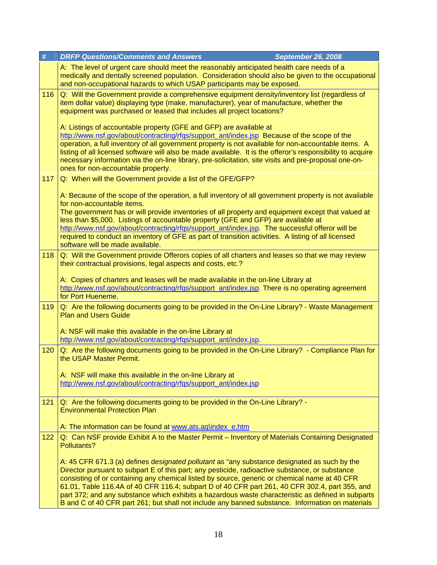|     | #   | <b>DRFP Questions/Comments and Answers</b>                                                                                                                                                                                                                                                                                                                                                                                                                                                                                                                                                                   | <b>September 26, 2008</b> |
|-----|-----|--------------------------------------------------------------------------------------------------------------------------------------------------------------------------------------------------------------------------------------------------------------------------------------------------------------------------------------------------------------------------------------------------------------------------------------------------------------------------------------------------------------------------------------------------------------------------------------------------------------|---------------------------|
|     |     | A: The level of urgent care should meet the reasonably anticipated health care needs of a<br>medically and dentally screened population. Consideration should also be given to the occupational<br>and non-occupational hazards to which USAP participants may be exposed.                                                                                                                                                                                                                                                                                                                                   |                           |
| 116 |     | Q: Will the Government provide a comprehensive equipment density/inventory list (regardless of<br>item dollar value) displaying type (make, manufacturer), year of manufacture, whether the<br>equipment was purchased or leased that includes all project locations?                                                                                                                                                                                                                                                                                                                                        |                           |
|     |     | A: Listings of accountable property (GFE and GFP) are available at<br>http://www.nsf.gov/about/contracting/rfqs/support_ant/index.jsp_Because of the scope of the<br>operation, a full inventory of all government property is not available for non-accountable items. A<br>listing of all licensed software will also be made available. It is the offeror's responsibility to acquire<br>necessary information via the on-line library, pre-solicitation, site visits and pre-proposal one-on-<br>ones for non-accountable property.                                                                      |                           |
|     | 117 | Q: When will the Government provide a list of the GFE/GFP?                                                                                                                                                                                                                                                                                                                                                                                                                                                                                                                                                   |                           |
|     |     | A: Because of the scope of the operation, a full inventory of all government property is not available<br>for non-accountable items.                                                                                                                                                                                                                                                                                                                                                                                                                                                                         |                           |
|     |     | The government has or will provide inventories of all property and equipment except that valued at<br>less than \$5,000. Listings of accountable property (GFE and GFP) are available at                                                                                                                                                                                                                                                                                                                                                                                                                     |                           |
|     |     | http://www.nsf.gov/about/contracting/rfgs/support_ant/index.jsp. The successful offeror will be<br>required to conduct an inventory of GFE as part of transition activities. A listing of all licensed<br>software will be made available.                                                                                                                                                                                                                                                                                                                                                                   |                           |
|     | 118 | Q: Will the Government provide Offerors copies of all charters and leases so that we may review<br>their contractual provisions, legal aspects and costs, etc.?                                                                                                                                                                                                                                                                                                                                                                                                                                              |                           |
|     |     | A: Copies of charters and leases will be made available in the on-line Library at<br>http://www.nsf.gov/about/contracting/rfqs/support_ant/index.jsp. There is no operating agreement<br>for Port Hueneme.                                                                                                                                                                                                                                                                                                                                                                                                   |                           |
|     | 119 | Q: Are the following documents going to be provided in the On-Line Library? - Waste Management<br><b>Plan and Users Guide</b>                                                                                                                                                                                                                                                                                                                                                                                                                                                                                |                           |
|     |     | A: NSF will make this available in the on-line Library at<br>http://www.nsf.gov/about/contracting/rfqs/support_ant/index.jsp.                                                                                                                                                                                                                                                                                                                                                                                                                                                                                |                           |
|     | 120 | Q: Are the following documents going to be provided in the On-Line Library? - Compliance Plan for<br>the USAP Master Permit.                                                                                                                                                                                                                                                                                                                                                                                                                                                                                 |                           |
|     |     | A: NSF will make this available in the on-line Library at                                                                                                                                                                                                                                                                                                                                                                                                                                                                                                                                                    |                           |
|     |     | http://www.nsf.gov/about/contracting/rfgs/support_ant/index.jsp                                                                                                                                                                                                                                                                                                                                                                                                                                                                                                                                              |                           |
|     | 121 | Q: Are the following documents going to be provided in the On-Line Library? -<br><b>Environmental Protection Plan</b>                                                                                                                                                                                                                                                                                                                                                                                                                                                                                        |                           |
|     |     | A: The information can be found at www.ats.aq\index_e.htm                                                                                                                                                                                                                                                                                                                                                                                                                                                                                                                                                    |                           |
|     | 122 | Q: Can NSF provide Exhibit A to the Master Permit - Inventory of Materials Containing Designated<br>Pollutants?                                                                                                                                                                                                                                                                                                                                                                                                                                                                                              |                           |
|     |     | A: 45 CFR 671.3 (a) defines designated pollutant as "any substance designated as such by the<br>Director pursuant to subpart E of this part; any pesticide, radioactive substance, or substance<br>consisting of or containing any chemical listed by source, generic or chemical name at 40 CFR<br>61.01, Table 116.4A of 40 CFR 116.4; subpart D of 40 CFR part 261, 40 CFR 302.4, part 355, and<br>part 372; and any substance which exhibits a hazardous waste characteristic as defined in subparts<br>B and C of 40 CFR part 261; but shall not include any banned substance. Information on materials |                           |
|     |     |                                                                                                                                                                                                                                                                                                                                                                                                                                                                                                                                                                                                              |                           |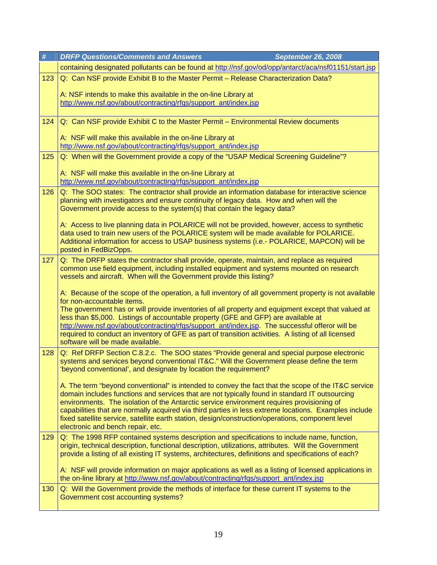| $\#$                                                                                      |     | <b>DRFP Questions/Comments and Answers</b><br><b>September 26, 2008</b>                                                                                                                                    |  |  |
|-------------------------------------------------------------------------------------------|-----|------------------------------------------------------------------------------------------------------------------------------------------------------------------------------------------------------------|--|--|
|                                                                                           |     | containing designated pollutants can be found at http://nsf.gov/od/opp/antarct/aca/nsf01151/start.jsp                                                                                                      |  |  |
|                                                                                           | 123 | Q: Can NSF provide Exhibit B to the Master Permit - Release Characterization Data?                                                                                                                         |  |  |
|                                                                                           |     |                                                                                                                                                                                                            |  |  |
| A: NSF intends to make this available in the on-line Library at                           |     | http://www.nsf.gov/about/contracting/rfqs/support_ant/index.jsp                                                                                                                                            |  |  |
|                                                                                           |     |                                                                                                                                                                                                            |  |  |
| Q: Can NSF provide Exhibit C to the Master Permit - Environmental Review documents<br>124 |     |                                                                                                                                                                                                            |  |  |
|                                                                                           |     |                                                                                                                                                                                                            |  |  |
|                                                                                           |     | A: NSF will make this available in the on-line Library at                                                                                                                                                  |  |  |
|                                                                                           |     | http://www.nsf.gov/about/contracting/rfqs/support_ant/index.jsp                                                                                                                                            |  |  |
|                                                                                           | 125 | Q: When will the Government provide a copy of the "USAP Medical Screening Guideline"?                                                                                                                      |  |  |
|                                                                                           |     | A: NSF will make this available in the on-line Library at                                                                                                                                                  |  |  |
|                                                                                           |     | http://www.nsf.gov/about/contracting/rfgs/support_ant/index.jsp                                                                                                                                            |  |  |
|                                                                                           | 126 | Q: The SOO states: The contractor shall provide an information database for interactive science                                                                                                            |  |  |
|                                                                                           |     | planning with investigators and ensure continuity of legacy data. How and when will the                                                                                                                    |  |  |
|                                                                                           |     | Government provide access to the system(s) that contain the legacy data?                                                                                                                                   |  |  |
|                                                                                           |     | A: Access to live planning data in POLARICE will not be provided, however, access to synthetic                                                                                                             |  |  |
|                                                                                           |     | data used to train new users of the POLARICE system will be made available for POLARICE.                                                                                                                   |  |  |
|                                                                                           |     | Additional information for access to USAP business systems (i.e.- POLARICE, MAPCON) will be<br>posted in FedBizOpps.                                                                                       |  |  |
|                                                                                           | 127 | Q: The DRFP states the contractor shall provide, operate, maintain, and replace as required                                                                                                                |  |  |
|                                                                                           |     | common use field equipment, including installed equipment and systems mounted on research                                                                                                                  |  |  |
|                                                                                           |     | vessels and aircraft. When will the Government provide this listing?                                                                                                                                       |  |  |
|                                                                                           |     |                                                                                                                                                                                                            |  |  |
|                                                                                           |     | A: Because of the scope of the operation, a full inventory of all government property is not available<br>for non-accountable items.                                                                       |  |  |
|                                                                                           |     | The government has or will provide inventories of all property and equipment except that valued at                                                                                                         |  |  |
|                                                                                           |     | less than \$5,000. Listings of accountable property (GFE and GFP) are available at                                                                                                                         |  |  |
|                                                                                           |     | http://www.nsf.gov/about/contracting/rfgs/support_ant/index.jsp. The successful offeror will be<br>required to conduct an inventory of GFE as part of transition activities. A listing of all licensed     |  |  |
|                                                                                           |     | software will be made available.                                                                                                                                                                           |  |  |
|                                                                                           | 128 | Q: Ref DRFP Section C.8.2.c. The SOO states "Provide general and special purpose electronic                                                                                                                |  |  |
|                                                                                           |     | systems and services beyond conventional IT&C." Will the Government please define the term                                                                                                                 |  |  |
|                                                                                           |     | 'beyond conventional', and designate by location the requirement?                                                                                                                                          |  |  |
|                                                                                           |     | A. The term "beyond conventional" is intended to convey the fact that the scope of the IT&C service                                                                                                        |  |  |
|                                                                                           |     | domain includes functions and services that are not typically found in standard IT outsourcing                                                                                                             |  |  |
|                                                                                           |     | environments. The isolation of the Antarctic service environment requires provisioning of                                                                                                                  |  |  |
|                                                                                           |     | capabilities that are normally acquired via third parties in less extreme locations. Examples include<br>fixed satellite service, satellite earth station, design/construction/operations, component level |  |  |
|                                                                                           |     | electronic and bench repair, etc.                                                                                                                                                                          |  |  |
|                                                                                           | 129 | Q: The 1998 RFP contained systems description and specifications to include name, function,                                                                                                                |  |  |
|                                                                                           |     | origin, technical description, functional description, utilizations, attributes. Will the Government                                                                                                       |  |  |
|                                                                                           |     | provide a listing of all existing IT systems, architectures, definitions and specifications of each?                                                                                                       |  |  |
|                                                                                           |     | A: NSF will provide information on major applications as well as a listing of licensed applications in                                                                                                     |  |  |
|                                                                                           |     | the on-line library at http://www.nsf.gov/about/contracting/rfqs/support_ant/index.jsp                                                                                                                     |  |  |
|                                                                                           | 130 | Q: Will the Government provide the methods of interface for these current IT systems to the                                                                                                                |  |  |
|                                                                                           |     | Government cost accounting systems?                                                                                                                                                                        |  |  |
|                                                                                           |     |                                                                                                                                                                                                            |  |  |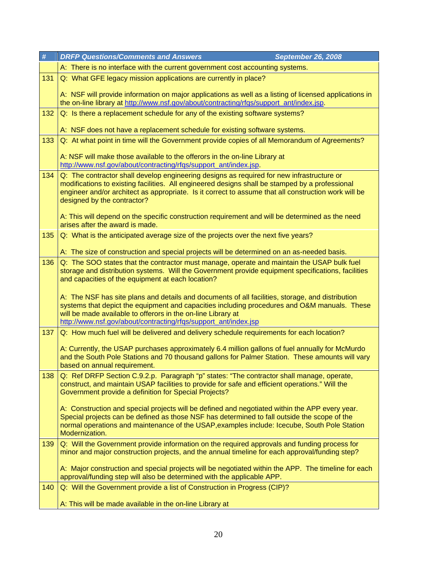| #   | <b>DRFP Questions/Comments and Answers</b><br><b>September 26, 2008</b>                                                                                                                                                                                                                                                             |  |
|-----|-------------------------------------------------------------------------------------------------------------------------------------------------------------------------------------------------------------------------------------------------------------------------------------------------------------------------------------|--|
|     | A: There is no interface with the current government cost accounting systems.                                                                                                                                                                                                                                                       |  |
| 131 | Q: What GFE legacy mission applications are currently in place?                                                                                                                                                                                                                                                                     |  |
|     | A: NSF will provide information on major applications as well as a listing of licensed applications in<br>the on-line library at http://www.nsf.gov/about/contracting/rfqs/support_ant/index.jsp.                                                                                                                                   |  |
| 132 | Q: Is there a replacement schedule for any of the existing software systems?                                                                                                                                                                                                                                                        |  |
|     | A: NSF does not have a replacement schedule for existing software systems.                                                                                                                                                                                                                                                          |  |
| 133 | Q: At what point in time will the Government provide copies of all Memorandum of Agreements?                                                                                                                                                                                                                                        |  |
|     | A: NSF will make those available to the offerors in the on-line Library at<br>http://www.nsf.gov/about/contracting/rfqs/support_ant/index.jsp.                                                                                                                                                                                      |  |
| 134 | Q: The contractor shall develop engineering designs as required for new infrastructure or<br>modifications to existing facilities. All engineered designs shall be stamped by a professional<br>engineer and/or architect as appropriate. Is it correct to assume that all construction work will be<br>designed by the contractor? |  |
|     | A: This will depend on the specific construction requirement and will be determined as the need<br>arises after the award is made.                                                                                                                                                                                                  |  |
| 135 | Q: What is the anticipated average size of the projects over the next five years?                                                                                                                                                                                                                                                   |  |
|     | A: The size of construction and special projects will be determined on an as-needed basis.                                                                                                                                                                                                                                          |  |
| 136 | Q: The SOO states that the contractor must manage, operate and maintain the USAP bulk fuel<br>storage and distribution systems. Will the Government provide equipment specifications, facilities<br>and capacities of the equipment at each location?                                                                               |  |
|     | A: The NSF has site plans and details and documents of all facilities, storage, and distribution<br>systems that depict the equipment and capacities including procedures and O&M manuals. These<br>will be made available to offerors in the on-line Library at                                                                    |  |
|     | http://www.nsf.gov/about/contracting/rfqs/support_ant/index.jsp                                                                                                                                                                                                                                                                     |  |
| 137 | Q: How much fuel will be delivered and delivery schedule requirements for each location?                                                                                                                                                                                                                                            |  |
|     | A: Currently, the USAP purchases approximately 6.4 million gallons of fuel annually for McMurdo<br>and the South Pole Stations and 70 thousand gallons for Palmer Station. These amounts will vary<br>based on annual requirement.                                                                                                  |  |
| 138 | Q: Ref DRFP Section C.9.2.p. Paragraph "p" states: "The contractor shall manage, operate,<br>construct, and maintain USAP facilities to provide for safe and efficient operations." Will the<br>Government provide a definition for Special Projects?                                                                               |  |
|     | A: Construction and special projects will be defined and negotiated within the APP every year.<br>Special projects can be defined as those NSF has determined to fall outside the scope of the<br>normal operations and maintenance of the USAP, examples include: Icecube, South Pole Station<br>Modernization.                    |  |
| 139 | Q: Will the Government provide information on the required approvals and funding process for<br>minor and major construction projects, and the annual timeline for each approval/funding step?                                                                                                                                      |  |
|     | A: Major construction and special projects will be negotiated within the APP. The timeline for each<br>approval/funding step will also be determined with the applicable APP.                                                                                                                                                       |  |
| 140 | Q: Will the Government provide a list of Construction in Progress (CIP)?                                                                                                                                                                                                                                                            |  |
|     | A: This will be made available in the on-line Library at                                                                                                                                                                                                                                                                            |  |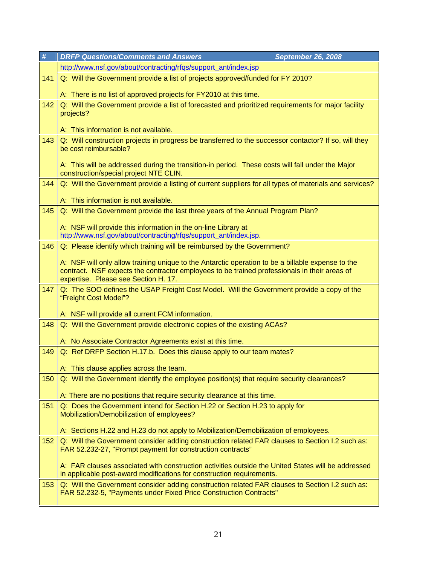| #   | <b>DRFP Questions/Comments and Answers</b><br><b>September 26, 2008</b>                                                                                                     |  |
|-----|-----------------------------------------------------------------------------------------------------------------------------------------------------------------------------|--|
|     | http://www.nsf.gov/about/contracting/rfgs/support_ant/index.jsp                                                                                                             |  |
| 141 | Q: Will the Government provide a list of projects approved/funded for FY 2010?                                                                                              |  |
|     | A: There is no list of approved projects for FY2010 at this time.                                                                                                           |  |
| 142 | Q: Will the Government provide a list of forecasted and prioritized requirements for major facility                                                                         |  |
|     | projects?                                                                                                                                                                   |  |
|     | A: This information is not available.                                                                                                                                       |  |
| 143 | Q: Will construction projects in progress be transferred to the successor contactor? If so, will they                                                                       |  |
|     | be cost reimbursable?                                                                                                                                                       |  |
|     |                                                                                                                                                                             |  |
|     | A: This will be addressed during the transition-in period. These costs will fall under the Major<br>construction/special project NTE CLIN.                                  |  |
| 144 | Q: Will the Government provide a listing of current suppliers for all types of materials and services?                                                                      |  |
|     |                                                                                                                                                                             |  |
|     | A: This information is not available.                                                                                                                                       |  |
| 145 | Q: Will the Government provide the last three years of the Annual Program Plan?                                                                                             |  |
|     | A: NSF will provide this information in the on-line Library at                                                                                                              |  |
|     | http://www.nsf.gov/about/contracting/rfgs/support_ant/index.jsp.                                                                                                            |  |
| 146 | Q: Please identify which training will be reimbursed by the Government?                                                                                                     |  |
|     | A: NSF will only allow training unique to the Antarctic operation to be a billable expense to the                                                                           |  |
|     | contract. NSF expects the contractor employees to be trained professionals in their areas of                                                                                |  |
| 147 | expertise. Please see Section H. 17.<br>Q: The SOO defines the USAP Freight Cost Model. Will the Government provide a copy of the                                           |  |
|     | "Freight Cost Model"?                                                                                                                                                       |  |
|     |                                                                                                                                                                             |  |
| 148 | A: NSF will provide all current FCM information.<br>Q: Will the Government provide electronic copies of the existing ACAs?                                                  |  |
|     |                                                                                                                                                                             |  |
|     | A: No Associate Contractor Agreements exist at this time.                                                                                                                   |  |
| 149 | Q: Ref DRFP Section H.17.b. Does this clause apply to our team mates?                                                                                                       |  |
|     | A: This clause applies across the team.                                                                                                                                     |  |
| 150 | Q: Will the Government identify the employee position(s) that require security clearances?                                                                                  |  |
|     |                                                                                                                                                                             |  |
| 151 | A: There are no positions that require security clearance at this time.<br>Q: Does the Government intend for Section H.22 or Section H.23 to apply for                      |  |
|     | Mobilization/Demobilization of employees?                                                                                                                                   |  |
|     |                                                                                                                                                                             |  |
|     | A: Sections H.22 and H.23 do not apply to Mobilization/Demobilization of employees.                                                                                         |  |
| 152 | Q: Will the Government consider adding construction related FAR clauses to Section I.2 such as:<br>FAR 52.232-27, "Prompt payment for construction contracts"               |  |
|     |                                                                                                                                                                             |  |
|     | A: FAR clauses associated with construction activities outside the United States will be addressed<br>in applicable post-award modifications for construction requirements. |  |
| 153 | Q: Will the Government consider adding construction related FAR clauses to Section I.2 such as:                                                                             |  |
|     | FAR 52.232-5, "Payments under Fixed Price Construction Contracts"                                                                                                           |  |
|     |                                                                                                                                                                             |  |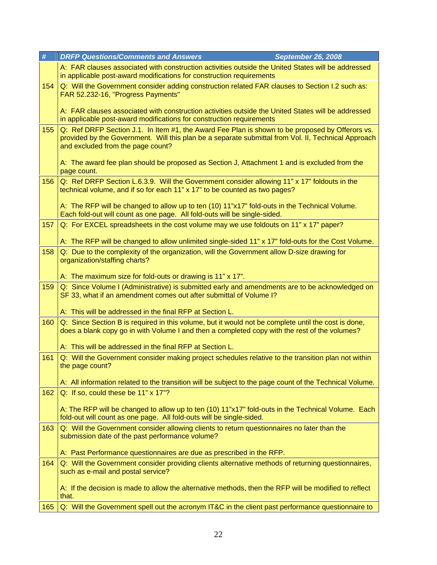| #   | <b>DRFP Questions/Comments and Answers</b><br><b>September 26, 2008</b>                                                                                                                                                                     |
|-----|---------------------------------------------------------------------------------------------------------------------------------------------------------------------------------------------------------------------------------------------|
|     | A: FAR clauses associated with construction activities outside the United States will be addressed<br>in applicable post-award modifications for construction requirements                                                                  |
| 154 | Q: Will the Government consider adding construction related FAR clauses to Section I.2 such as:<br>FAR 52.232-16, "Progress Payments"                                                                                                       |
|     | A: FAR clauses associated with construction activities outside the United States will be addressed<br>in applicable post-award modifications for construction requirements                                                                  |
| 155 | Q: Ref DRFP Section J.1. In Item #1, the Award Fee Plan is shown to be proposed by Offerors vs.<br>provided by the Government. Will this plan be a separate submittal from Vol. II, Technical Approach<br>and excluded from the page count? |
|     | A: The award fee plan should be proposed as Section J, Attachment 1 and is excluded from the<br>page count.                                                                                                                                 |
| 156 | Q: Ref DRFP Section L.6.3.9. Will the Government consider allowing 11" x 17" foldouts in the<br>technical volume, and if so for each 11" x 17" to be counted as two pages?                                                                  |
|     | A: The RFP will be changed to allow up to ten (10) 11"x17" fold-outs in the Technical Volume.<br>Each fold-out will count as one page. All fold-outs will be single-sided.                                                                  |
| 157 | Q: For EXCEL spreadsheets in the cost volume may we use foldouts on 11" x 17" paper?                                                                                                                                                        |
|     | A: The RFP will be changed to allow unlimited single-sided 11" x 17" fold-outs for the Cost Volume.                                                                                                                                         |
| 158 | Q: Due to the complexity of the organization, will the Government allow D-size drawing for<br>organization/staffing charts?                                                                                                                 |
|     | A: The maximum size for fold-outs or drawing is 11" x 17".                                                                                                                                                                                  |
| 159 | Q: Since Volume I (Administrative) is submitted early and amendments are to be acknowledged on<br>SF 33, what if an amendment comes out after submittal of Volume I?                                                                        |
|     | A: This will be addressed in the final RFP at Section L.                                                                                                                                                                                    |
| 160 | Q: Since Section B is required in this volume, but it would not be complete until the cost is done,<br>does a blank copy go in with Volume I and then a completed copy with the rest of the volumes?                                        |
|     | A: This will be addressed in the final RFP at Section L.                                                                                                                                                                                    |
| 161 | Q: Will the Government consider making project schedules relative to the transition plan not within<br>the page count?                                                                                                                      |
|     | A: All information related to the transition will be subject to the page count of the Technical Volume.                                                                                                                                     |
| 162 | Q: If so, could these be 11" x 17"?                                                                                                                                                                                                         |
|     | A: The RFP will be changed to allow up to ten (10) 11"x17" fold-outs in the Technical Volume. Each<br>fold-out will count as one page. All fold-outs will be single-sided.                                                                  |
| 163 | Q: Will the Government consider allowing clients to return questionnaires no later than the<br>submission date of the past performance volume?                                                                                              |
|     | A: Past Performance questionnaires are due as prescribed in the RFP.                                                                                                                                                                        |
| 164 | Q: Will the Government consider providing clients alternative methods of returning questionnaires,<br>such as e-mail and postal service?                                                                                                    |
|     | A: If the decision is made to allow the alternative methods, then the RFP will be modified to reflect<br>that.                                                                                                                              |
| 165 | Q: Will the Government spell out the acronym IT&C in the client past performance questionnaire to                                                                                                                                           |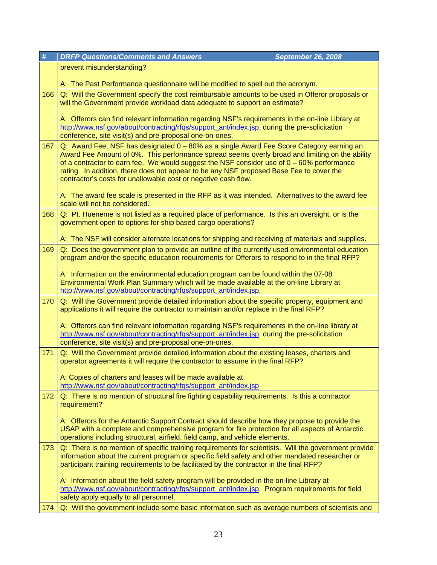| #   | <b>DRFP Questions/Comments and Answers</b><br><b>September 26, 2008</b>                                                                                                                                                                                                                                                                                                                                                                                 |  |
|-----|---------------------------------------------------------------------------------------------------------------------------------------------------------------------------------------------------------------------------------------------------------------------------------------------------------------------------------------------------------------------------------------------------------------------------------------------------------|--|
|     | prevent misunderstanding?                                                                                                                                                                                                                                                                                                                                                                                                                               |  |
|     | A: The Past Performance questionnaire will be modified to spell out the acronym.                                                                                                                                                                                                                                                                                                                                                                        |  |
| 166 | Q: Will the Government specify the cost reimbursable amounts to be used in Offeror proposals or<br>will the Government provide workload data adequate to support an estimate?                                                                                                                                                                                                                                                                           |  |
|     | A: Offerors can find relevant information regarding NSF's requirements in the on-line Library at<br>http://www.nsf.gov/about/contracting/rfqs/support_ant/index.jsp, during the pre-solicitation                                                                                                                                                                                                                                                        |  |
|     | conference, site visit(s) and pre-proposal one-on-ones.                                                                                                                                                                                                                                                                                                                                                                                                 |  |
| 167 | Q: Award Fee, NSF has designated 0 - 80% as a single Award Fee Score Category earning an<br>Award Fee Amount of 0%. This performance spread seems overly broad and limiting on the ability<br>of a contractor to earn fee. We would suggest the NSF consider use of $0 - 60\%$ performance<br>rating. In addition, there does not appear to be any NSF proposed Base Fee to cover the<br>contractor's costs for unallowable cost or negative cash flow. |  |
|     | A: The award fee scale is presented in the RFP as it was intended. Alternatives to the award fee<br>scale will not be considered.                                                                                                                                                                                                                                                                                                                       |  |
| 168 | Q: Pt. Hueneme is not listed as a required place of performance. Is this an oversight, or is the<br>government open to options for ship based cargo operations?                                                                                                                                                                                                                                                                                         |  |
|     | A: The NSF will consider alternate locations for shipping and receiving of materials and supplies.                                                                                                                                                                                                                                                                                                                                                      |  |
| 169 | Q: Does the government plan to provide an outline of the currently used environmental education<br>program and/or the specific education requirements for Offerors to respond to in the final RFP?                                                                                                                                                                                                                                                      |  |
|     | A: Information on the environmental education program can be found within the 07-08<br>Environmental Work Plan Summary which will be made available at the on-line Library at<br>http://www.nsf.gov/about/contracting/rfqs/support_ant/index.jsp.                                                                                                                                                                                                       |  |
| 170 | Q: Will the Government provide detailed information about the specific property, equipment and<br>applications it will require the contractor to maintain and/or replace in the final RFP?                                                                                                                                                                                                                                                              |  |
|     | A: Offerors can find relevant information regarding NSF's requirements in the on-line library at<br>http://www.nsf.gov/about/contracting/rfgs/support_ant/index.jsp, during the pre-solicitation<br>conference, site visit(s) and pre-proposal one-on-ones.                                                                                                                                                                                             |  |
| 171 | Q: Will the Government provide detailed information about the existing leases, charters and<br>operator agreements it will require the contractor to assume in the final RFP?                                                                                                                                                                                                                                                                           |  |
|     | A: Copies of charters and leases will be made available at<br>http://www.nsf.gov/about/contracting/rfqs/support_ant/index.jsp                                                                                                                                                                                                                                                                                                                           |  |
|     |                                                                                                                                                                                                                                                                                                                                                                                                                                                         |  |
| 172 | Q: There is no mention of structural fire fighting capability requirements. Is this a contractor<br>requirement?                                                                                                                                                                                                                                                                                                                                        |  |
|     | A: Offerors for the Antarctic Support Contract should describe how they propose to provide the<br>USAP with a complete and comprehensive program for fire protection for all aspects of Antarctic<br>operations including structural, airfield, field camp, and vehicle elements.                                                                                                                                                                       |  |
| 173 | Q: There is no mention of specific training requirements for scientists. Will the government provide<br>information about the current program or specific field safety and other mandated researcher or<br>participant training requirements to be facilitated by the contractor in the final RFP?                                                                                                                                                      |  |
|     | A: Information about the field safety program will be provided in the on-line Library at<br>http://www.nsf.gov/about/contracting/rfgs/support_ant/index.jsp. Program requirements for field<br>safety apply equally to all personnel.                                                                                                                                                                                                                   |  |
| 174 | Q: Will the government include some basic information such as average numbers of scientists and                                                                                                                                                                                                                                                                                                                                                         |  |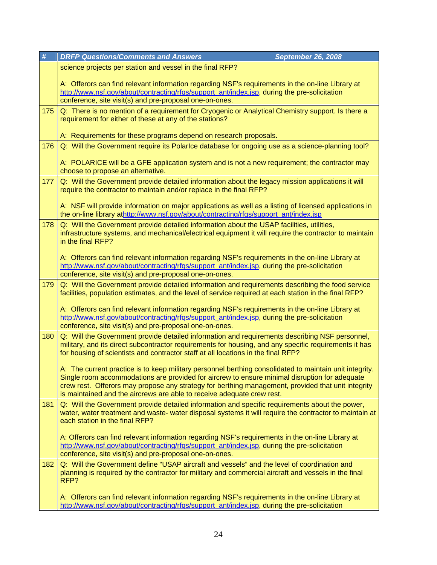| #   | <b>DRFP Questions/Comments and Answers</b><br><b>September 26, 2008</b>                                                                                                                                                                                                                                                                                                                  |
|-----|------------------------------------------------------------------------------------------------------------------------------------------------------------------------------------------------------------------------------------------------------------------------------------------------------------------------------------------------------------------------------------------|
|     | science projects per station and vessel in the final RFP?                                                                                                                                                                                                                                                                                                                                |
|     | A: Offerors can find relevant information regarding NSF's requirements in the on-line Library at<br>http://www.nsf.gov/about/contracting/rfgs/support_ant/index.jsp, during the pre-solicitation<br>conference, site visit(s) and pre-proposal one-on-ones.                                                                                                                              |
| 175 | Q: There is no mention of a requirement for Cryogenic or Analytical Chemistry support. Is there a<br>requirement for either of these at any of the stations?                                                                                                                                                                                                                             |
|     | A: Requirements for these programs depend on research proposals.                                                                                                                                                                                                                                                                                                                         |
| 176 | Q: Will the Government require its Polarice database for ongoing use as a science-planning tool?                                                                                                                                                                                                                                                                                         |
|     | A: POLARICE will be a GFE application system and is not a new requirement; the contractor may<br>choose to propose an alternative.                                                                                                                                                                                                                                                       |
| 177 | Q: Will the Government provide detailed information about the legacy mission applications it will<br>require the contractor to maintain and/or replace in the final RFP?                                                                                                                                                                                                                 |
|     | A: NSF will provide information on major applications as well as a listing of licensed applications in<br>the on-line library athttp://www.nsf.gov/about/contracting/rfqs/support_ant/index.jsp                                                                                                                                                                                          |
| 178 | Q: Will the Government provide detailed information about the USAP facilities, utilities,<br>infrastructure systems, and mechanical/electrical equipment it will require the contractor to maintain<br>in the final RFP?                                                                                                                                                                 |
|     | A: Offerors can find relevant information regarding NSF's requirements in the on-line Library at<br>http://www.nsf.gov/about/contracting/rfqs/support_ant/index.jsp, during the pre-solicitation<br>conference, site visit(s) and pre-proposal one-on-ones.                                                                                                                              |
| 179 | Q: Will the Government provide detailed information and requirements describing the food service<br>facilities, population estimates, and the level of service required at each station in the final RFP?                                                                                                                                                                                |
|     | A: Offerors can find relevant information regarding NSF's requirements in the on-line Library at<br>http://www.nsf.gov/about/contracting/rfqs/support_ant/index.jsp, during the pre-solicitation<br>conference, site visit(s) and pre-proposal one-on-ones.                                                                                                                              |
| 180 | Q: Will the Government provide detailed information and requirements describing NSF personnel,<br>military, and its direct subcontractor requirements for housing, and any specific requirements it has<br>for housing of scientists and contractor staff at all locations in the final RFP?                                                                                             |
|     | A: The current practice is to keep military personnel berthing consolidated to maintain unit integrity.<br>Single room accommodations are provided for aircrew to ensure minimal disruption for adequate<br>crew rest. Offerors may propose any strategy for berthing management, provided that unit integrity<br>is maintained and the aircrews are able to receive adequate crew rest. |
| 181 | Q: Will the Government provide detailed information and specific requirements about the power,<br>water, water treatment and waste- water disposal systems it will require the contractor to maintain at<br>each station in the final RFP?                                                                                                                                               |
|     | A: Offerors can find relevant information regarding NSF's requirements in the on-line Library at<br>http://www.nsf.gov/about/contracting/rfgs/support_ant/index.jsp, during the pre-solicitation<br>conference, site visit(s) and pre-proposal one-on-ones.                                                                                                                              |
| 182 | Q: Will the Government define "USAP aircraft and vessels" and the level of coordination and<br>planning is required by the contractor for military and commercial aircraft and vessels in the final<br>RFP?                                                                                                                                                                              |
|     | A: Offerors can find relevant information regarding NSF's requirements in the on-line Library at<br>http://www.nsf.gov/about/contracting/rfgs/support_ant/index.jsp, during the pre-solicitation                                                                                                                                                                                         |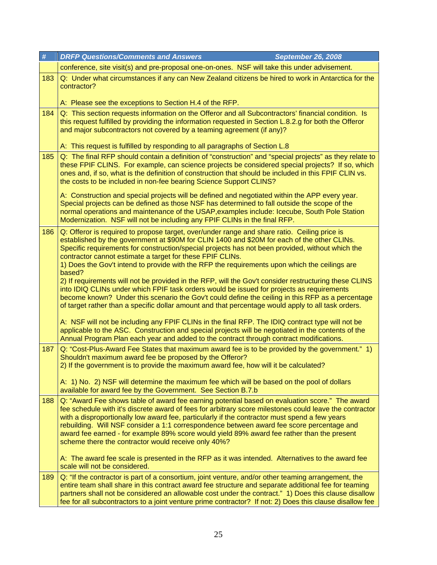| #   | <b>DRFP Questions/Comments and Answers</b><br><b>September 26, 2008</b>                                                                                                                                                                                                                                                                                                                                                                                                                                                                                                                                                                                                                                                                                                                                                                                                                                                                                                                                                                                                                                                                                                                      |  |
|-----|----------------------------------------------------------------------------------------------------------------------------------------------------------------------------------------------------------------------------------------------------------------------------------------------------------------------------------------------------------------------------------------------------------------------------------------------------------------------------------------------------------------------------------------------------------------------------------------------------------------------------------------------------------------------------------------------------------------------------------------------------------------------------------------------------------------------------------------------------------------------------------------------------------------------------------------------------------------------------------------------------------------------------------------------------------------------------------------------------------------------------------------------------------------------------------------------|--|
|     | conference, site visit(s) and pre-proposal one-on-ones. NSF will take this under advisement.                                                                                                                                                                                                                                                                                                                                                                                                                                                                                                                                                                                                                                                                                                                                                                                                                                                                                                                                                                                                                                                                                                 |  |
| 183 | Q: Under what circumstances if any can New Zealand citizens be hired to work in Antarctica for the<br>contractor?                                                                                                                                                                                                                                                                                                                                                                                                                                                                                                                                                                                                                                                                                                                                                                                                                                                                                                                                                                                                                                                                            |  |
|     | A: Please see the exceptions to Section H.4 of the RFP.                                                                                                                                                                                                                                                                                                                                                                                                                                                                                                                                                                                                                                                                                                                                                                                                                                                                                                                                                                                                                                                                                                                                      |  |
| 184 | Q: This section requests information on the Offeror and all Subcontractors' financial condition. Is<br>this request fulfilled by providing the information requested in Section L.8.2.g for both the Offeror<br>and major subcontractors not covered by a teaming agreement (if any)?<br>A: This request is fulfilled by responding to all paragraphs of Section L.8                                                                                                                                                                                                                                                                                                                                                                                                                                                                                                                                                                                                                                                                                                                                                                                                                         |  |
| 185 | Q: The final RFP should contain a definition of "construction" and "special projects" as they relate to<br>these FPIF CLINS. For example, can science projects be considered special projects? If so, which<br>ones and, if so, what is the definition of construction that should be included in this FPIF CLIN vs.<br>the costs to be included in non-fee bearing Science Support CLINS?<br>A: Construction and special projects will be defined and negotiated within the APP every year.<br>Special projects can be defined as those NSF has determined to fall outside the scope of the<br>normal operations and maintenance of the USAP, examples include: Icecube, South Pole Station<br>Modernization. NSF will not be including any FPIF CLINs in the final RFP.                                                                                                                                                                                                                                                                                                                                                                                                                    |  |
| 186 | Q: Offeror is required to propose target, over/under range and share ratio. Ceiling price is<br>established by the government at \$90M for CLIN 1400 and \$20M for each of the other CLINs.<br>Specific requirements for construction/special projects has not been provided, without which the<br>contractor cannot estimate a target for these FPIF CLINs.<br>1) Does the Gov't intend to provide with the RFP the requirements upon which the ceilings are<br>based?<br>2) If requirements will not be provided in the RFP, will the Gov't consider restructuring these CLINS<br>into IDIQ CLINs under which FPIF task orders would be issued for projects as requirements<br>become known? Under this scenario the Gov't could define the ceiling in this RFP as a percentage<br>of target rather than a specific dollar amount and that percentage would apply to all task orders.<br>A: NSF will not be including any FPIF CLINs in the final RFP. The IDIQ contract type will not be<br>applicable to the ASC. Construction and special projects will be negotiated in the contents of the<br>Annual Program Plan each year and added to the contract through contract modifications. |  |
| 187 | Q: "Cost-Plus-Award Fee States that maximum award fee is to be provided by the government." 1)<br>Shouldn't maximum award fee be proposed by the Offeror?<br>2) If the government is to provide the maximum award fee, how will it be calculated?<br>A: 1) No. 2) NSF will determine the maximum fee which will be based on the pool of dollars<br>available for award fee by the Government. See Section B.7.b                                                                                                                                                                                                                                                                                                                                                                                                                                                                                                                                                                                                                                                                                                                                                                              |  |
| 188 | Q: "Award Fee shows table of award fee earning potential based on evaluation score." The award<br>fee schedule with it's discrete award of fees for arbitrary score milestones could leave the contractor<br>with a disproportionally low award fee, particularly if the contractor must spend a few years<br>rebuilding. Will NSF consider a 1:1 correspondence between award fee score percentage and<br>award fee earned - for example 89% score would yield 89% award fee rather than the present<br>scheme there the contractor would receive only 40%?<br>A: The award fee scale is presented in the RFP as it was intended. Alternatives to the award fee<br>scale will not be considered.                                                                                                                                                                                                                                                                                                                                                                                                                                                                                            |  |
| 189 | Q: "If the contractor is part of a consortium, joint venture, and/or other teaming arrangement, the<br>entire team shall share in this contract award fee structure and separate additional fee for teaming<br>partners shall not be considered an allowable cost under the contract." 1) Does this clause disallow<br>fee for all subcontractors to a joint venture prime contractor? If not: 2) Does this clause disallow fee                                                                                                                                                                                                                                                                                                                                                                                                                                                                                                                                                                                                                                                                                                                                                              |  |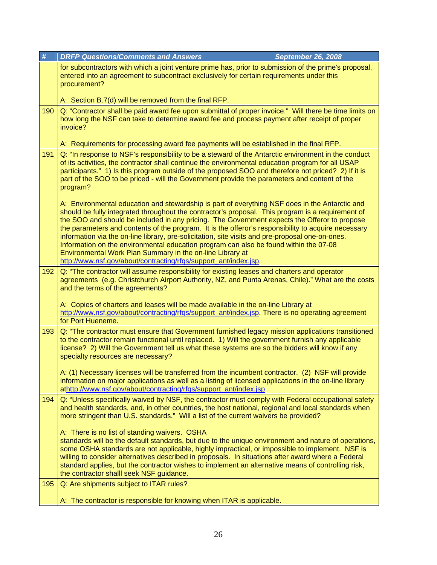|                 | #   | <b>DRFP Questions/Comments and Answers</b><br><b>September 26, 2008</b>                                                                                                                                                                                                                                                                                                                                                                                                                                                                                                                                                                                                                                                                  |
|-----------------|-----|------------------------------------------------------------------------------------------------------------------------------------------------------------------------------------------------------------------------------------------------------------------------------------------------------------------------------------------------------------------------------------------------------------------------------------------------------------------------------------------------------------------------------------------------------------------------------------------------------------------------------------------------------------------------------------------------------------------------------------------|
|                 |     | for subcontractors with which a joint venture prime has, prior to submission of the prime's proposal,<br>entered into an agreement to subcontract exclusively for certain requirements under this<br>procurement?                                                                                                                                                                                                                                                                                                                                                                                                                                                                                                                        |
|                 |     | A: Section B.7(d) will be removed from the final RFP.                                                                                                                                                                                                                                                                                                                                                                                                                                                                                                                                                                                                                                                                                    |
|                 | 190 | Q: "Contractor shall be paid award fee upon submittal of proper invoice." Will there be time limits on<br>how long the NSF can take to determine award fee and process payment after receipt of proper<br>invoice?                                                                                                                                                                                                                                                                                                                                                                                                                                                                                                                       |
|                 |     | A: Requirements for processing award fee payments will be established in the final RFP.                                                                                                                                                                                                                                                                                                                                                                                                                                                                                                                                                                                                                                                  |
| 191<br>program? |     | Q: "In response to NSF's responsibility to be a steward of the Antarctic environment in the conduct<br>of its activities, the contractor shall continue the environmental education program for all USAP<br>participants." 1) Is this program outside of the proposed SOO and therefore not priced? 2) If it is<br>part of the SOO to be priced - will the Government provide the parameters and content of the                                                                                                                                                                                                                                                                                                                          |
|                 |     | A: Environmental education and stewardship is part of everything NSF does in the Antarctic and<br>should be fully integrated throughout the contractor's proposal. This program is a requirement of<br>the SOO and should be included in any pricing. The Government expects the Offeror to propose<br>the parameters and contents of the program. It is the offeror's responsibility to acquire necessary<br>information via the on-line library, pre-solicitation, site visits and pre-proposal one-on-ones.<br>Information on the environmental education program can also be found within the 07-08<br>Environmental Work Plan Summary in the on-line Library at<br>http://www.nsf.gov/about/contracting/rfqs/support_ant/index.jsp. |
|                 | 192 | Q: "The contractor will assume responsibility for existing leases and charters and operator<br>agreements (e.g. Christchurch Airport Authority, NZ, and Punta Arenas, Chile)." What are the costs<br>and the terms of the agreements?                                                                                                                                                                                                                                                                                                                                                                                                                                                                                                    |
|                 |     | A: Copies of charters and leases will be made available in the on-line Library at<br>http://www.nsf.gov/about/contracting/rfgs/support_ant/index.jsp. There is no operating agreement<br>for Port Hueneme.                                                                                                                                                                                                                                                                                                                                                                                                                                                                                                                               |
|                 | 193 | Q: "The contractor must ensure that Government furnished legacy mission applications transitioned<br>to the contractor remain functional until replaced. 1) Will the government furnish any applicable<br>license? 2) Will the Government tell us what these systems are so the bidders will know if any<br>specialty resources are necessary?                                                                                                                                                                                                                                                                                                                                                                                           |
|                 |     | A: (1) Necessary licenses will be transferred from the incumbent contractor. (2) NSF will provide<br>information on major applications as well as a listing of licensed applications in the on-line library<br>athttp://www.nsf.gov/about/contracting/rfqs/support_ant/index.jsp                                                                                                                                                                                                                                                                                                                                                                                                                                                         |
|                 | 194 | Q: "Unless specifically waived by NSF, the contractor must comply with Federal occupational safety<br>and health standards, and, in other countries, the host national, regional and local standards when<br>more stringent than U.S. standards." Will a list of the current waivers be provided?                                                                                                                                                                                                                                                                                                                                                                                                                                        |
|                 |     | A: There is no list of standing waivers. OSHA<br>standards will be the default standards, but due to the unique environment and nature of operations,<br>some OSHA standards are not applicable, highly impractical, or impossible to implement. NSF is<br>willing to consider alternatives described in proposals. In situations after award where a Federal<br>standard applies, but the contractor wishes to implement an alternative means of controlling risk,<br>the contractor shalll seek NSF guidance.                                                                                                                                                                                                                          |
|                 | 195 | Q: Are shipments subject to ITAR rules?                                                                                                                                                                                                                                                                                                                                                                                                                                                                                                                                                                                                                                                                                                  |
|                 |     | A: The contractor is responsible for knowing when ITAR is applicable.                                                                                                                                                                                                                                                                                                                                                                                                                                                                                                                                                                                                                                                                    |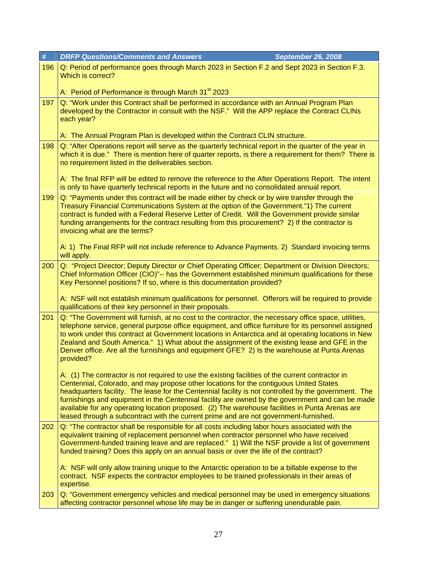| $\#$                                                                                                                                                                                                                                                                         | <b>DRFP Questions/Comments and Answers</b><br><b>September 26, 2008</b>                                                                                                                                                                                                                                                                                                                                                                                                                                                                                                                              |
|------------------------------------------------------------------------------------------------------------------------------------------------------------------------------------------------------------------------------------------------------------------------------|------------------------------------------------------------------------------------------------------------------------------------------------------------------------------------------------------------------------------------------------------------------------------------------------------------------------------------------------------------------------------------------------------------------------------------------------------------------------------------------------------------------------------------------------------------------------------------------------------|
| 196                                                                                                                                                                                                                                                                          | Q: Period of performance goes through March 2023 in Section F.2 and Sept 2023 in Section F.3.<br>Which is correct?                                                                                                                                                                                                                                                                                                                                                                                                                                                                                   |
|                                                                                                                                                                                                                                                                              | A: Period of Performance is through March 31 <sup>st</sup> 2023                                                                                                                                                                                                                                                                                                                                                                                                                                                                                                                                      |
| 197                                                                                                                                                                                                                                                                          | Q: "Work under this Contract shall be performed in accordance with an Annual Program Plan<br>developed by the Contractor in consult with the NSF." Will the APP replace the Contract CLINs<br>each year?                                                                                                                                                                                                                                                                                                                                                                                             |
|                                                                                                                                                                                                                                                                              | A: The Annual Program Plan is developed within the Contract CLIN structure.                                                                                                                                                                                                                                                                                                                                                                                                                                                                                                                          |
| 198<br>Q: "After Operations report will serve as the quarterly technical report in the quarter of the year in<br>which it is due." There is mention here of quarter reports, is there a requirement for them? There is<br>no requirement listed in the deliverables section. |                                                                                                                                                                                                                                                                                                                                                                                                                                                                                                                                                                                                      |
|                                                                                                                                                                                                                                                                              | A: The final RFP will be edited to remove the reference to the After Operations Report. The intent<br>is only to have quarterly technical reports in the future and no consolidated annual report.                                                                                                                                                                                                                                                                                                                                                                                                   |
| 199                                                                                                                                                                                                                                                                          | Q: "Payments under this contract will be made either by check or by wire transfer through the<br>Treasury Financial Communications System at the option of the Government."1) The current<br>contract is funded with a Federal Reserve Letter of Credit. Will the Government provide similar<br>funding arrangements for the contract resulting from this procurement? 2) If the contractor is<br>invoicing what are the terms?                                                                                                                                                                      |
|                                                                                                                                                                                                                                                                              | A: 1) The Final RFP will not include reference to Advance Payments. 2) Standard invoicing terms<br>will apply.                                                                                                                                                                                                                                                                                                                                                                                                                                                                                       |
| 200                                                                                                                                                                                                                                                                          | Q: "Project Director; Deputy Director or Chief Operating Officer; Department or Division Directors;<br>Chief Information Officer (CIO)"-- has the Government established minimum qualifications for these<br>Key Personnel positions? If so, where is this documentation provided?                                                                                                                                                                                                                                                                                                                   |
|                                                                                                                                                                                                                                                                              | A: NSF will not establish minimum qualifications for personnel. Offerors will be required to provide<br>qualifications of their key personnel in their proposals.                                                                                                                                                                                                                                                                                                                                                                                                                                    |
| 201                                                                                                                                                                                                                                                                          | Q: "The Government will furnish, at no cost to the contractor, the necessary office space, utilities,<br>telephone service, general purpose office equipment, and office furniture for its personnel assigned<br>to work under this contract at Government locations in Antarctica and at operating locations in New<br>Zealand and South America." 1) What about the assignment of the existing lease and GFE in the<br>Denver office. Are all the furnishings and equipment GFE? 2) Is the warehouse at Punta Arenas<br>provided?                                                                  |
|                                                                                                                                                                                                                                                                              | A: (1) The contractor is not required to use the existing facilities of the current contractor in<br>Centennial, Colorado, and may propose other locations for the contiguous United States<br>headquarters facility. The lease for the Centennial facility is not controlled by the government. The<br>furnishings and equipment in the Centennial facility are owned by the government and can be made<br>available for any operating location proposed. (2) The warehouse facilities in Punta Arenas are<br>leased through a subcontract with the current prime and are not government-furnished. |
| 202                                                                                                                                                                                                                                                                          | Q: "The contractor shall be responsible for all costs including labor hours associated with the<br>equivalent training of replacement personnel when contractor personnel who have received<br>Government-funded training leave and are replaced." 1) Will the NSF provide a list of government<br>funded training? Does this apply on an annual basis or over the life of the contract?                                                                                                                                                                                                             |
|                                                                                                                                                                                                                                                                              | A: NSF will only allow training unique to the Antarctic operation to be a billable expense to the<br>contract. NSF expects the contractor employees to be trained professionals in their areas of<br>expertise.                                                                                                                                                                                                                                                                                                                                                                                      |
| 203                                                                                                                                                                                                                                                                          | Q: "Government emergency vehicles and medical personnel may be used in emergency situations<br>affecting contractor personnel whose life may be in danger or suffering unendurable pain.                                                                                                                                                                                                                                                                                                                                                                                                             |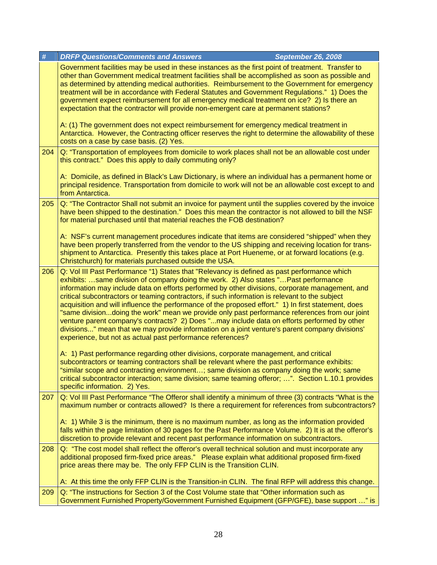| #   | <b>DRFP Questions/Comments and Answers</b><br><b>September 26, 2008</b>                                                                                                                                                                                                                                                                                                                                                                                                                                                                                                                                                                                                                                                                                                                                                                                        |  |  |
|-----|----------------------------------------------------------------------------------------------------------------------------------------------------------------------------------------------------------------------------------------------------------------------------------------------------------------------------------------------------------------------------------------------------------------------------------------------------------------------------------------------------------------------------------------------------------------------------------------------------------------------------------------------------------------------------------------------------------------------------------------------------------------------------------------------------------------------------------------------------------------|--|--|
|     | Government facilities may be used in these instances as the first point of treatment. Transfer to<br>other than Government medical treatment facilities shall be accomplished as soon as possible and<br>as determined by attending medical authorities. Reimbursement to the Government for emergency<br>treatment will be in accordance with Federal Statutes and Government Regulations." 1) Does the<br>government expect reimbursement for all emergency medical treatment on ice? 2) Is there an<br>expectation that the contractor will provide non-emergent care at permanent stations?                                                                                                                                                                                                                                                                |  |  |
|     | A: (1) The government does not expect reimbursement for emergency medical treatment in<br>Antarctica. However, the Contracting officer reserves the right to determine the allowability of these<br>costs on a case by case basis. (2) Yes.                                                                                                                                                                                                                                                                                                                                                                                                                                                                                                                                                                                                                    |  |  |
| 204 | Q: "Transportation of employees from domicile to work places shall not be an allowable cost under<br>this contract." Does this apply to daily commuting only?                                                                                                                                                                                                                                                                                                                                                                                                                                                                                                                                                                                                                                                                                                  |  |  |
|     | A: Domicile, as defined in Black's Law Dictionary, is where an individual has a permanent home or<br>principal residence. Transportation from domicile to work will not be an allowable cost except to and<br>from Antarctica.                                                                                                                                                                                                                                                                                                                                                                                                                                                                                                                                                                                                                                 |  |  |
| 205 | Q: "The Contractor Shall not submit an invoice for payment until the supplies covered by the invoice<br>have been shipped to the destination." Does this mean the contractor is not allowed to bill the NSF<br>for material purchased until that material reaches the FOB destination?                                                                                                                                                                                                                                                                                                                                                                                                                                                                                                                                                                         |  |  |
|     | A: NSF's current management procedures indicate that items are considered "shipped" when they<br>have been properly transferred from the vendor to the US shipping and receiving location for trans-<br>shipment to Antarctica. Presently this takes place at Port Hueneme, or at forward locations (e.g.<br>Christchurch) for materials purchased outside the USA.                                                                                                                                                                                                                                                                                                                                                                                                                                                                                            |  |  |
| 206 | Q: Vol III Past Performance "1) States that "Relevancy is defined as past performance which<br>exhibits: same division of company doing the work. 2) Also states "Past performance<br>information may include data on efforts performed by other divisions, corporate management, and<br>critical subcontractors or teaming contractors, if such information is relevant to the subject<br>acquisition and will influence the performance of the proposed effort." 1) In first statement, does<br>"same divisiondoing the work" mean we provide only past performance references from our joint<br>venture parent company's contracts? 2) Does "may include data on efforts performed by other<br>divisions" mean that we may provide information on a joint venture's parent company divisions'<br>experience, but not as actual past performance references? |  |  |
|     | A: 1) Past performance regarding other divisions, corporate management, and critical<br>subcontractors or teaming contractors shall be relevant where the past performance exhibits:<br>"similar scope and contracting environment; same division as company doing the work; same<br>critical subcontractor interaction; same division; same teaming offeror; ". Section L.10.1 provides<br>specific information. 2) Yes.                                                                                                                                                                                                                                                                                                                                                                                                                                      |  |  |
| 207 | Q: Vol III Past Performance "The Offeror shall identify a minimum of three (3) contracts "What is the<br>maximum number or contracts allowed? Is there a requirement for references from subcontractors?                                                                                                                                                                                                                                                                                                                                                                                                                                                                                                                                                                                                                                                       |  |  |
|     | A: 1) While 3 is the minimum, there is no maximum number, as long as the information provided<br>falls within the page limitation of 30 pages for the Past Performance Volume. 2) It is at the offeror's<br>discretion to provide relevant and recent past performance information on subcontractors.                                                                                                                                                                                                                                                                                                                                                                                                                                                                                                                                                          |  |  |
| 208 | Q: "The cost model shall reflect the offeror's overall technical solution and must incorporate any<br>additional proposed firm-fixed price areas." Please explain what additional proposed firm-fixed<br>price areas there may be. The only FFP CLIN is the Transition CLIN.                                                                                                                                                                                                                                                                                                                                                                                                                                                                                                                                                                                   |  |  |
|     | A: At this time the only FFP CLIN is the Transition-in CLIN. The final RFP will address this change.                                                                                                                                                                                                                                                                                                                                                                                                                                                                                                                                                                                                                                                                                                                                                           |  |  |
| 209 | Q: "The instructions for Section 3 of the Cost Volume state that "Other information such as<br>Government Furnished Property/Government Furnished Equipment (GFP/GFE), base support " is                                                                                                                                                                                                                                                                                                                                                                                                                                                                                                                                                                                                                                                                       |  |  |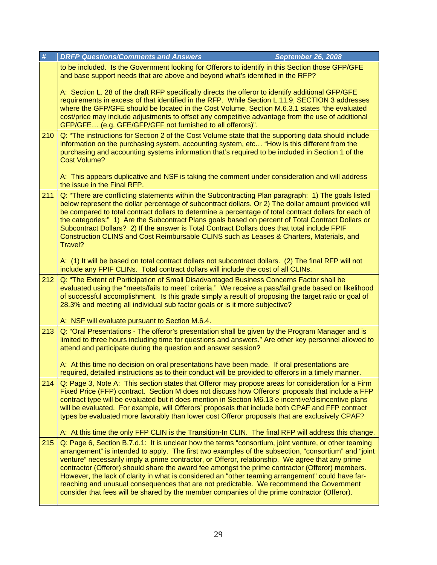| $\#$                                                                                                                                                                                                                                                                              | <b>DRFP Questions/Comments and Answers</b>                                                                                                                                                                                                                                                                                                                                                                                                                                                                                                                                                                                                                                                                          | <b>September 26, 2008</b> |
|-----------------------------------------------------------------------------------------------------------------------------------------------------------------------------------------------------------------------------------------------------------------------------------|---------------------------------------------------------------------------------------------------------------------------------------------------------------------------------------------------------------------------------------------------------------------------------------------------------------------------------------------------------------------------------------------------------------------------------------------------------------------------------------------------------------------------------------------------------------------------------------------------------------------------------------------------------------------------------------------------------------------|---------------------------|
|                                                                                                                                                                                                                                                                                   | to be included. Is the Government looking for Offerors to identify in this Section those GFP/GFE<br>and base support needs that are above and beyond what's identified in the RFP?                                                                                                                                                                                                                                                                                                                                                                                                                                                                                                                                  |                           |
|                                                                                                                                                                                                                                                                                   | A: Section L. 28 of the draft RFP specifically directs the offeror to identify additional GFP/GFE<br>requirements in excess of that identified in the RFP. While Section L.11.9, SECTION 3 addresses<br>where the GFP/GFE should be located in the Cost Volume, Section M.6.3.1 states "the evaluated<br>cost/price may include adjustments to offset any competitive advantage from the use of additional<br>GFP/GFE (e.g. GFE/GFP/GFF not furnished to all offerors)".                                                                                                                                                                                                                                            |                           |
| 210                                                                                                                                                                                                                                                                               | Q: "The instructions for Section 2 of the Cost Volume state that the supporting data should include<br>information on the purchasing system, accounting system, etc "How is this different from the<br>purchasing and accounting systems information that's required to be included in Section 1 of the<br><b>Cost Volume?</b>                                                                                                                                                                                                                                                                                                                                                                                      |                           |
|                                                                                                                                                                                                                                                                                   | A: This appears duplicative and NSF is taking the comment under consideration and will address<br>the issue in the Final RFP.                                                                                                                                                                                                                                                                                                                                                                                                                                                                                                                                                                                       |                           |
| 211                                                                                                                                                                                                                                                                               | Q: "There are conflicting statements within the Subcontracting Plan paragraph: 1) The goals listed<br>below represent the dollar percentage of subcontract dollars. Or 2) The dollar amount provided will<br>be compared to total contract dollars to determine a percentage of total contract dollars for each of<br>the categories:" 1) Are the Subcontract Plans goals based on percent of Total Contract Dollars or<br>Subcontract Dollars? 2) If the answer is Total Contract Dollars does that total include FPIF<br>Construction CLINS and Cost Reimbursable CLINS such as Leases & Charters, Materials, and<br>Travel?                                                                                      |                           |
|                                                                                                                                                                                                                                                                                   | A: (1) It will be based on total contract dollars not subcontract dollars. (2) The final RFP will not<br>include any FPIF CLINs. Total contract dollars will include the cost of all CLINs.                                                                                                                                                                                                                                                                                                                                                                                                                                                                                                                         |                           |
| 212                                                                                                                                                                                                                                                                               | Q: "The Extent of Participation of Small Disadvantaged Business Concerns Factor shall be<br>evaluated using the "meets/fails to meet" criteria." We receive a pass/fail grade based on likelihood<br>of successful accomplishment. Is this grade simply a result of proposing the target ratio or goal of<br>28.3% and meeting all individual sub factor goals or is it more subjective?                                                                                                                                                                                                                                                                                                                            |                           |
|                                                                                                                                                                                                                                                                                   | A: NSF will evaluate pursuant to Section M.6.4.                                                                                                                                                                                                                                                                                                                                                                                                                                                                                                                                                                                                                                                                     |                           |
| 213<br>Q: "Oral Presentations - The offeror's presentation shall be given by the Program Manager and is<br>limited to three hours including time for questions and answers." Are other key personnel allowed to<br>attend and participate during the question and answer session? |                                                                                                                                                                                                                                                                                                                                                                                                                                                                                                                                                                                                                                                                                                                     |                           |
|                                                                                                                                                                                                                                                                                   | A: At this time no decision on oral presentations have been made. If oral presentations are<br>required, detailed instructions as to their conduct will be provided to offerors in a timely manner.                                                                                                                                                                                                                                                                                                                                                                                                                                                                                                                 |                           |
| 214                                                                                                                                                                                                                                                                               | Q: Page 3, Note A: This section states that Offeror may propose areas for consideration for a Firm<br>Fixed Price (FFP) contract. Section M does not discuss how Offerors' proposals that include a FFP<br>contract type will be evaluated but it does mention in Section M6.13 e incentive/disincentive plans<br>will be evaluated. For example, will Offerors' proposals that include both CPAF and FFP contract<br>types be evaluated more favorably than lower cost Offeror proposals that are exclusively CPAF?<br>A: At this time the only FFP CLIN is the Transition-In CLIN. The final RFP will address this change.                                                                                        |                           |
| 215                                                                                                                                                                                                                                                                               | Q: Page 6, Section B.7.d.1: It is unclear how the terms "consortium, joint venture, or other teaming<br>arrangement" is intended to apply. The first two examples of the subsection, "consortium" and "joint<br>venture" necessarily imply a prime contractor, or Offeror, relationship. We agree that any prime<br>contractor (Offeror) should share the award fee amongst the prime contractor (Offeror) members.<br>However, the lack of clarity in what is considered an "other teaming arrangement" could have far-<br>reaching and unusual consequences that are not predictable. We recommend the Government<br>consider that fees will be shared by the member companies of the prime contractor (Offeror). |                           |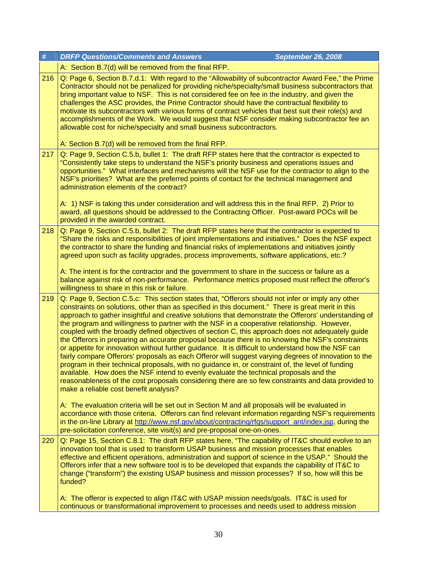| $\pmb{\#}$ | <b>DRFP Questions/Comments and Answers</b>                                                                                                                                                                                                                                                                                                                                                                                                                                                                                                                                                                                                                                                                                                                                                                                                                                                                                                                                                                                                                                                                                                                                         | <b>September 26, 2008</b> |
|------------|------------------------------------------------------------------------------------------------------------------------------------------------------------------------------------------------------------------------------------------------------------------------------------------------------------------------------------------------------------------------------------------------------------------------------------------------------------------------------------------------------------------------------------------------------------------------------------------------------------------------------------------------------------------------------------------------------------------------------------------------------------------------------------------------------------------------------------------------------------------------------------------------------------------------------------------------------------------------------------------------------------------------------------------------------------------------------------------------------------------------------------------------------------------------------------|---------------------------|
|            | A: Section B.7(d) will be removed from the final RFP.                                                                                                                                                                                                                                                                                                                                                                                                                                                                                                                                                                                                                                                                                                                                                                                                                                                                                                                                                                                                                                                                                                                              |                           |
| 216        | Q: Page 6, Section B.7.d.1: With regard to the "Allowability of subcontractor Award Fee," the Prime<br>Contractor should not be penalized for providing niche/specialty/small business subcontractors that<br>bring important value to NSF. This is not considered fee on fee in the industry, and given the<br>challenges the ASC provides, the Prime Contractor should have the contractual flexibility to<br>motivate its subcontractors with various forms of contract vehicles that best suit their role(s) and<br>accomplishments of the Work. We would suggest that NSF consider making subcontractor fee an<br>allowable cost for niche/specialty and small business subcontractors.<br>A: Section B.7(d) will be removed from the final RFP.                                                                                                                                                                                                                                                                                                                                                                                                                              |                           |
| 217        | Q: Page 9, Section C.5.b, bullet 1: The draft RFP states here that the contractor is expected to                                                                                                                                                                                                                                                                                                                                                                                                                                                                                                                                                                                                                                                                                                                                                                                                                                                                                                                                                                                                                                                                                   |                           |
|            | "Consistently take steps to understand the NSF's priority business and operations issues and<br>opportunities." What interfaces and mechanisms will the NSF use for the contractor to align to the<br>NSF's priorities? What are the preferred points of contact for the technical management and<br>administration elements of the contract?<br>A: 1) NSF is taking this under consideration and will address this in the final RFP. 2) Prior to<br>award, all questions should be addressed to the Contracting Officer. Post-award POCs will be                                                                                                                                                                                                                                                                                                                                                                                                                                                                                                                                                                                                                                  |                           |
|            | provided in the awarded contract.                                                                                                                                                                                                                                                                                                                                                                                                                                                                                                                                                                                                                                                                                                                                                                                                                                                                                                                                                                                                                                                                                                                                                  |                           |
| 218        | Q: Page 9, Section C.5.b, bullet 2: The draft RFP states here that the contractor is expected to<br>"Share the risks and responsibilities of joint implementations and initiatives." Does the NSF expect<br>the contractor to share the funding and financial risks of implementations and initiatives jointly<br>agreed upon such as facility upgrades, process improvements, software applications, etc.?<br>A: The intent is for the contractor and the government to share in the success or failure as a                                                                                                                                                                                                                                                                                                                                                                                                                                                                                                                                                                                                                                                                      |                           |
|            | balance against risk of non-performance. Performance metrics proposed must reflect the offeror's<br>willingness to share in this risk or failure.                                                                                                                                                                                                                                                                                                                                                                                                                                                                                                                                                                                                                                                                                                                                                                                                                                                                                                                                                                                                                                  |                           |
| 219        | Q: Page 9, Section C.5.c: This section states that, "Offerors should not infer or imply any other<br>constraints on solutions, other than as specified in this document." There is great merit in this<br>approach to gather insightful and creative solutions that demonstrate the Offerors' understanding of<br>the program and willingness to partner with the NSF in a cooperative relationship. However,<br>coupled with the broadly defined objectives of section C, this approach does not adequately guide<br>the Offerors in preparing an accurate proposal because there is no knowing the NSF's constraints<br>or appetite for innovation without further guidance. It is difficult to understand how the NSF can<br>fairly compare Offerors' proposals as each Offeror will suggest varying degrees of innovation to the<br>program in their technical proposals, with no guidance in, or constraint of, the level of funding<br>available. How does the NSF intend to evenly evaluate the technical proposals and the<br>reasonableness of the cost proposals considering there are so few constraints and data provided to<br>make a reliable cost benefit analysis? |                           |
|            | A: The evaluation criteria will be set out in Section M and all proposals will be evaluated in<br>accordance with those criteria. Offerors can find relevant information regarding NSF's requirements<br>in the on-line Library at http://www.nsf.gov/about/contracting/rfqs/support_ant/index.jsp, during the<br>pre-solicitation conference, site visit(s) and pre-proposal one-on-ones.                                                                                                                                                                                                                                                                                                                                                                                                                                                                                                                                                                                                                                                                                                                                                                                         |                           |
| 220        | Q: Page 15, Section C.8.1: The draft RFP states here, "The capability of IT&C should evolve to an<br>innovation tool that is used to transform USAP business and mission processes that enables<br>effective and efficient operations, administration and support of science in the USAP." Should the<br>Offerors infer that a new software tool is to be developed that expands the capability of IT&C to<br>change ("transform") the existing USAP business and mission processes? If so, how will this be<br>funded?                                                                                                                                                                                                                                                                                                                                                                                                                                                                                                                                                                                                                                                            |                           |
|            | A: The offeror is expected to align IT&C with USAP mission needs/goals. IT&C is used for<br>continuous or transformational improvement to processes and needs used to address mission                                                                                                                                                                                                                                                                                                                                                                                                                                                                                                                                                                                                                                                                                                                                                                                                                                                                                                                                                                                              |                           |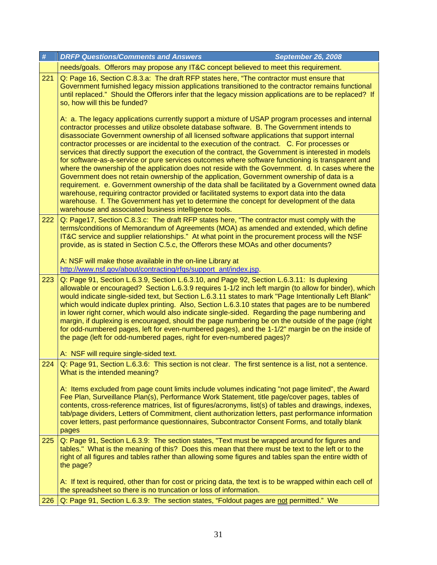| #   | <b>DRFP Questions/Comments and Answers</b><br><b>September 26, 2008</b>                                                                                                                                                                                                                                                                                                                                                                                                                                                                                                                                                                                                                                                                                                                                                                                                                                                                                                                                                                                                                                                                                                  |
|-----|--------------------------------------------------------------------------------------------------------------------------------------------------------------------------------------------------------------------------------------------------------------------------------------------------------------------------------------------------------------------------------------------------------------------------------------------------------------------------------------------------------------------------------------------------------------------------------------------------------------------------------------------------------------------------------------------------------------------------------------------------------------------------------------------------------------------------------------------------------------------------------------------------------------------------------------------------------------------------------------------------------------------------------------------------------------------------------------------------------------------------------------------------------------------------|
|     | needs/goals. Offerors may propose any IT&C concept believed to meet this requirement.                                                                                                                                                                                                                                                                                                                                                                                                                                                                                                                                                                                                                                                                                                                                                                                                                                                                                                                                                                                                                                                                                    |
| 221 | Q: Page 16, Section C.8.3.a: The draft RFP states here, "The contractor must ensure that<br>Government furnished legacy mission applications transitioned to the contractor remains functional<br>until replaced." Should the Offerors infer that the legacy mission applications are to be replaced? If<br>so, how will this be funded?                                                                                                                                                                                                                                                                                                                                                                                                                                                                                                                                                                                                                                                                                                                                                                                                                                 |
|     | A: a. The legacy applications currently support a mixture of USAP program processes and internal<br>contractor processes and utilize obsolete database software. B. The Government intends to<br>disassociate Government ownership of all licensed software applications that support internal<br>contractor processes or are incidental to the execution of the contract. C. For processes or<br>services that directly support the execution of the contract, the Government is interested in models<br>for software-as-a-service or pure services outcomes where software functioning is transparent and<br>where the ownership of the application does not reside with the Government. d. In cases where the<br>Government does not retain ownership of the application, Government ownership of data is a<br>requirement. e. Government ownership of the data shall be facilitated by a Government owned data<br>warehouse, requiring contractor provided or facilitated systems to export data into the data<br>warehouse. f. The Government has yet to determine the concept for development of the data<br>warehouse and associated business intelligence tools. |
| 222 | Q: Page17, Section C.8.3.c: The draft RFP states here, "The contractor must comply with the<br>terms/conditions of Memorandum of Agreements (MOA) as amended and extended, which define<br>IT&C service and supplier relationships." At what point in the procurement process will the NSF<br>provide, as is stated in Section C.5.c, the Offerors these MOAs and other documents?                                                                                                                                                                                                                                                                                                                                                                                                                                                                                                                                                                                                                                                                                                                                                                                       |
|     | A: NSF will make those available in the on-line Library at<br>http://www.nsf.gov/about/contracting/rfqs/support_ant/index.jsp.                                                                                                                                                                                                                                                                                                                                                                                                                                                                                                                                                                                                                                                                                                                                                                                                                                                                                                                                                                                                                                           |
| 223 | Q: Page 91, Section L.6.3.9, Section L.6.3.10, and Page 92, Section L.6.3.11: Is duplexing<br>allowable or encouraged? Section L.6.3.9 requires 1-1/2 inch left margin (to allow for binder), which<br>would indicate single-sided text, but Section L.6.3.11 states to mark "Page Intentionally Left Blank"<br>which would indicate duplex printing. Also, Section L.6.3.10 states that pages are to be numbered<br>in lower right corner, which would also indicate single-sided. Regarding the page numbering and<br>margin, if duplexing is encouraged, should the page numbering be on the outside of the page (right<br>for odd-numbered pages, left for even-numbered pages), and the 1-1/2" margin be on the inside of<br>the page (left for odd-numbered pages, right for even-numbered pages)?                                                                                                                                                                                                                                                                                                                                                                 |
|     | A: NSF will require single-sided text.                                                                                                                                                                                                                                                                                                                                                                                                                                                                                                                                                                                                                                                                                                                                                                                                                                                                                                                                                                                                                                                                                                                                   |
| 224 | Q: Page 91, Section L.6.3.6: This section is not clear. The first sentence is a list, not a sentence.<br>What is the intended meaning?                                                                                                                                                                                                                                                                                                                                                                                                                                                                                                                                                                                                                                                                                                                                                                                                                                                                                                                                                                                                                                   |
|     | A: Items excluded from page count limits include volumes indicating "not page limited", the Award<br>Fee Plan, Surveillance Plan(s), Performance Work Statement, title page/cover pages, tables of<br>contents, cross-reference matrices, list of figures/acronyms, list(s) of tables and drawings, indexes,<br>tab/page dividers, Letters of Commitment, client authorization letters, past performance information<br>cover letters, past performance questionnaires, Subcontractor Consent Forms, and totally blank<br>pages                                                                                                                                                                                                                                                                                                                                                                                                                                                                                                                                                                                                                                          |
| 225 | Q: Page 91, Section L.6.3.9: The section states, "Text must be wrapped around for figures and<br>tables." What is the meaning of this? Does this mean that there must be text to the left or to the<br>right of all figures and tables rather than allowing some figures and tables span the entire width of<br>the page?                                                                                                                                                                                                                                                                                                                                                                                                                                                                                                                                                                                                                                                                                                                                                                                                                                                |
|     | A: If text is required, other than for cost or pricing data, the text is to be wrapped within each cell of<br>the spreadsheet so there is no truncation or loss of information.                                                                                                                                                                                                                                                                                                                                                                                                                                                                                                                                                                                                                                                                                                                                                                                                                                                                                                                                                                                          |
| 226 | Q: Page 91, Section L.6.3.9: The section states, "Foldout pages are not permitted." We                                                                                                                                                                                                                                                                                                                                                                                                                                                                                                                                                                                                                                                                                                                                                                                                                                                                                                                                                                                                                                                                                   |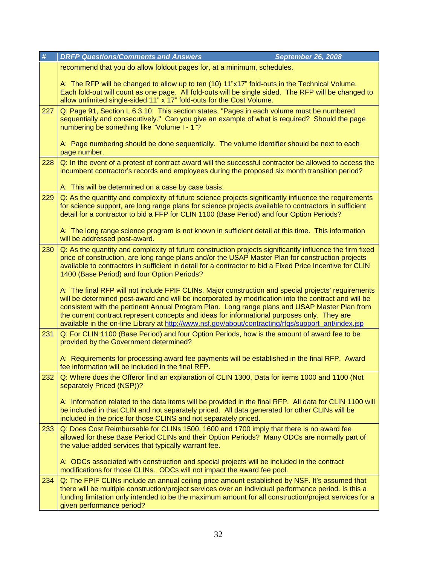| #                                                                                                                                                                                                                                                                     | <b>DRFP Questions/Comments and Answers</b><br><b>September 26, 2008</b>                                                                                                                                                                                                                                                                                                                                                                                                                                            |
|-----------------------------------------------------------------------------------------------------------------------------------------------------------------------------------------------------------------------------------------------------------------------|--------------------------------------------------------------------------------------------------------------------------------------------------------------------------------------------------------------------------------------------------------------------------------------------------------------------------------------------------------------------------------------------------------------------------------------------------------------------------------------------------------------------|
|                                                                                                                                                                                                                                                                       | recommend that you do allow foldout pages for, at a minimum, schedules.                                                                                                                                                                                                                                                                                                                                                                                                                                            |
|                                                                                                                                                                                                                                                                       | A: The RFP will be changed to allow up to ten (10) 11"x17" fold-outs in the Technical Volume.<br>Each fold-out will count as one page. All fold-outs will be single sided. The RFP will be changed to<br>allow unlimited single-sided 11" x 17" fold-outs for the Cost Volume.                                                                                                                                                                                                                                     |
| 227                                                                                                                                                                                                                                                                   | Q: Page 91, Section L.6.3.10: This section states, "Pages in each volume must be numbered<br>sequentially and consecutively." Can you give an example of what is required? Should the page<br>numbering be something like "Volume I - 1"?                                                                                                                                                                                                                                                                          |
|                                                                                                                                                                                                                                                                       | A: Page numbering should be done sequentially. The volume identifier should be next to each<br>page number.                                                                                                                                                                                                                                                                                                                                                                                                        |
| Q: In the event of a protest of contract award will the successful contractor be allowed to access the<br>228<br>incumbent contractor's records and employees during the proposed six month transition period?<br>A: This will be determined on a case by case basis. |                                                                                                                                                                                                                                                                                                                                                                                                                                                                                                                    |
| 229                                                                                                                                                                                                                                                                   | Q: As the quantity and complexity of future science projects significantly influence the requirements<br>for science support, are long range plans for science projects available to contractors in sufficient<br>detail for a contractor to bid a FFP for CLIN 1100 (Base Period) and four Option Periods?                                                                                                                                                                                                        |
|                                                                                                                                                                                                                                                                       | A: The long range science program is not known in sufficient detail at this time. This information<br>will be addressed post-award.                                                                                                                                                                                                                                                                                                                                                                                |
| 230                                                                                                                                                                                                                                                                   | Q: As the quantity and complexity of future construction projects significantly influence the firm fixed<br>price of construction, are long range plans and/or the USAP Master Plan for construction projects<br>available to contractors in sufficient in detail for a contractor to bid a Fixed Price Incentive for CLIN<br>1400 (Base Period) and four Option Periods?                                                                                                                                          |
|                                                                                                                                                                                                                                                                       | A: The final RFP will not include FPIF CLINs. Major construction and special projects' requirements<br>will be determined post-award and will be incorporated by modification into the contract and will be<br>consistent with the pertinent Annual Program Plan. Long range plans and USAP Master Plan from<br>the current contract represent concepts and ideas for informational purposes only. They are<br>available in the on-line Library at http://www.nsf.gov/about/contracting/rfqs/support_ant/index.jsp |
| 231                                                                                                                                                                                                                                                                   | Q: For CLIN 1100 (Base Period) and four Option Periods, how is the amount of award fee to be<br>provided by the Government determined?                                                                                                                                                                                                                                                                                                                                                                             |
|                                                                                                                                                                                                                                                                       | A: Requirements for processing award fee payments will be established in the final RFP. Award<br>fee information will be included in the final RFP.                                                                                                                                                                                                                                                                                                                                                                |
| 232                                                                                                                                                                                                                                                                   | Q: Where does the Offeror find an explanation of CLIN 1300, Data for items 1000 and 1100 (Not<br>separately Priced (NSP))?                                                                                                                                                                                                                                                                                                                                                                                         |
|                                                                                                                                                                                                                                                                       | A: Information related to the data items will be provided in the final RFP. All data for CLIN 1100 will<br>be included in that CLIN and not separately priced. All data generated for other CLINs will be<br>included in the price for those CLINS and not separately priced.                                                                                                                                                                                                                                      |
| 233                                                                                                                                                                                                                                                                   | Q: Does Cost Reimbursable for CLINs 1500, 1600 and 1700 imply that there is no award fee<br>allowed for these Base Period CLINs and their Option Periods? Many ODCs are normally part of<br>the value-added services that typically warrant fee.                                                                                                                                                                                                                                                                   |
|                                                                                                                                                                                                                                                                       | A: ODCs associated with construction and special projects will be included in the contract<br>modifications for those CLINs. ODCs will not impact the award fee pool.                                                                                                                                                                                                                                                                                                                                              |
| 234                                                                                                                                                                                                                                                                   | Q: The FPIF CLINs include an annual ceiling price amount established by NSF. It's assumed that<br>there will be multiple construction/project services over an individual performance period. Is this a<br>funding limitation only intended to be the maximum amount for all construction/project services for a<br>given performance period?                                                                                                                                                                      |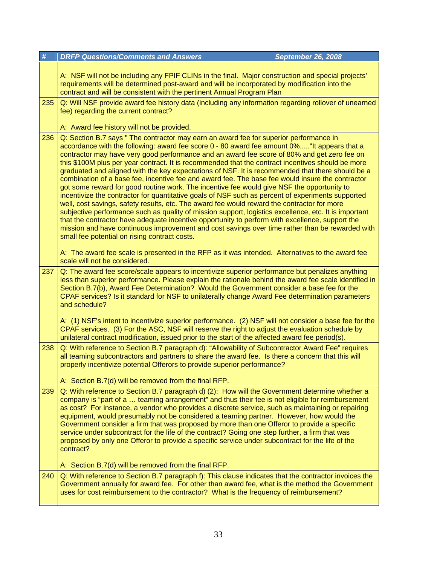| $\#$ | <b>DRFP Questions/Comments and Answers</b><br>September 26, 2008                                                                                                                                                                                                                                                                                                                                                                                                                                                                                                                                                                                                                                                                                                                                                                                                                                                                                                                                                                                                                                                                                                                                                                                                    |  |
|------|---------------------------------------------------------------------------------------------------------------------------------------------------------------------------------------------------------------------------------------------------------------------------------------------------------------------------------------------------------------------------------------------------------------------------------------------------------------------------------------------------------------------------------------------------------------------------------------------------------------------------------------------------------------------------------------------------------------------------------------------------------------------------------------------------------------------------------------------------------------------------------------------------------------------------------------------------------------------------------------------------------------------------------------------------------------------------------------------------------------------------------------------------------------------------------------------------------------------------------------------------------------------|--|
|      | A: NSF will not be including any FPIF CLINs in the final. Major construction and special projects'<br>requirements will be determined post-award and will be incorporated by modification into the<br>contract and will be consistent with the pertinent Annual Program Plan                                                                                                                                                                                                                                                                                                                                                                                                                                                                                                                                                                                                                                                                                                                                                                                                                                                                                                                                                                                        |  |
| 235  | Q: Will NSF provide award fee history data (including any information regarding rollover of unearned<br>fee) regarding the current contract?<br>A: Award fee history will not be provided.                                                                                                                                                                                                                                                                                                                                                                                                                                                                                                                                                                                                                                                                                                                                                                                                                                                                                                                                                                                                                                                                          |  |
| 236  | Q: Section B.7 says " The contractor may earn an award fee for superior performance in<br>accordance with the following: award fee score 0 - 80 award fee amount 0%"It appears that a<br>contractor may have very good performance and an award fee score of 80% and get zero fee on<br>this \$100M plus per year contract. It is recommended that the contract incentives should be more<br>graduated and aligned with the key expectations of NSF. It is recommended that there should be a<br>combination of a base fee, incentive fee and award fee. The base fee would insure the contractor<br>got some reward for good routine work. The incentive fee would give NSF the opportunity to<br>incentivize the contractor for quantitative goals of NSF such as percent of experiments supported<br>well, cost savings, safety results, etc. The award fee would reward the contractor for more<br>subjective performance such as quality of mission support, logistics excellence, etc. It is important<br>that the contractor have adequate incentive opportunity to perform with excellence, support the<br>mission and have continuous improvement and cost savings over time rather than be rewarded with<br>small fee potential on rising contract costs. |  |
| 237  | A: The award fee scale is presented in the RFP as it was intended. Alternatives to the award fee<br>scale will not be considered.<br>Q: The award fee score/scale appears to incentivize superior performance but penalizes anything<br>less than superior performance. Please explain the rationale behind the award fee scale identified in<br>Section B.7(b), Award Fee Determination? Would the Government consider a base fee for the<br>CPAF services? Is it standard for NSF to unilaterally change Award Fee determination parameters<br>and schedule?<br>A: (1) NSF's intent to incentivize superior performance. (2) NSF will not consider a base fee for the<br>CPAF services. (3) For the ASC, NSF will reserve the right to adjust the evaluation schedule by<br>unilateral contract modification, issued prior to the start of the affected award fee period(s).                                                                                                                                                                                                                                                                                                                                                                                      |  |
| 238  | Q: With reference to Section B.7 paragraph d): "Allowability of Subcontractor Award Fee" requires<br>all teaming subcontractors and partners to share the award fee. Is there a concern that this will<br>properly incentivize potential Offerors to provide superior performance?<br>A: Section B.7(d) will be removed from the final RFP.                                                                                                                                                                                                                                                                                                                                                                                                                                                                                                                                                                                                                                                                                                                                                                                                                                                                                                                         |  |
| 239  | Q: With reference to Section B.7 paragraph d) (2): How will the Government determine whether a<br>company is "part of a  teaming arrangement" and thus their fee is not eligible for reimbursement<br>as cost? For instance, a vendor who provides a discrete service, such as maintaining or repairing<br>equipment, would presumably not be considered a teaming partner. However, how would the<br>Government consider a firm that was proposed by more than one Offeror to provide a specific<br>service under subcontract for the life of the contract? Going one step further, a firm that was<br>proposed by only one Offeror to provide a specific service under subcontract for the life of the<br>contract?                                                                                                                                                                                                                                                                                                                                                                                                                                                                                                                                               |  |
| 240  | A: Section B.7(d) will be removed from the final RFP.<br>Q: With reference to Section B.7 paragraph f): This clause indicates that the contractor invoices the<br>Government annually for award fee. For other than award fee, what is the method the Government<br>uses for cost reimbursement to the contractor? What is the frequency of reimbursement?                                                                                                                                                                                                                                                                                                                                                                                                                                                                                                                                                                                                                                                                                                                                                                                                                                                                                                          |  |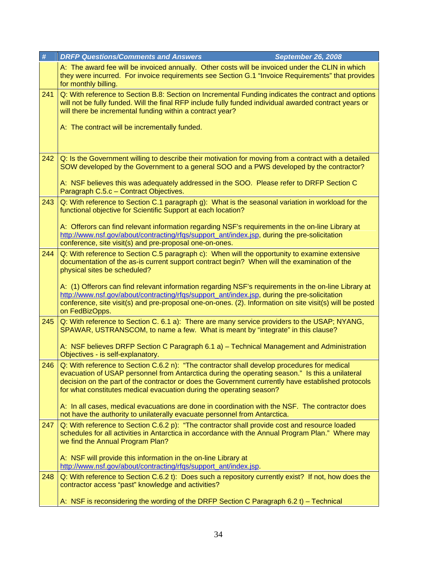| #   | <b>DRFP Questions/Comments and Answers</b><br><b>September 26, 2008</b>                                                                                                                                                                                                                                                                                                      |  |
|-----|------------------------------------------------------------------------------------------------------------------------------------------------------------------------------------------------------------------------------------------------------------------------------------------------------------------------------------------------------------------------------|--|
|     | A: The award fee will be invoiced annually. Other costs will be invoiced under the CLIN in which<br>they were incurred. For invoice requirements see Section G.1 "Invoice Requirements" that provides<br>for monthly billing.                                                                                                                                                |  |
| 241 | Q: With reference to Section B.8: Section on Incremental Funding indicates the contract and options<br>will not be fully funded. Will the final RFP include fully funded individual awarded contract years or<br>will there be incremental funding within a contract year?                                                                                                   |  |
|     | A: The contract will be incrementally funded.                                                                                                                                                                                                                                                                                                                                |  |
| 242 | Q: Is the Government willing to describe their motivation for moving from a contract with a detailed<br>SOW developed by the Government to a general SOO and a PWS developed by the contractor?                                                                                                                                                                              |  |
|     | A: NSF believes this was adequately addressed in the SOO. Please refer to DRFP Section C<br>Paragraph C.5.c - Contract Objectives.                                                                                                                                                                                                                                           |  |
| 243 | Q: With reference to Section C.1 paragraph g): What is the seasonal variation in workload for the<br>functional objective for Scientific Support at each location?                                                                                                                                                                                                           |  |
|     | A: Offerors can find relevant information regarding NSF's requirements in the on-line Library at<br>http://www.nsf.gov/about/contracting/rfgs/support_ant/index.jsp, during the pre-solicitation<br>conference, site visit(s) and pre-proposal one-on-ones.                                                                                                                  |  |
| 244 | Q: With reference to Section C.5 paragraph c): When will the opportunity to examine extensive<br>documentation of the as-is current support contract begin? When will the examination of the<br>physical sites be scheduled?                                                                                                                                                 |  |
|     | A: (1) Offerors can find relevant information regarding NSF's requirements in the on-line Library at<br>http://www.nsf.gov/about/contracting/rfgs/support_ant/index.jsp, during the pre-solicitation<br>conference, site visit(s) and pre-proposal one-on-ones. (2). Information on site visit(s) will be posted<br>on FedBizOpps.                                           |  |
| 245 | Q: With reference to Section C. 6.1 a): There are many service providers to the USAP; NYANG,<br>SPAWAR, USTRANSCOM, to name a few. What is meant by "integrate" in this clause?                                                                                                                                                                                              |  |
|     | A: NSF believes DRFP Section C Paragraph 6.1 a) - Technical Management and Administration<br>Objectives - is self-explanatory.                                                                                                                                                                                                                                               |  |
| 246 | Q: With reference to Section C.6.2 n): "The contractor shall develop procedures for medical<br>evacuation of USAP personnel from Antarctica during the operating season." Is this a unilateral<br>decision on the part of the contractor or does the Government currently have established protocols<br>for what constitutes medical evacuation during the operating season? |  |
|     | A: In all cases, medical evacuations are done in coordination with the NSF. The contractor does<br>not have the authority to unilaterally evacuate personnel from Antarctica.                                                                                                                                                                                                |  |
| 247 | Q: With reference to Section C.6.2 p): "The contractor shall provide cost and resource loaded<br>schedules for all activities in Antarctica in accordance with the Annual Program Plan." Where may<br>we find the Annual Program Plan?                                                                                                                                       |  |
|     | A: NSF will provide this information in the on-line Library at<br>http://www.nsf.gov/about/contracting/rfgs/support_ant/index.jsp.                                                                                                                                                                                                                                           |  |
| 248 | Q: With reference to Section C.6.2 t): Does such a repository currently exist? If not, how does the<br>contractor access "past" knowledge and activities?                                                                                                                                                                                                                    |  |
|     | A: NSF is reconsidering the wording of the DRFP Section C Paragraph 6.2 t) – Technical                                                                                                                                                                                                                                                                                       |  |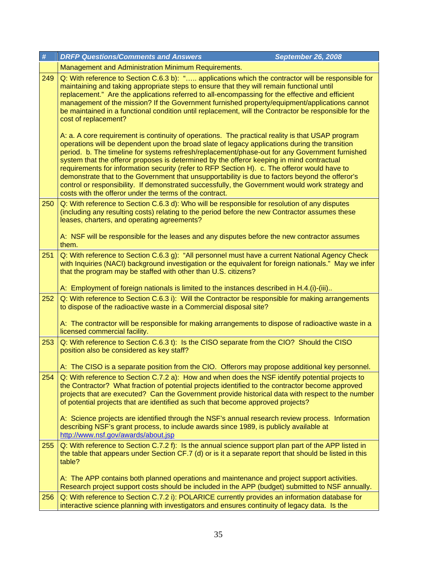| $\pmb{\#}$ | <b>DRFP Questions/Comments and Answers</b><br><b>September 26, 2008</b>                                                                                                                                                                                                                                                                                                                                                                                                                                                                                                                                                                                                                                                                                                                                                                                                                                                                                                                                                                                                                                                                      |
|------------|----------------------------------------------------------------------------------------------------------------------------------------------------------------------------------------------------------------------------------------------------------------------------------------------------------------------------------------------------------------------------------------------------------------------------------------------------------------------------------------------------------------------------------------------------------------------------------------------------------------------------------------------------------------------------------------------------------------------------------------------------------------------------------------------------------------------------------------------------------------------------------------------------------------------------------------------------------------------------------------------------------------------------------------------------------------------------------------------------------------------------------------------|
|            | Management and Administration Minimum Requirements.                                                                                                                                                                                                                                                                                                                                                                                                                                                                                                                                                                                                                                                                                                                                                                                                                                                                                                                                                                                                                                                                                          |
| 249        | Q: With reference to Section C.6.3 b): " applications which the contractor will be responsible for<br>maintaining and taking appropriate steps to ensure that they will remain functional until<br>replacement." Are the applications referred to all-encompassing for the effective and efficient<br>management of the mission? If the Government furnished property/equipment/applications cannot<br>be maintained in a functional condition until replacement, will the Contractor be responsible for the<br>cost of replacement?<br>A: a. A core requirement is continuity of operations. The practical reality is that USAP program<br>operations will be dependent upon the broad slate of legacy applications during the transition<br>period. b. The timeline for systems refresh/replacement/phase-out for any Government furnished<br>system that the offeror proposes is determined by the offeror keeping in mind contractual<br>requirements for information security (refer to RFP Section H). c. The offeror would have to<br>demonstrate that to the Government that unsupportability is due to factors beyond the offeror's |
|            | control or responsibility. If demonstrated successfully, the Government would work strategy and<br>costs with the offeror under the terms of the contract.                                                                                                                                                                                                                                                                                                                                                                                                                                                                                                                                                                                                                                                                                                                                                                                                                                                                                                                                                                                   |
| 250        | Q: With reference to Section C.6.3 d): Who will be responsible for resolution of any disputes<br>(including any resulting costs) relating to the period before the new Contractor assumes these<br>leases, charters, and operating agreements?                                                                                                                                                                                                                                                                                                                                                                                                                                                                                                                                                                                                                                                                                                                                                                                                                                                                                               |
|            | A: NSF will be responsible for the leases and any disputes before the new contractor assumes<br>them.                                                                                                                                                                                                                                                                                                                                                                                                                                                                                                                                                                                                                                                                                                                                                                                                                                                                                                                                                                                                                                        |
| 251        | Q: With reference to Section C.6.3 g): "All personnel must have a current National Agency Check<br>with Inquiries (NACI) background investigation or the equivalent for foreign nationals." May we infer<br>that the program may be staffed with other than U.S. citizens?                                                                                                                                                                                                                                                                                                                                                                                                                                                                                                                                                                                                                                                                                                                                                                                                                                                                   |
|            | A: Employment of foreign nationals is limited to the instances described in H.4.(i)-(iii)                                                                                                                                                                                                                                                                                                                                                                                                                                                                                                                                                                                                                                                                                                                                                                                                                                                                                                                                                                                                                                                    |
| 252        | Q: With reference to Section C.6.3 i): Will the Contractor be responsible for making arrangements<br>to dispose of the radioactive waste in a Commercial disposal site?<br>A: The contractor will be responsible for making arrangements to dispose of radioactive waste in a                                                                                                                                                                                                                                                                                                                                                                                                                                                                                                                                                                                                                                                                                                                                                                                                                                                                |
|            | licensed commercial facility.                                                                                                                                                                                                                                                                                                                                                                                                                                                                                                                                                                                                                                                                                                                                                                                                                                                                                                                                                                                                                                                                                                                |
| 253        | Q: With reference to Section C.6.3 t): Is the CISO separate from the CIO? Should the CISO<br>position also be considered as key staff?                                                                                                                                                                                                                                                                                                                                                                                                                                                                                                                                                                                                                                                                                                                                                                                                                                                                                                                                                                                                       |
| 254        | A: The CISO is a separate position from the CIO. Offerors may propose additional key personnel.<br>Q: With reference to Section C.7.2 a): How and when does the NSF identify potential projects to                                                                                                                                                                                                                                                                                                                                                                                                                                                                                                                                                                                                                                                                                                                                                                                                                                                                                                                                           |
|            | the Contractor? What fraction of potential projects identified to the contractor become approved<br>projects that are executed? Can the Government provide historical data with respect to the number<br>of potential projects that are identified as such that become approved projects?                                                                                                                                                                                                                                                                                                                                                                                                                                                                                                                                                                                                                                                                                                                                                                                                                                                    |
|            | A: Science projects are identified through the NSF's annual research review process. Information<br>describing NSF's grant process, to include awards since 1989, is publicly available at<br>http://www.nsf.gov/awards/about.jsp                                                                                                                                                                                                                                                                                                                                                                                                                                                                                                                                                                                                                                                                                                                                                                                                                                                                                                            |
| 255        | Q: With reference to Section C.7.2 f): Is the annual science support plan part of the APP listed in<br>the table that appears under Section CF.7 (d) or is it a separate report that should be listed in this<br>table?                                                                                                                                                                                                                                                                                                                                                                                                                                                                                                                                                                                                                                                                                                                                                                                                                                                                                                                      |
|            | A: The APP contains both planned operations and maintenance and project support activities.<br>Research project support costs should be included in the APP (budget) submitted to NSF annually.                                                                                                                                                                                                                                                                                                                                                                                                                                                                                                                                                                                                                                                                                                                                                                                                                                                                                                                                              |
| 256        | Q: With reference to Section C.7.2 i): POLARICE currently provides an information database for<br>interactive science planning with investigators and ensures continuity of legacy data. Is the                                                                                                                                                                                                                                                                                                                                                                                                                                                                                                                                                                                                                                                                                                                                                                                                                                                                                                                                              |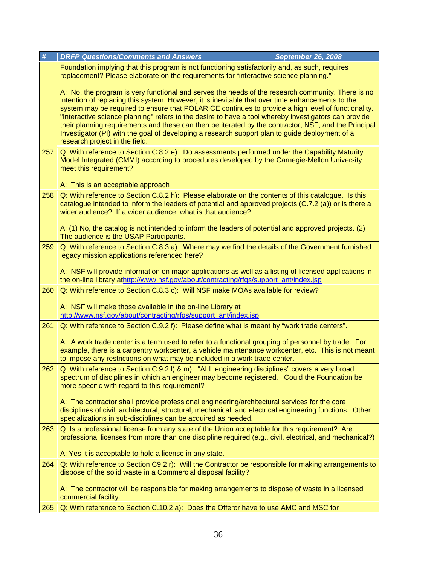| #   | <b>DRFP Questions/Comments and Answers</b><br><b>September 26, 2008</b>                                                                                                                                                                                                                                                                                                                                                                                                                                                                                                                                                                                         |
|-----|-----------------------------------------------------------------------------------------------------------------------------------------------------------------------------------------------------------------------------------------------------------------------------------------------------------------------------------------------------------------------------------------------------------------------------------------------------------------------------------------------------------------------------------------------------------------------------------------------------------------------------------------------------------------|
|     | Foundation implying that this program is not functioning satisfactorily and, as such, requires<br>replacement? Please elaborate on the requirements for "interactive science planning."                                                                                                                                                                                                                                                                                                                                                                                                                                                                         |
|     | A: No, the program is very functional and serves the needs of the research community. There is no<br>intention of replacing this system. However, it is inevitable that over time enhancements to the<br>system may be required to ensure that POLARICE continues to provide a high level of functionality.<br>"Interactive science planning" refers to the desire to have a tool whereby investigators can provide<br>their planning requirements and these can then be iterated by the contractor, NSF, and the Principal<br>Investigator (PI) with the goal of developing a research support plan to guide deployment of a<br>research project in the field. |
| 257 | Q: With reference to Section C.8.2 e): Do assessments performed under the Capability Maturity<br>Model Integrated (CMMI) according to procedures developed by the Carnegie-Mellon University<br>meet this requirement?<br>A: This is an acceptable approach                                                                                                                                                                                                                                                                                                                                                                                                     |
| 258 | Q: With reference to Section C.8.2 h): Please elaborate on the contents of this catalogue. Is this<br>catalogue intended to inform the leaders of potential and approved projects (C.7.2 (a)) or is there a<br>wider audience? If a wider audience, what is that audience?                                                                                                                                                                                                                                                                                                                                                                                      |
|     | A: (1) No, the catalog is not intended to inform the leaders of potential and approved projects. (2)<br>The audience is the USAP Participants.                                                                                                                                                                                                                                                                                                                                                                                                                                                                                                                  |
| 259 | Q: With reference to Section C.8.3 a): Where may we find the details of the Government furnished<br>legacy mission applications referenced here?                                                                                                                                                                                                                                                                                                                                                                                                                                                                                                                |
|     | A: NSF will provide information on major applications as well as a listing of licensed applications in<br>the on-line library athttp://www.nsf.gov/about/contracting/rfgs/support_ant/index.jsp                                                                                                                                                                                                                                                                                                                                                                                                                                                                 |
| 260 | Q: With reference to Section C.8.3 c): Will NSF make MOAs available for review?                                                                                                                                                                                                                                                                                                                                                                                                                                                                                                                                                                                 |
|     | A: NSF will make those available in the on-line Library at<br>http://www.nsf.gov/about/contracting/rfqs/support_ant/index.jsp.                                                                                                                                                                                                                                                                                                                                                                                                                                                                                                                                  |
| 261 | Q: With reference to Section C.9.2 f): Please define what is meant by "work trade centers".                                                                                                                                                                                                                                                                                                                                                                                                                                                                                                                                                                     |
|     | A: A work trade center is a term used to refer to a functional grouping of personnel by trade. For<br>example, there is a carpentry workcenter, a vehicle maintenance workcenter, etc. This is not meant<br>to impose any restrictions on what may be included in a work trade center.                                                                                                                                                                                                                                                                                                                                                                          |
| 262 | Q: With reference to Section C.9.2 I) & m): "ALL engineering disciplines" covers a very broad<br>spectrum of disciplines in which an engineer may become registered. Could the Foundation be<br>more specific with regard to this requirement?                                                                                                                                                                                                                                                                                                                                                                                                                  |
|     | A: The contractor shall provide professional engineering/architectural services for the core<br>disciplines of civil, architectural, structural, mechanical, and electrical engineering functions. Other<br>specializations in sub-disciplines can be acquired as needed.                                                                                                                                                                                                                                                                                                                                                                                       |
| 263 | Q: Is a professional license from any state of the Union acceptable for this requirement? Are<br>professional licenses from more than one discipline required (e.g., civil, electrical, and mechanical?)                                                                                                                                                                                                                                                                                                                                                                                                                                                        |
|     | A: Yes it is acceptable to hold a license in any state.                                                                                                                                                                                                                                                                                                                                                                                                                                                                                                                                                                                                         |
| 264 | Q: With reference to Section C9.2 r): Will the Contractor be responsible for making arrangements to<br>dispose of the solid waste in a Commercial disposal facility?                                                                                                                                                                                                                                                                                                                                                                                                                                                                                            |
|     | A: The contractor will be responsible for making arrangements to dispose of waste in a licensed<br>commercial facility.                                                                                                                                                                                                                                                                                                                                                                                                                                                                                                                                         |
| 265 | Q: With reference to Section C.10.2 a): Does the Offeror have to use AMC and MSC for                                                                                                                                                                                                                                                                                                                                                                                                                                                                                                                                                                            |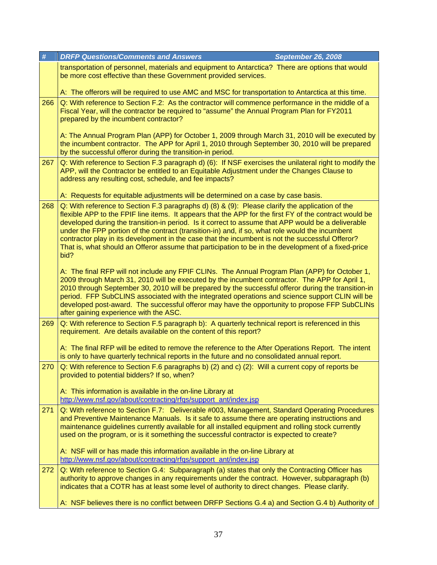| $\#$ | <b>DRFP Questions/Comments and Answers</b><br><b>September 26, 2008</b>                                                                                                                                                                                                                                                                                                                                                                                                                                                                                                                                                               |
|------|---------------------------------------------------------------------------------------------------------------------------------------------------------------------------------------------------------------------------------------------------------------------------------------------------------------------------------------------------------------------------------------------------------------------------------------------------------------------------------------------------------------------------------------------------------------------------------------------------------------------------------------|
|      | transportation of personnel, materials and equipment to Antarctica? There are options that would<br>be more cost effective than these Government provided services.                                                                                                                                                                                                                                                                                                                                                                                                                                                                   |
|      | A: The offerors will be required to use AMC and MSC for transportation to Antarctica at this time.                                                                                                                                                                                                                                                                                                                                                                                                                                                                                                                                    |
| 266  | Q: With reference to Section F.2: As the contractor will commence performance in the middle of a<br>Fiscal Year, will the contractor be required to "assume" the Annual Program Plan for FY2011<br>prepared by the incumbent contractor?                                                                                                                                                                                                                                                                                                                                                                                              |
|      | A: The Annual Program Plan (APP) for October 1, 2009 through March 31, 2010 will be executed by<br>the incumbent contractor. The APP for April 1, 2010 through September 30, 2010 will be prepared<br>by the successful offeror during the transition-in period.                                                                                                                                                                                                                                                                                                                                                                      |
| 267  | Q: With reference to Section F.3 paragraph d) (6): If NSF exercises the unilateral right to modify the<br>APP, will the Contractor be entitled to an Equitable Adjustment under the Changes Clause to<br>address any resulting cost, schedule, and fee impacts?                                                                                                                                                                                                                                                                                                                                                                       |
|      | A: Requests for equitable adjustments will be determined on a case by case basis.                                                                                                                                                                                                                                                                                                                                                                                                                                                                                                                                                     |
| 268  | Q: With reference to Section F.3 paragraphs d) (8) & (9): Please clarify the application of the<br>flexible APP to the FPIF line items. It appears that the APP for the first FY of the contract would be<br>developed during the transition-in period. Is it correct to assume that APP would be a deliverable<br>under the FPP portion of the contract (transition-in) and, if so, what role would the incumbent<br>contractor play in its development in the case that the incumbent is not the successful Offeror?<br>That is, what should an Offeror assume that participation to be in the development of a fixed-price<br>bid? |
|      | A: The final RFP will not include any FPIF CLINs. The Annual Program Plan (APP) for October 1,<br>2009 through March 31, 2010 will be executed by the incumbent contractor. The APP for April 1,<br>2010 through September 30, 2010 will be prepared by the successful offeror during the transition-in<br>period. FFP SubCLINS associated with the integrated operations and science support CLIN will be<br>developed post-award. The successful offeror may have the opportunity to propose FFP SubCLINs<br>after gaining experience with the ASC.                                                                                 |
| 269  | Q: With reference to Section F.5 paragraph b): A quarterly technical report is referenced in this<br>requirement. Are details available on the content of this report?                                                                                                                                                                                                                                                                                                                                                                                                                                                                |
|      | A: The final RFP will be edited to remove the reference to the After Operations Report. The intent<br>is only to have quarterly technical reports in the future and no consolidated annual report.                                                                                                                                                                                                                                                                                                                                                                                                                                    |
| 270  | Q: With reference to Section F.6 paragraphs b) (2) and c) (2): Will a current copy of reports be<br>provided to potential bidders? If so, when?                                                                                                                                                                                                                                                                                                                                                                                                                                                                                       |
|      | A: This information is available in the on-line Library at<br>http://www.nsf.gov/about/contracting/rfqs/support_ant/index.jsp                                                                                                                                                                                                                                                                                                                                                                                                                                                                                                         |
| 271  | Q: With reference to Section F.7: Deliverable #003, Management, Standard Operating Procedures<br>and Preventive Maintenance Manuals. Is it safe to assume there are operating instructions and<br>maintenance guidelines currently available for all installed equipment and rolling stock currently<br>used on the program, or is it something the successful contractor is expected to create?                                                                                                                                                                                                                                      |
|      | A: NSF will or has made this information available in the on-line Library at<br>http://www.nsf.gov/about/contracting/rfgs/support_ant/index.jsp                                                                                                                                                                                                                                                                                                                                                                                                                                                                                       |
| 272  | Q: With reference to Section G.4: Subparagraph (a) states that only the Contracting Officer has<br>authority to approve changes in any requirements under the contract. However, subparagraph (b)<br>indicates that a COTR has at least some level of authority to direct changes. Please clarify.                                                                                                                                                                                                                                                                                                                                    |
|      | A: NSF believes there is no conflict between DRFP Sections G.4 a) and Section G.4 b) Authority of                                                                                                                                                                                                                                                                                                                                                                                                                                                                                                                                     |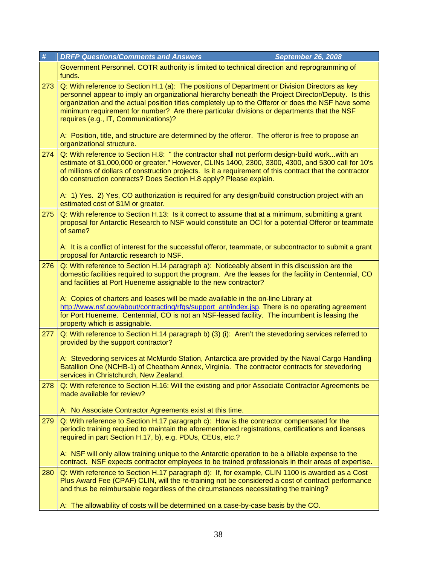| $\#$ | <b>DRFP Questions/Comments and Answers</b><br><b>September 26, 2008</b>                                                                                                                                                                                                                                                                                                                                                                          |
|------|--------------------------------------------------------------------------------------------------------------------------------------------------------------------------------------------------------------------------------------------------------------------------------------------------------------------------------------------------------------------------------------------------------------------------------------------------|
|      | Government Personnel. COTR authority is limited to technical direction and reprogramming of<br>funds.                                                                                                                                                                                                                                                                                                                                            |
| 273  | Q: With reference to Section H.1 (a): The positions of Department or Division Directors as key<br>personnel appear to imply an organizational hierarchy beneath the Project Director/Deputy. Is this<br>organization and the actual position titles completely up to the Offeror or does the NSF have some<br>minimum requirement for number? Are there particular divisions or departments that the NSF<br>requires (e.g., IT, Communications)? |
|      | A: Position, title, and structure are determined by the offeror. The offeror is free to propose an<br>organizational structure.                                                                                                                                                                                                                                                                                                                  |
| 274  | Q: With reference to Section H.8: " the contractor shall not perform design-build workwith an<br>estimate of \$1,000,000 or greater." However, CLINs 1400, 2300, 3300, 4300, and 5300 call for 10's<br>of millions of dollars of construction projects. Is it a requirement of this contract that the contractor<br>do construction contracts? Does Section H.8 apply? Please explain.                                                           |
|      | A: 1) Yes. 2) Yes, CO authorization is required for any design/build construction project with an<br>estimated cost of \$1M or greater.                                                                                                                                                                                                                                                                                                          |
| 275  | Q: With reference to Section H.13: Is it correct to assume that at a minimum, submitting a grant<br>proposal for Antarctic Research to NSF would constitute an OCI for a potential Offeror or teammate<br>of same?                                                                                                                                                                                                                               |
|      | A: It is a conflict of interest for the successful offeror, teammate, or subcontractor to submit a grant<br>proposal for Antarctic research to NSF.                                                                                                                                                                                                                                                                                              |
| 276  | Q: With reference to Section H.14 paragraph a): Noticeably absent in this discussion are the<br>domestic facilities required to support the program. Are the leases for the facility in Centennial, CO<br>and facilities at Port Hueneme assignable to the new contractor?                                                                                                                                                                       |
|      | A: Copies of charters and leases will be made available in the on-line Library at<br>http://www.nsf.gov/about/contracting/rfgs/support ant/index.jsp. There is no operating agreement<br>for Port Hueneme. Centennial, CO is not an NSF-leased facility. The incumbent is leasing the<br>property which is assignable.                                                                                                                           |
| 277  | Q: With reference to Section H.14 paragraph b) (3) (i): Aren't the stevedoring services referred to<br>provided by the support contractor?                                                                                                                                                                                                                                                                                                       |
|      | A: Stevedoring services at McMurdo Station, Antarctica are provided by the Naval Cargo Handling<br>Batallion One (NCHB-1) of Cheatham Annex, Virginia. The contractor contracts for stevedoring<br>services in Christchurch, New Zealand.                                                                                                                                                                                                        |
| 278  | Q: With reference to Section H.16: Will the existing and prior Associate Contractor Agreements be<br>made available for review?                                                                                                                                                                                                                                                                                                                  |
|      | A: No Associate Contractor Agreements exist at this time.                                                                                                                                                                                                                                                                                                                                                                                        |
| 279  | Q: With reference to Section H.17 paragraph c): How is the contractor compensated for the<br>periodic training required to maintain the aforementioned registrations, certifications and licenses<br>required in part Section H.17, b), e.g. PDUs, CEUs, etc.?                                                                                                                                                                                   |
|      | A: NSF will only allow training unique to the Antarctic operation to be a billable expense to the<br>contract. NSF expects contractor employees to be trained professionals in their areas of expertise.                                                                                                                                                                                                                                         |
| 280  | Q: With reference to Section H.17 paragraph d): If, for example, CLIN 1100 is awarded as a Cost<br>Plus Award Fee (CPAF) CLIN, will the re-training not be considered a cost of contract performance<br>and thus be reimbursable regardless of the circumstances necessitating the training?                                                                                                                                                     |
|      | A: The allowability of costs will be determined on a case-by-case basis by the CO.                                                                                                                                                                                                                                                                                                                                                               |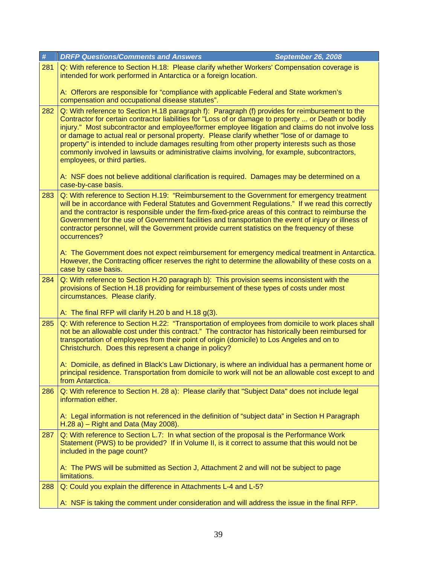| #   | <b>DRFP Questions/Comments and Answers</b><br><b>September 26, 2008</b>                                                                                                                                                                                                                                                                                                                                                                                                                                                                                                                                                                          |
|-----|--------------------------------------------------------------------------------------------------------------------------------------------------------------------------------------------------------------------------------------------------------------------------------------------------------------------------------------------------------------------------------------------------------------------------------------------------------------------------------------------------------------------------------------------------------------------------------------------------------------------------------------------------|
| 281 | Q: With reference to Section H.18: Please clarify whether Workers' Compensation coverage is<br>intended for work performed in Antarctica or a foreign location.                                                                                                                                                                                                                                                                                                                                                                                                                                                                                  |
|     | A: Offerors are responsible for "compliance with applicable Federal and State workmen's<br>compensation and occupational disease statutes".                                                                                                                                                                                                                                                                                                                                                                                                                                                                                                      |
| 282 | Q: With reference to Section H.18 paragraph f): Paragraph (f) provides for reimbursement to the<br>Contractor for certain contractor liabilities for "Loss of or damage to property  or Death or bodily<br>injury." Most subcontractor and employee/former employee litigation and claims do not involve loss<br>or damage to actual real or personal property. Please clarify whether "lose of or damage to<br>property" is intended to include damages resulting from other property interests such as those<br>commonly involved in lawsuits or administrative claims involving, for example, subcontractors,<br>employees, or third parties. |
|     | A: NSF does not believe additional clarification is required. Damages may be determined on a<br>case-by-case basis.                                                                                                                                                                                                                                                                                                                                                                                                                                                                                                                              |
| 283 | Q: With reference to Section H.19: "Reimbursement to the Government for emergency treatment<br>will be in accordance with Federal Statutes and Government Regulations." If we read this correctly<br>and the contractor is responsible under the firm-fixed-price areas of this contract to reimburse the<br>Government for the use of Government facilities and transportation the event of injury or illness of<br>contractor personnel, will the Government provide current statistics on the frequency of these<br>occurrences?                                                                                                              |
|     | A: The Government does not expect reimbursement for emergency medical treatment in Antarctica.<br>However, the Contracting officer reserves the right to determine the allowability of these costs on a<br>case by case basis.                                                                                                                                                                                                                                                                                                                                                                                                                   |
| 284 | Q: With reference to Section H.20 paragraph b): This provision seems inconsistent with the<br>provisions of Section H.18 providing for reimbursement of these types of costs under most<br>circumstances. Please clarify.                                                                                                                                                                                                                                                                                                                                                                                                                        |
|     | A: The final RFP will clarify H.20 b and H.18 $g(3)$ .                                                                                                                                                                                                                                                                                                                                                                                                                                                                                                                                                                                           |
| 285 | Q: With reference to Section H.22: "Transportation of employees from domicile to work places shall<br>not be an allowable cost under this contract." The contractor has historically been reimbursed for<br>transportation of employees from their point of origin (domicile) to Los Angeles and on to<br>Christchurch. Does this represent a change in policy?                                                                                                                                                                                                                                                                                  |
|     | A: Domicile, as defined in Black's Law Dictionary, is where an individual has a permanent home or<br>principal residence. Transportation from domicile to work will not be an allowable cost except to and<br>from Antarctica.                                                                                                                                                                                                                                                                                                                                                                                                                   |
| 286 | Q: With reference to Section H. 28 a): Please clarify that "Subject Data" does not include legal<br>information either.                                                                                                                                                                                                                                                                                                                                                                                                                                                                                                                          |
|     | A: Legal information is not referenced in the definition of "subject data" in Section H Paragraph<br>$H.28$ a) – Right and Data (May 2008).                                                                                                                                                                                                                                                                                                                                                                                                                                                                                                      |
| 287 | Q: With reference to Section L.7: In what section of the proposal is the Performance Work<br>Statement (PWS) to be provided? If in Volume II, is it correct to assume that this would not be<br>included in the page count?                                                                                                                                                                                                                                                                                                                                                                                                                      |
|     | A: The PWS will be submitted as Section J, Attachment 2 and will not be subject to page<br>limitations.                                                                                                                                                                                                                                                                                                                                                                                                                                                                                                                                          |
| 288 | Q: Could you explain the difference in Attachments L-4 and L-5?                                                                                                                                                                                                                                                                                                                                                                                                                                                                                                                                                                                  |
|     | A: NSF is taking the comment under consideration and will address the issue in the final RFP.                                                                                                                                                                                                                                                                                                                                                                                                                                                                                                                                                    |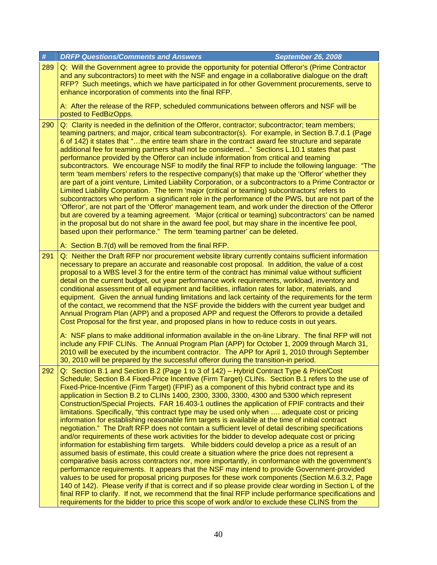| #   | <b>DRFP Questions/Comments and Answers</b><br><b>September 26, 2008</b>                                                                                                                                                                                                                                                                                                                                                                                                                                                                                                                                                                                                                                                                                                                                                                                                                                                                                                                                                                                                                                                                                                                                                                                                                                                                                                                                                                                                                                                                                                                                                                          |
|-----|--------------------------------------------------------------------------------------------------------------------------------------------------------------------------------------------------------------------------------------------------------------------------------------------------------------------------------------------------------------------------------------------------------------------------------------------------------------------------------------------------------------------------------------------------------------------------------------------------------------------------------------------------------------------------------------------------------------------------------------------------------------------------------------------------------------------------------------------------------------------------------------------------------------------------------------------------------------------------------------------------------------------------------------------------------------------------------------------------------------------------------------------------------------------------------------------------------------------------------------------------------------------------------------------------------------------------------------------------------------------------------------------------------------------------------------------------------------------------------------------------------------------------------------------------------------------------------------------------------------------------------------------------|
| 289 | Q: Will the Government agree to provide the opportunity for potential Offeror's (Prime Contractor<br>and any subcontractors) to meet with the NSF and engage in a collaborative dialogue on the draft<br>RFP? Such meetings, which we have participated in for other Government procurements, serve to<br>enhance incorporation of comments into the final RFP.                                                                                                                                                                                                                                                                                                                                                                                                                                                                                                                                                                                                                                                                                                                                                                                                                                                                                                                                                                                                                                                                                                                                                                                                                                                                                  |
|     | A: After the release of the RFP, scheduled communications between offerors and NSF will be<br>posted to FedBizOpps.                                                                                                                                                                                                                                                                                                                                                                                                                                                                                                                                                                                                                                                                                                                                                                                                                                                                                                                                                                                                                                                                                                                                                                                                                                                                                                                                                                                                                                                                                                                              |
| 290 | Q: Clarity is needed in the definition of the Offeror, contractor; subcontractor; team members;<br>teaming partners; and major, critical team subcontractor(s). For example, in Section B.7.d.1 (Page<br>6 of 142) it states that "the entire team share in the contract award fee structure and separate<br>additional fee for teaming partners shall not be considered" Sections L.10.1 states that past<br>performance provided by the Offeror can include information from critical and teaming<br>subcontractors. We encourage NSF to modify the final RFP to include the following language: "The<br>term 'team members' refers to the respective company(s) that make up the 'Offeror' whether they<br>are part of a joint venture, Limited Liability Corporation, or a subcontractors to a Prime Contractor or<br>Limited Liability Corporation. The term 'major (critical or teaming) subcontractors' refers to<br>subcontractors who perform a significant role in the performance of the PWS, but are not part of the<br>'Offeror', are not part of the 'Offeror' management team, and work under the direction of the Offeror<br>but are covered by a teaming agreement. 'Major (critical or teaming) subcontractors' can be named<br>in the proposal but do not share in the award fee pool, but may share in the incentive fee pool,<br>based upon their performance." The term 'teaming partner' can be deleted.                                                                                                                                                                                                                  |
|     | A: Section B.7(d) will be removed from the final RFP.                                                                                                                                                                                                                                                                                                                                                                                                                                                                                                                                                                                                                                                                                                                                                                                                                                                                                                                                                                                                                                                                                                                                                                                                                                                                                                                                                                                                                                                                                                                                                                                            |
| 291 | Q: Neither the Draft RFP nor procurement website library currently contains sufficient information<br>necessary to prepare an accurate and reasonable cost proposal. In addition, the value of a cost<br>proposal to a WBS level 3 for the entire term of the contract has minimal value without sufficient<br>detail on the current budget, out year performance work requirements, workload, inventory and<br>conditional assessment of all equipment and facilities, inflation rates for labor, materials, and<br>equipment. Given the annual funding limitations and lack certainty of the requirements for the term<br>of the contact, we recommend that the NSF provide the bidders with the current year budget and<br>Annual Program Plan (APP) and a proposed APP and request the Offerors to provide a detailed<br>Cost Proposal for the first year, and proposed plans in how to reduce costs in out years.<br>A: NSF plans to make additional information available in the on-line Library. The final RFP will not                                                                                                                                                                                                                                                                                                                                                                                                                                                                                                                                                                                                                   |
|     | include any FPIF CLINs. The Annual Program Plan (APP) for October 1, 2009 through March 31,<br>2010 will be executed by the incumbent contractor. The APP for April 1, 2010 through September<br>30, 2010 will be prepared by the successful offeror during the transition-in period.                                                                                                                                                                                                                                                                                                                                                                                                                                                                                                                                                                                                                                                                                                                                                                                                                                                                                                                                                                                                                                                                                                                                                                                                                                                                                                                                                            |
| 292 | Q: Section B.1 and Section B.2 (Page 1 to 3 of 142) - Hybrid Contract Type & Price/Cost<br>Schedule; Section B.4 Fixed-Price Incentive (Firm Target) CLINs. Section B.1 refers to the use of<br>Fixed-Price-Incentive (Firm Target) (FPIF) as a component of this hybrid contract type and its<br>application in Section B.2 to CLINs 1400, 2300, 3300, 3300, 4300 and 5300 which represent<br>Construction/Special Projects. FAR 16.403-1 outlines the application of FPIF contracts and their<br>limitations. Specifically, "this contract type may be used only when  adequate cost or pricing<br>information for establishing reasonable firm targets is available at the time of initial contract<br>negotiation." The Draft RFP does not contain a sufficient level of detail describing specifications<br>and/or requirements of these work activities for the bidder to develop adequate cost or pricing<br>information for establishing firm targets. While bidders could develop a price as a result of an<br>assumed basis of estimate, this could create a situation where the price does not represent a<br>comparative basis across contractors nor, more importantly, in conformance with the government's<br>performance requirements. It appears that the NSF may intend to provide Government-provided<br>values to be used for proposal pricing purposes for these work components (Section M.6.3.2, Page<br>140 of 142). Please verify if that is correct and if so please provide clear wording in Section L of the<br>final RFP to clarify. If not, we recommend that the final RFP include performance specifications and |
|     | requirements for the bidder to price this scope of work and/or to exclude these CLINS from the                                                                                                                                                                                                                                                                                                                                                                                                                                                                                                                                                                                                                                                                                                                                                                                                                                                                                                                                                                                                                                                                                                                                                                                                                                                                                                                                                                                                                                                                                                                                                   |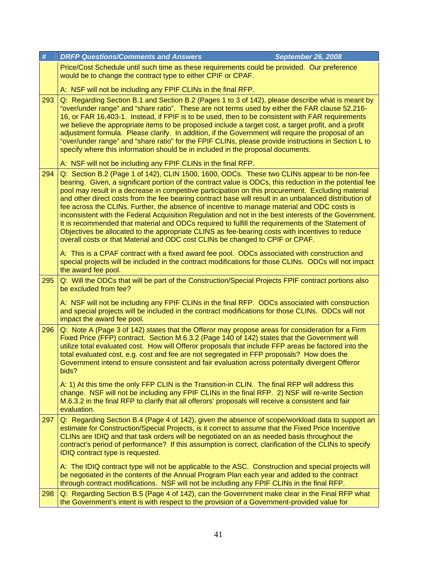| #   | <b>DRFP Questions/Comments and Answers</b><br><b>September 26, 2008</b>                                                                                                                                                                                                                                                                                                                                                                                                                                                                                                                                                                                                                                                                                                                                                                                                                                                  |
|-----|--------------------------------------------------------------------------------------------------------------------------------------------------------------------------------------------------------------------------------------------------------------------------------------------------------------------------------------------------------------------------------------------------------------------------------------------------------------------------------------------------------------------------------------------------------------------------------------------------------------------------------------------------------------------------------------------------------------------------------------------------------------------------------------------------------------------------------------------------------------------------------------------------------------------------|
|     | Price/Cost Schedule until such time as these requirements could be provided. Our preference<br>would be to change the contract type to either CPIF or CPAF.                                                                                                                                                                                                                                                                                                                                                                                                                                                                                                                                                                                                                                                                                                                                                              |
|     | A: NSF will not be including any FPIF CLINs in the final RFP.                                                                                                                                                                                                                                                                                                                                                                                                                                                                                                                                                                                                                                                                                                                                                                                                                                                            |
| 293 | Q: Regarding Section B.1 and Section B.2 (Pages 1 to 3 of 142), please describe what is meant by<br>"over/under range" and "share ratio". These are not terms used by either the FAR clause 52.216-<br>16, or FAR 16.403-1. Instead, if FPIF is to be used, then to be consistent with FAR requirements<br>we believe the appropriate items to be proposed include a target cost, a target profit, and a profit<br>adjustment formula. Please clarify. In addition, if the Government will require the proposal of an<br>"over/under range" and "share ratio" for the FPIF CLINs, please provide instructions in Section L to<br>specify where this information should be in included in the proposal documents.                                                                                                                                                                                                         |
|     | A: NSF will not be including any FPIF CLINs in the final RFP.                                                                                                                                                                                                                                                                                                                                                                                                                                                                                                                                                                                                                                                                                                                                                                                                                                                            |
| 294 | Q: Section B.2 (Page 1 of 142), CLIN 1500, 1600, ODCs. These two CLINs appear to be non-fee<br>bearing. Given, a significant portion of the contract value is ODCs, this reduction in the potential fee<br>pool may result in a decrease in competitive participation on this procurement. Excluding material<br>and other direct costs from the fee bearing contract base will result in an unbalanced distribution of<br>fee across the CLINs. Further, the absence of incentive to manage material and ODC costs is<br>inconsistent with the Federal Acquisition Regulation and not in the best interests of the Government.<br>It is recommended that material and ODCs required to fulfill the requirements of the Statement of<br>Objectives be allocated to the appropriate CLINS as fee-bearing costs with incentives to reduce<br>overall costs or that Material and ODC cost CLINs be changed to CPIF or CPAF. |
|     | A: This is a CPAF contract with a fixed award fee pool. ODCs associated with construction and<br>special projects will be included in the contract modifications for those CLINs. ODCs will not impact<br>the award fee pool.                                                                                                                                                                                                                                                                                                                                                                                                                                                                                                                                                                                                                                                                                            |
| 295 | Q: Will the ODCs that will be part of the Construction/Special Projects FPIF contract portions also<br>be excluded from fee?                                                                                                                                                                                                                                                                                                                                                                                                                                                                                                                                                                                                                                                                                                                                                                                             |
|     | A: NSF will not be including any FPIF CLINs in the final RFP. ODCs associated with construction<br>and special projects will be included in the contract modifications for those CLINs. ODCs will not<br>impact the award fee pool.                                                                                                                                                                                                                                                                                                                                                                                                                                                                                                                                                                                                                                                                                      |
| 296 | Q: Note A (Page 3 of 142) states that the Offeror may propose areas for consideration for a Firm<br>Fixed Price (FFP) contract. Section M.6.3.2 (Page 140 of 142) states that the Government will<br>utilize total evaluated cost. How will Offeror proposals that include FFP areas be factored into the<br>total evaluated cost, e.g. cost and fee are not segregated in FFP proposals? How does the<br>Government intend to ensure consistent and fair evaluation across potentially divergent Offeror<br>bids?                                                                                                                                                                                                                                                                                                                                                                                                       |
|     | A: 1) At this time the only FFP CLIN is the Transition-in CLIN. The final RFP will address this<br>change. NSF will not be including any FPIF CLINs in the final RFP. 2) NSF will re-write Section<br>M.6.3.2 in the final RFP to clarify that all offerors' proposals will receive a consistent and fair<br>evaluation.                                                                                                                                                                                                                                                                                                                                                                                                                                                                                                                                                                                                 |
| 297 | Q: Regarding Section B.4 (Page 4 of 142), given the absence of scope/workload data to support an<br>estimate for Construction/Special Projects, is it correct to assume that the Fixed Price Incentive<br>CLINs are IDIQ and that task orders will be negotiated on an as needed basis throughout the<br>contract's period of performance? If this assumption is correct, clarification of the CLINs to specify<br><b>IDIQ contract type is requested.</b>                                                                                                                                                                                                                                                                                                                                                                                                                                                               |
|     | A: The IDIQ contract type will not be applicable to the ASC. Construction and special projects will<br>be negotiated in the contents of the Annual Program Plan each year and added to the contract<br>through contract modifications. NSF will not be including any FPIF CLINs in the final RFP.                                                                                                                                                                                                                                                                                                                                                                                                                                                                                                                                                                                                                        |
| 298 | Q: Regarding Section B.5 (Page 4 of 142), can the Government make clear in the Final RFP what<br>the Government's intent is with respect to the provision of a Government-provided value for                                                                                                                                                                                                                                                                                                                                                                                                                                                                                                                                                                                                                                                                                                                             |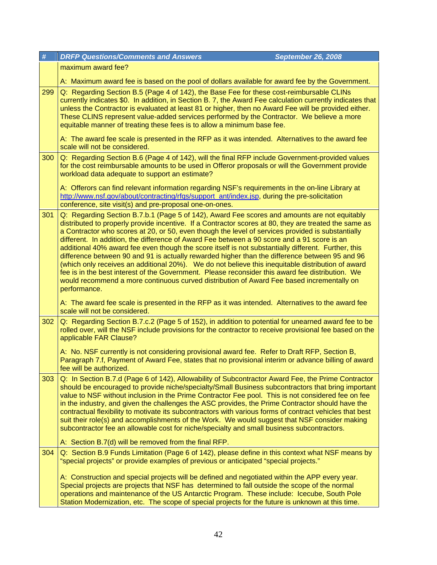| $\pmb{\#}$ | <b>DRFP Questions/Comments and Answers</b><br><b>September 26, 2008</b>                                                                                                                                                                                                                                                                                                                                                                                                                                                                                                                                                                                                                                                       |
|------------|-------------------------------------------------------------------------------------------------------------------------------------------------------------------------------------------------------------------------------------------------------------------------------------------------------------------------------------------------------------------------------------------------------------------------------------------------------------------------------------------------------------------------------------------------------------------------------------------------------------------------------------------------------------------------------------------------------------------------------|
|            | maximum award fee?                                                                                                                                                                                                                                                                                                                                                                                                                                                                                                                                                                                                                                                                                                            |
|            | A: Maximum award fee is based on the pool of dollars available for award fee by the Government.                                                                                                                                                                                                                                                                                                                                                                                                                                                                                                                                                                                                                               |
| 299        | Q: Regarding Section B.5 (Page 4 of 142), the Base Fee for these cost-reimbursable CLINs<br>currently indicates \$0. In addition, in Section B. 7, the Award Fee calculation currently indicates that<br>unless the Contractor is evaluated at least 81 or higher, then no Award Fee will be provided either.<br>These CLINS represent value-added services performed by the Contractor. We believe a more<br>equitable manner of treating these fees is to allow a minimum base fee.                                                                                                                                                                                                                                         |
|            | A: The award fee scale is presented in the RFP as it was intended. Alternatives to the award fee<br>scale will not be considered.                                                                                                                                                                                                                                                                                                                                                                                                                                                                                                                                                                                             |
| 300        | Q: Regarding Section B.6 (Page 4 of 142), will the final RFP include Government-provided values<br>for the cost reimbursable amounts to be used in Offeror proposals or will the Government provide<br>workload data adequate to support an estimate?                                                                                                                                                                                                                                                                                                                                                                                                                                                                         |
|            | A: Offerors can find relevant information regarding NSF's requirements in the on-line Library at<br>http://www.nsf.gov/about/contracting/rfgs/support_ant/index.jsp, during the pre-solicitation<br>conference, site visit(s) and pre-proposal one-on-ones.                                                                                                                                                                                                                                                                                                                                                                                                                                                                   |
| 301        | Q: Regarding Section B.7.b.1 (Page 5 of 142), Award Fee scores and amounts are not equitably<br>distributed to properly provide incentive. If a Contractor scores at 80, they are treated the same as<br>a Contractor who scores at 20, or 50, even though the level of services provided is substantially<br>different. In addition, the difference of Award Fee between a 90 score and a 91 score is an<br>additional 40% award fee even though the score itself is not substantially different. Further, this<br>difference between 90 and 91 is actually rewarded higher than the difference between 95 and 96<br>(which only receives an additional 20%). We do not believe this inequitable distribution of award       |
|            | fee is in the best interest of the Government. Please reconsider this award fee distribution. We<br>would recommend a more continuous curved distribution of Award Fee based incrementally on<br>performance.                                                                                                                                                                                                                                                                                                                                                                                                                                                                                                                 |
|            | A: The award fee scale is presented in the RFP as it was intended. Alternatives to the award fee<br>scale will not be considered.                                                                                                                                                                                                                                                                                                                                                                                                                                                                                                                                                                                             |
| 302        | Q: Regarding Section B.7.c.2 (Page 5 of 152), in addition to potential for unearned award fee to be<br>rolled over, will the NSF include provisions for the contractor to receive provisional fee based on the<br>applicable FAR Clause?                                                                                                                                                                                                                                                                                                                                                                                                                                                                                      |
|            | A: No. NSF currently is not considering provisional award fee. Refer to Draft RFP, Section B,<br>Paragraph 7.f, Payment of Award Fee, states that no provisional interim or advance billing of award<br>fee will be authorized.                                                                                                                                                                                                                                                                                                                                                                                                                                                                                               |
| 303        | Q: In Section B.7.d (Page 6 of 142), Allowability of Subcontractor Award Fee, the Prime Contractor<br>should be encouraged to provide niche/specialty/Small Business subcontractors that bring important<br>value to NSF without inclusion in the Prime Contractor Fee pool. This is not considered fee on fee<br>in the industry, and given the challenges the ASC provides, the Prime Contractor should have the<br>contractual flexibility to motivate its subcontractors with various forms of contract vehicles that best<br>suit their role(s) and accomplishments of the Work. We would suggest that NSF consider making<br>subcontractor fee an allowable cost for niche/specialty and small business subcontractors. |
|            | A: Section B.7(d) will be removed from the final RFP.                                                                                                                                                                                                                                                                                                                                                                                                                                                                                                                                                                                                                                                                         |
| 304        | Q: Section B.9 Funds Limitation (Page 6 of 142), please define in this context what NSF means by<br>"special projects" or provide examples of previous or anticipated "special projects."                                                                                                                                                                                                                                                                                                                                                                                                                                                                                                                                     |
|            | A: Construction and special projects will be defined and negotiated within the APP every year.<br>Special projects are projects that NSF has determined to fall outside the scope of the normal<br>operations and maintenance of the US Antarctic Program. These include: Icecube, South Pole<br>Station Modernization, etc. The scope of special projects for the future is unknown at this time.                                                                                                                                                                                                                                                                                                                            |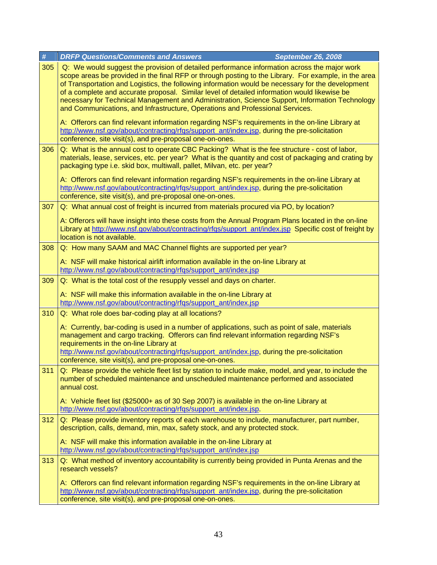| #   | <b>DRFP Questions/Comments and Answers</b><br><b>September 26, 2008</b>                                                                                                                                                                                                                                                                                                                                                                                                                                                                                                                     |
|-----|---------------------------------------------------------------------------------------------------------------------------------------------------------------------------------------------------------------------------------------------------------------------------------------------------------------------------------------------------------------------------------------------------------------------------------------------------------------------------------------------------------------------------------------------------------------------------------------------|
| 305 | Q: We would suggest the provision of detailed performance information across the major work<br>scope areas be provided in the final RFP or through posting to the Library. For example, in the area<br>of Transportation and Logistics, the following information would be necessary for the development<br>of a complete and accurate proposal. Similar level of detailed information would likewise be<br>necessary for Technical Management and Administration, Science Support, Information Technology<br>and Communications, and Infrastructure, Operations and Professional Services. |
|     | A: Offerors can find relevant information regarding NSF's requirements in the on-line Library at<br>http://www.nsf.gov/about/contracting/rfgs/support_ant/index.jsp. during the pre-solicitation<br>conference, site visit(s), and pre-proposal one-on-ones.                                                                                                                                                                                                                                                                                                                                |
| 306 | Q: What is the annual cost to operate CBC Packing? What is the fee structure - cost of labor,<br>materials, lease, services, etc. per year? What is the quantity and cost of packaging and crating by<br>packaging type i.e. skid box, multiwall, pallet, Milvan, etc. per year?                                                                                                                                                                                                                                                                                                            |
|     | A: Offerors can find relevant information regarding NSF's requirements in the on-line Library at<br>http://www.nsf.gov/about/contracting/rfgs/support_ant/index.jsp, during the pre-solicitation<br>conference, site visit(s), and pre-proposal one-on-ones.                                                                                                                                                                                                                                                                                                                                |
| 307 | Q: What annual cost of freight is incurred from materials procured via PO, by location?                                                                                                                                                                                                                                                                                                                                                                                                                                                                                                     |
|     | A: Offerors will have insight into these costs from the Annual Program Plans located in the on-line<br>Library at http://www.nsf.gov/about/contracting/rfgs/support_ant/index.jsp Specific cost of freight by<br>location is not available.                                                                                                                                                                                                                                                                                                                                                 |
| 308 | Q: How many SAAM and MAC Channel flights are supported per year?                                                                                                                                                                                                                                                                                                                                                                                                                                                                                                                            |
|     | A: NSF will make historical airlift information available in the on-line Library at<br>http://www.nsf.gov/about/contracting/rfqs/support_ant/index.jsp                                                                                                                                                                                                                                                                                                                                                                                                                                      |
| 309 | Q: What is the total cost of the resupply vessel and days on charter.                                                                                                                                                                                                                                                                                                                                                                                                                                                                                                                       |
|     | A: NSF will make this information available in the on-line Library at<br>http://www.nsf.gov/about/contracting/rfqs/support_ant/index.jsp                                                                                                                                                                                                                                                                                                                                                                                                                                                    |
| 310 | Q: What role does bar-coding play at all locations?                                                                                                                                                                                                                                                                                                                                                                                                                                                                                                                                         |
|     | A: Currently, bar-coding is used in a number of applications, such as point of sale, materials<br>management and cargo tracking. Offerors can find relevant information regarding NSF's<br>requirements in the on-line Library at                                                                                                                                                                                                                                                                                                                                                           |
|     | http://www.nsf.gov/about/contracting/rfqs/support_ant/index.jsp, during the pre-solicitation<br>conference, site visit(s), and pre-proposal one-on-ones.                                                                                                                                                                                                                                                                                                                                                                                                                                    |
| 311 | Q: Please provide the vehicle fleet list by station to include make, model, and year, to include the<br>number of scheduled maintenance and unscheduled maintenance performed and associated<br>annual cost.                                                                                                                                                                                                                                                                                                                                                                                |
|     | A: Vehicle fleet list (\$25000+ as of 30 Sep 2007) is available in the on-line Library at<br>http://www.nsf.gov/about/contracting/rfgs/support_ant/index.jsp.                                                                                                                                                                                                                                                                                                                                                                                                                               |
| 312 | Q: Please provide inventory reports of each warehouse to include, manufacturer, part number,<br>description, calls, demand, min, max, safety stock, and any protected stock.                                                                                                                                                                                                                                                                                                                                                                                                                |
|     | A: NSF will make this information available in the on-line Library at<br>http://www.nsf.gov/about/contracting/rfqs/support_ant/index.jsp                                                                                                                                                                                                                                                                                                                                                                                                                                                    |
| 313 | Q: What method of inventory accountability is currently being provided in Punta Arenas and the<br>research vessels?                                                                                                                                                                                                                                                                                                                                                                                                                                                                         |
|     | A: Offerors can find relevant information regarding NSF's requirements in the on-line Library at<br>http://www.nsf.gov/about/contracting/rfgs/support_ant/index.jsp, during the pre-solicitation<br>conference, site visit(s), and pre-proposal one-on-ones.                                                                                                                                                                                                                                                                                                                                |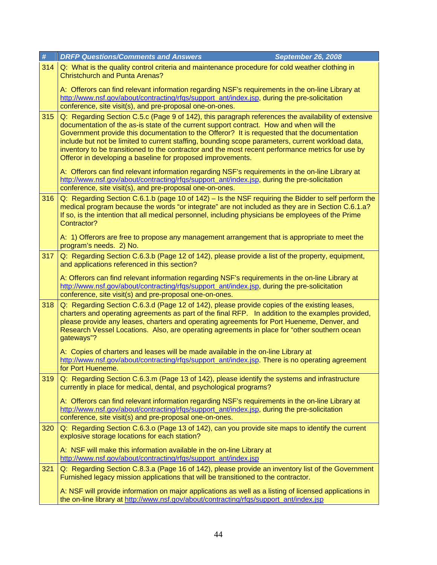| $\#$ | <b>DRFP Questions/Comments and Answers</b><br><b>September 26, 2008</b>                                                                                                                                                                                                                                                                                                                                                                                                                                                                                                 |
|------|-------------------------------------------------------------------------------------------------------------------------------------------------------------------------------------------------------------------------------------------------------------------------------------------------------------------------------------------------------------------------------------------------------------------------------------------------------------------------------------------------------------------------------------------------------------------------|
| 314  | Q: What is the quality control criteria and maintenance procedure for cold weather clothing in<br><b>Christchurch and Punta Arenas?</b>                                                                                                                                                                                                                                                                                                                                                                                                                                 |
|      | A: Offerors can find relevant information regarding NSF's requirements in the on-line Library at<br>http://www.nsf.gov/about/contracting/rfgs/support_ant/index.jsp, during the pre-solicitation<br>conference, site visit(s), and pre-proposal one-on-ones.                                                                                                                                                                                                                                                                                                            |
| 315  | Q: Regarding Section C.5.c (Page 9 of 142), this paragraph references the availability of extensive<br>documentation of the as-is state of the current support contract. How and when will the<br>Government provide this documentation to the Offeror? It is requested that the documentation<br>include but not be limited to current staffing, bounding scope parameters, current workload data,<br>inventory to be transitioned to the contractor and the most recent performance metrics for use by<br>Offeror in developing a baseline for proposed improvements. |
|      | A: Offerors can find relevant information regarding NSF's requirements in the on-line Library at<br>http://www.nsf.gov/about/contracting/rfgs/support_ant/index.jsp, during the pre-solicitation<br>conference, site visit(s), and pre-proposal one-on-ones.                                                                                                                                                                                                                                                                                                            |
| 316  | Q: Regarding Section C.6.1.b (page 10 of 142) - Is the NSF requiring the Bidder to self perform the<br>medical program because the words "or integrate" are not included as they are in Section C.6.1.a?<br>If so, is the intention that all medical personnel, including physicians be employees of the Prime<br>Contractor?                                                                                                                                                                                                                                           |
|      | A: 1) Offerors are free to propose any management arrangement that is appropriate to meet the<br>program's needs. 2) No.                                                                                                                                                                                                                                                                                                                                                                                                                                                |
| 317  | Q: Regarding Section C.6.3.b (Page 12 of 142), please provide a list of the property, equipment,<br>and applications referenced in this section?                                                                                                                                                                                                                                                                                                                                                                                                                        |
|      | A: Offerors can find relevant information regarding NSF's requirements in the on-line Library at<br>http://www.nsf.gov/about/contracting/rfgs/support_ant/index.jsp, during the pre-solicitation<br>conference, site visit(s) and pre-proposal one-on-ones.                                                                                                                                                                                                                                                                                                             |
| 318  | Q: Regarding Section C.6.3.d (Page 12 of 142), please provide copies of the existing leases,<br>charters and operating agreements as part of the final RFP. In addition to the examples provided,<br>please provide any leases, charters and operating agreements for Port Hueneme, Denver, and<br>Research Vessel Locations. Also, are operating agreements in place for "other southern ocean<br>gateways"?                                                                                                                                                           |
|      | A: Copies of charters and leases will be made available in the on-line Library at<br>http://www.nsf.gov/about/contracting/rfqs/support_ant/index.jsp. There is no operating agreement<br>for Port Hueneme.                                                                                                                                                                                                                                                                                                                                                              |
| 319  | Q: Regarding Section C.6.3.m (Page 13 of 142), please identify the systems and infrastructure<br>currently in place for medical, dental, and psychological programs?                                                                                                                                                                                                                                                                                                                                                                                                    |
|      | A: Offerors can find relevant information regarding NSF's requirements in the on-line Library at<br>http://www.nsf.gov/about/contracting/rfqs/support_ant/index.jsp, during the pre-solicitation<br>conference, site visit(s) and pre-proposal one-on-ones.                                                                                                                                                                                                                                                                                                             |
| 320  | Q: Regarding Section C.6.3.o (Page 13 of 142), can you provide site maps to identify the current<br>explosive storage locations for each station?                                                                                                                                                                                                                                                                                                                                                                                                                       |
|      | A: NSF will make this information available in the on-line Library at<br>http://www.nsf.gov/about/contracting/rfgs/support_ant/index.jsp                                                                                                                                                                                                                                                                                                                                                                                                                                |
| 321  | Q: Regarding Section C.8.3.a (Page 16 of 142), please provide an inventory list of the Government<br>Furnished legacy mission applications that will be transitioned to the contractor.                                                                                                                                                                                                                                                                                                                                                                                 |
|      | A: NSF will provide information on major applications as well as a listing of licensed applications in<br>the on-line library at http://www.nsf.gov/about/contracting/rfqs/support_ant/index.jsp                                                                                                                                                                                                                                                                                                                                                                        |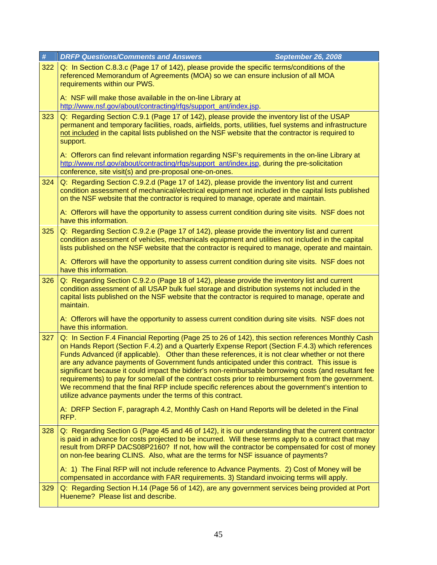| $\#$ | <b>DRFP Questions/Comments and Answers</b><br><b>September 26, 2008</b>                                                                                                                                                                                                                                                                                                                                                                                                                                                                                                                                                                                                                                                                                                                   |
|------|-------------------------------------------------------------------------------------------------------------------------------------------------------------------------------------------------------------------------------------------------------------------------------------------------------------------------------------------------------------------------------------------------------------------------------------------------------------------------------------------------------------------------------------------------------------------------------------------------------------------------------------------------------------------------------------------------------------------------------------------------------------------------------------------|
| 322  | Q: In Section C.8.3.c (Page 17 of 142), please provide the specific terms/conditions of the<br>referenced Memorandum of Agreements (MOA) so we can ensure inclusion of all MOA<br>requirements within our PWS.                                                                                                                                                                                                                                                                                                                                                                                                                                                                                                                                                                            |
|      | A: NSF will make those available in the on-line Library at<br>http://www.nsf.gov/about/contracting/rfgs/support_ant/index.jsp.                                                                                                                                                                                                                                                                                                                                                                                                                                                                                                                                                                                                                                                            |
| 323  | Q: Regarding Section C.9.1 (Page 17 of 142), please provide the inventory list of the USAP<br>permanent and temporary facilities, roads, airfields, ports, utilities, fuel systems and infrastructure<br>not included in the capital lists published on the NSF website that the contractor is required to<br>support.<br>A: Offerors can find relevant information regarding NSF's requirements in the on-line Library at                                                                                                                                                                                                                                                                                                                                                                |
|      | http://www.nsf.gov/about/contracting/rfqs/support_ant/index.jsp, during the pre-solicitation<br>conference, site visit(s) and pre-proposal one-on-ones.                                                                                                                                                                                                                                                                                                                                                                                                                                                                                                                                                                                                                                   |
| 324  | Q: Regarding Section C.9.2.d (Page 17 of 142), please provide the inventory list and current<br>condition assessment of mechanical/electrical equipment not included in the capital lists published<br>on the NSF website that the contractor is required to manage, operate and maintain.                                                                                                                                                                                                                                                                                                                                                                                                                                                                                                |
|      | A: Offerors will have the opportunity to assess current condition during site visits. NSF does not<br>have this information.                                                                                                                                                                                                                                                                                                                                                                                                                                                                                                                                                                                                                                                              |
| 325  | Q: Regarding Section C.9.2.e (Page 17 of 142), please provide the inventory list and current<br>condition assessment of vehicles, mechanicals equipment and utilities not included in the capital<br>lists published on the NSF website that the contractor is required to manage, operate and maintain.                                                                                                                                                                                                                                                                                                                                                                                                                                                                                  |
|      | A: Offerors will have the opportunity to assess current condition during site visits. NSF does not<br>have this information.                                                                                                                                                                                                                                                                                                                                                                                                                                                                                                                                                                                                                                                              |
| 326  | Q: Regarding Section C.9.2.o (Page 18 of 142), please provide the inventory list and current<br>condition assessment of all USAP bulk fuel storage and distribution systems not included in the<br>capital lists published on the NSF website that the contractor is required to manage, operate and<br>maintain.                                                                                                                                                                                                                                                                                                                                                                                                                                                                         |
|      | A: Offerors will have the opportunity to assess current condition during site visits. NSF does not<br>have this information.                                                                                                                                                                                                                                                                                                                                                                                                                                                                                                                                                                                                                                                              |
| 327  | Q: In Section F.4 Financial Reporting (Page 25 to 26 of 142), this section references Monthly Cash<br>on Hands Report (Section F.4.2) and a Quarterly Expense Report (Section F.4.3) which references<br>Funds Advanced (if applicable). Other than these references, it is not clear whether or not there<br>are any advance payments of Government funds anticipated under this contract. This issue is<br>significant because it could impact the bidder's non-reimbursable borrowing costs (and resultant fee<br>requirements) to pay for some/all of the contract costs prior to reimbursement from the government.<br>We recommend that the final RFP include specific references about the government's intention to<br>utilize advance payments under the terms of this contract. |
|      | A: DRFP Section F, paragraph 4.2, Monthly Cash on Hand Reports will be deleted in the Final<br>RFP.                                                                                                                                                                                                                                                                                                                                                                                                                                                                                                                                                                                                                                                                                       |
| 328  | Q: Regarding Section G (Page 45 and 46 of 142), it is our understanding that the current contractor<br>is paid in advance for costs projected to be incurred. Will these terms apply to a contract that may<br>result from DRFP DACS08P2160? If not, how will the contractor be compensated for cost of money<br>on non-fee bearing CLINS. Also, what are the terms for NSF issuance of payments?                                                                                                                                                                                                                                                                                                                                                                                         |
|      | A: 1) The Final RFP will not include reference to Advance Payments. 2) Cost of Money will be<br>compensated in accordance with FAR requirements. 3) Standard invoicing terms will apply.                                                                                                                                                                                                                                                                                                                                                                                                                                                                                                                                                                                                  |
| 329  | Q: Regarding Section H.14 (Page 56 of 142), are any government services being provided at Port<br>Hueneme? Please list and describe.                                                                                                                                                                                                                                                                                                                                                                                                                                                                                                                                                                                                                                                      |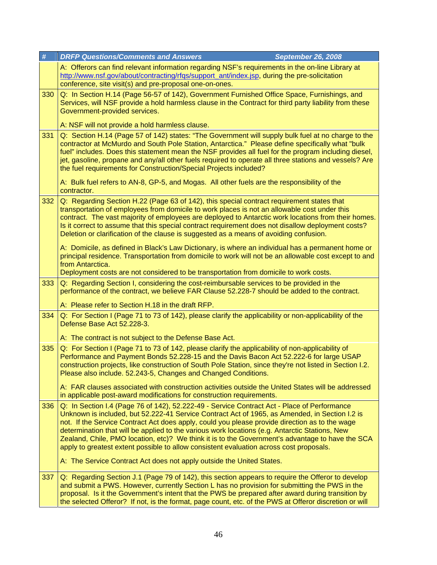| #   | <b>DRFP Questions/Comments and Answers</b><br><b>September 26, 2008</b>                                                                                                                                                                                                                                                                                                                                                                                                                                                                                                                                                                                                   |
|-----|---------------------------------------------------------------------------------------------------------------------------------------------------------------------------------------------------------------------------------------------------------------------------------------------------------------------------------------------------------------------------------------------------------------------------------------------------------------------------------------------------------------------------------------------------------------------------------------------------------------------------------------------------------------------------|
|     | A: Offerors can find relevant information regarding NSF's requirements in the on-line Library at<br>http://www.nsf.gov/about/contracting/rfqs/support_ant/index.jsp, during the pre-solicitation<br>conference, site visit(s) and pre-proposal one-on-ones.                                                                                                                                                                                                                                                                                                                                                                                                               |
| 330 | Q: In Section H.14 (Page 56-57 of 142), Government Furnished Office Space, Furnishings, and<br>Services, will NSF provide a hold harmless clause in the Contract for third party liability from these<br>Government-provided services.                                                                                                                                                                                                                                                                                                                                                                                                                                    |
|     | A: NSF will not provide a hold harmless clause.                                                                                                                                                                                                                                                                                                                                                                                                                                                                                                                                                                                                                           |
| 331 | Q: Section H.14 (Page 57 of 142) states: "The Government will supply bulk fuel at no charge to the<br>contractor at McMurdo and South Pole Station, Antarctica." Please define specifically what "bulk<br>fuel" includes. Does this statement mean the NSF provides all fuel for the program including diesel,<br>jet, gasoline, propane and any/all other fuels required to operate all three stations and vessels? Are<br>the fuel requirements for Construction/Special Projects included?                                                                                                                                                                             |
|     | A: Bulk fuel refers to AN-8, GP-5, and Mogas. All other fuels are the responsibility of the<br>contractor.                                                                                                                                                                                                                                                                                                                                                                                                                                                                                                                                                                |
| 332 | Q: Regarding Section H.22 (Page 63 of 142), this special contract requirement states that<br>transportation of employees from domicile to work places is not an allowable cost under this<br>contract. The vast majority of employees are deployed to Antarctic work locations from their homes.<br>Is it correct to assume that this special contract requirement does not disallow deployment costs?<br>Deletion or clarification of the clause is suggested as a means of avoiding confusion.                                                                                                                                                                          |
|     | A: Domicile, as defined in Black's Law Dictionary, is where an individual has a permanent home or<br>principal residence. Transportation from domicile to work will not be an allowable cost except to and<br>from Antarctica.<br>Deployment costs are not considered to be transportation from domicile to work costs.                                                                                                                                                                                                                                                                                                                                                   |
| 333 | Q: Regarding Section I, considering the cost-reimbursable services to be provided in the<br>performance of the contract, we believe FAR Clause 52.228-7 should be added to the contract.                                                                                                                                                                                                                                                                                                                                                                                                                                                                                  |
|     | A: Please refer to Section H.18 in the draft RFP.                                                                                                                                                                                                                                                                                                                                                                                                                                                                                                                                                                                                                         |
| 334 | Q: For Section I (Page 71 to 73 of 142), please clarify the applicability or non-applicability of the<br>Defense Base Act 52.228-3.<br>A: The contract is not subject to the Defense Base Act.                                                                                                                                                                                                                                                                                                                                                                                                                                                                            |
| 335 | Q: For Section I (Page 71 to 73 of 142, please clarify the applicability of non-applicability of<br>Performance and Payment Bonds 52.228-15 and the Davis Bacon Act 52.222-6 for large USAP<br>construction projects, like construction of South Pole Station, since they're not listed in Section I.2.<br>Please also include. 52.243-5, Changes and Changed Conditions.<br>A: FAR clauses associated with construction activities outside the United States will be addressed                                                                                                                                                                                           |
|     | in applicable post-award modifications for construction requirements.                                                                                                                                                                                                                                                                                                                                                                                                                                                                                                                                                                                                     |
| 336 | Q: In Section I.4 (Page 76 of 142), 52.222-49 - Service Contract Act - Place of Performance<br>Unknown is included, but 52.222-41 Service Contract Act of 1965, as Amended, in Section I.2 is<br>not. If the Service Contract Act does apply, could you please provide direction as to the wage<br>determination that will be applied to the various work locations (e.g. Antarctic Stations, New<br>Zealand, Chile, PMO location, etc)? We think it is to the Government's advantage to have the SCA<br>apply to greatest extent possible to allow consistent evaluation across cost proposals.<br>A: The Service Contract Act does not apply outside the United States. |
| 337 | Q: Regarding Section J.1 (Page 79 of 142), this section appears to require the Offeror to develop<br>and submit a PWS. However, currently Section L has no provision for submitting the PWS in the<br>proposal. Is it the Government's intent that the PWS be prepared after award during transition by<br>the selected Offeror? If not, is the format, page count, etc. of the PWS at Offeror discretion or will                                                                                                                                                                                                                                                         |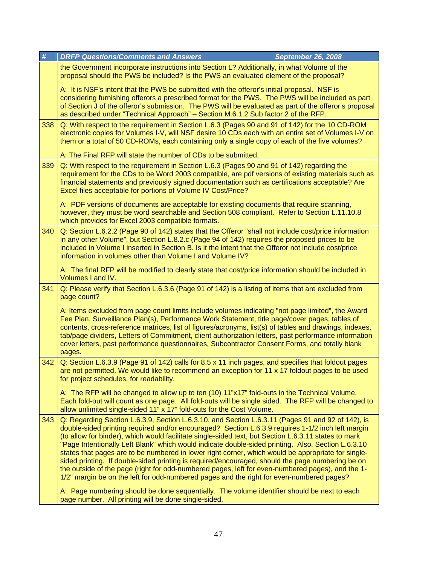| # |     | <b>DRFP Questions/Comments and Answers</b><br><b>September 26, 2008</b>                                                                                                                                                                                                                                                                                                                                                                                                                                                                                                                                                                                                                                                                                                                                                                                                                                                       |
|---|-----|-------------------------------------------------------------------------------------------------------------------------------------------------------------------------------------------------------------------------------------------------------------------------------------------------------------------------------------------------------------------------------------------------------------------------------------------------------------------------------------------------------------------------------------------------------------------------------------------------------------------------------------------------------------------------------------------------------------------------------------------------------------------------------------------------------------------------------------------------------------------------------------------------------------------------------|
|   |     | the Government incorporate instructions into Section L? Additionally, in what Volume of the<br>proposal should the PWS be included? Is the PWS an evaluated element of the proposal?                                                                                                                                                                                                                                                                                                                                                                                                                                                                                                                                                                                                                                                                                                                                          |
|   |     | A: It is NSF's intent that the PWS be submitted with the offeror's initial proposal. NSF is<br>considering furnishing offerors a prescribed format for the PWS. The PWS will be included as part<br>of Section J of the offeror's submission. The PWS will be evaluated as part of the offeror's proposal<br>as described under "Technical Approach" - Section M.6.1.2 Sub factor 2 of the RFP.                                                                                                                                                                                                                                                                                                                                                                                                                                                                                                                               |
|   | 338 | Q: With respect to the requirement in Section L.6.3 (Pages 90 and 91 of 142) for the 10 CD-ROM<br>electronic copies for Volumes I-V, will NSF desire 10 CDs each with an entire set of Volumes I-V on<br>them or a total of 50 CD-ROMs, each containing only a single copy of each of the five volumes?                                                                                                                                                                                                                                                                                                                                                                                                                                                                                                                                                                                                                       |
|   |     | A: The Final RFP will state the number of CDs to be submitted.                                                                                                                                                                                                                                                                                                                                                                                                                                                                                                                                                                                                                                                                                                                                                                                                                                                                |
|   | 339 | Q: With respect to the requirement in Section L.6.3 (Pages 90 and 91 of 142) regarding the<br>requirement for the CDs to be Word 2003 compatible, are pdf versions of existing materials such as<br>financial statements and previously signed documentation such as certifications acceptable? Are<br>Excel files acceptable for portions of Volume IV Cost/Price?                                                                                                                                                                                                                                                                                                                                                                                                                                                                                                                                                           |
|   |     | A: PDF versions of documents are acceptable for existing documents that require scanning,<br>however, they must be word searchable and Section 508 compliant. Refer to Section L.11.10.8<br>which provides for Excel 2003 compatible formats.                                                                                                                                                                                                                                                                                                                                                                                                                                                                                                                                                                                                                                                                                 |
|   | 340 | Q: Section L.6.2.2 (Page 90 of 142) states that the Offeror "shall not include cost/price information<br>in any other Volume", but Section L.8.2.c (Page 94 of 142) requires the proposed prices to be<br>included in Volume I inserted in Section B. Is it the intent that the Offeror not include cost/price<br>information in volumes other than Volume I and Volume IV?                                                                                                                                                                                                                                                                                                                                                                                                                                                                                                                                                   |
|   |     | A: The final RFP will be modified to clearly state that cost/price information should be included in<br>Volumes I and IV.                                                                                                                                                                                                                                                                                                                                                                                                                                                                                                                                                                                                                                                                                                                                                                                                     |
|   | 341 | Q: Please verify that Section L.6.3.6 (Page 91 of 142) is a listing of items that are excluded from<br>page count?                                                                                                                                                                                                                                                                                                                                                                                                                                                                                                                                                                                                                                                                                                                                                                                                            |
|   |     | A: Items excluded from page count limits include volumes indicating "not page limited", the Award<br>Fee Plan, Surveillance Plan(s), Performance Work Statement, title page/cover pages, tables of<br>contents, cross-reference matrices, list of figures/acronyms, list(s) of tables and drawings, indexes,<br>tab/page dividers, Letters of Commitment, client authorization letters, past performance information<br>cover letters, past performance questionnaires, Subcontractor Consent Forms, and totally blank<br>pages.                                                                                                                                                                                                                                                                                                                                                                                              |
|   | 342 | Q: Section L.6.3.9 (Page 91 of 142) calls for 8.5 x 11 inch pages, and specifies that foldout pages<br>are not permitted. We would like to recommend an exception for 11 x 17 foldout pages to be used<br>for project schedules, for readability.                                                                                                                                                                                                                                                                                                                                                                                                                                                                                                                                                                                                                                                                             |
|   |     | A: The RFP will be changed to allow up to ten (10) 11"x17" fold-outs in the Technical Volume.<br>Each fold-out will count as one page. All fold-outs will be single sided. The RFP will be changed to<br>allow unlimited single-sided 11" x 17" fold-outs for the Cost Volume.                                                                                                                                                                                                                                                                                                                                                                                                                                                                                                                                                                                                                                                |
|   | 343 | Q: Regarding Section L.6.3.9, Section L.6.3.10, and Section L.6.3.11 (Pages 91 and 92 of 142), is<br>double-sided printing required and/or encouraged? Section L.6.3.9 requires 1-1/2 inch left margin<br>(to allow for binder), which would facilitate single-sided text, but Section L.6.3.11 states to mark<br>"Page Intentionally Left Blank" which would indicate double-sided printing. Also, Section L.6.3.10<br>states that pages are to be numbered in lower right corner, which would be appropriate for single-<br>sided printing. If double-sided printing is required/encouraged, should the page numbering be on<br>the outside of the page (right for odd-numbered pages, left for even-numbered pages), and the 1-<br>1/2" margin be on the left for odd-numbered pages and the right for even-numbered pages?<br>A: Page numbering should be done sequentially. The volume identifier should be next to each |
|   |     | page number. All printing will be done single-sided.                                                                                                                                                                                                                                                                                                                                                                                                                                                                                                                                                                                                                                                                                                                                                                                                                                                                          |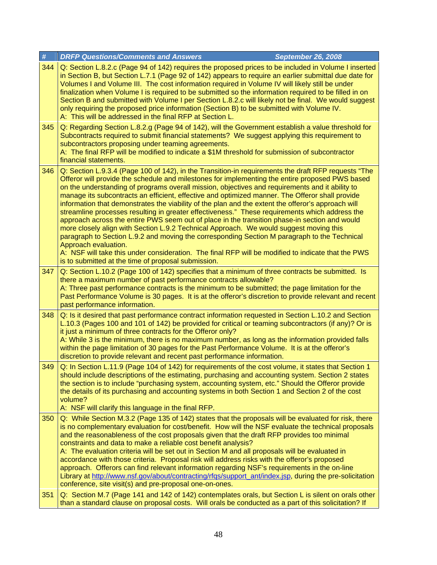| $\#$ | <b>DRFP Questions/Comments and Answers</b><br><b>September 26, 2008</b>                                                                                                                                                                                                                                                                                                                                                                                                                                                                                                                                                                                                                                                                                                                                                                                                                                                                                                                                                                                                                              |
|------|------------------------------------------------------------------------------------------------------------------------------------------------------------------------------------------------------------------------------------------------------------------------------------------------------------------------------------------------------------------------------------------------------------------------------------------------------------------------------------------------------------------------------------------------------------------------------------------------------------------------------------------------------------------------------------------------------------------------------------------------------------------------------------------------------------------------------------------------------------------------------------------------------------------------------------------------------------------------------------------------------------------------------------------------------------------------------------------------------|
| 344  | Q: Section L.8.2.c (Page 94 of 142) requires the proposed prices to be included in Volume I inserted<br>in Section B, but Section L.7.1 (Page 92 of 142) appears to require an earlier submittal due date for<br>Volumes I and Volume III. The cost information required in Volume IV will likely still be under<br>finalization when Volume I is required to be submitted so the information required to be filled in on<br>Section B and submitted with Volume I per Section L.8.2.c will likely not be final. We would suggest<br>only requiring the proposed price information (Section B) to be submitted with Volume IV.<br>A: This will be addressed in the final RFP at Section L.                                                                                                                                                                                                                                                                                                                                                                                                           |
| 345  | Q: Regarding Section L.8.2.g (Page 94 of 142), will the Government establish a value threshold for<br>Subcontracts required to submit financial statements? We suggest applying this requirement to<br>subcontractors proposing under teaming agreements.<br>A: The final RFP will be modified to indicate a \$1M threshold for submission of subcontractor<br>financial statements.                                                                                                                                                                                                                                                                                                                                                                                                                                                                                                                                                                                                                                                                                                                 |
| 346  | Q: Section L.9.3.4 (Page 100 of 142), in the Transition-in requirements the draft RFP requests "The<br>Offeror will provide the schedule and milestones for implementing the entire proposed PWS based<br>on the understanding of programs overall mission, objectives and requirements and it ability to<br>manage its subcontracts an efficient, effective and optimized manner. The Offeror shall provide<br>information that demonstrates the viability of the plan and the extent the offeror's approach will<br>streamline processes resulting in greater effectiveness." These requirements which address the<br>approach across the entire PWS seem out of place in the transition phase-in section and would<br>more closely align with Section L.9.2 Technical Approach. We would suggest moving this<br>paragraph to Section L.9.2 and moving the corresponding Section M paragraph to the Technical<br>Approach evaluation.<br>A: NSF will take this under consideration. The final RFP will be modified to indicate that the PWS<br>is to submitted at the time of proposal submission. |
| 347  | Q: Section L.10.2 (Page 100 of 142) specifies that a minimum of three contracts be submitted. Is<br>there a maximum number of past performance contracts allowable?<br>A: Three past performance contracts is the minimum to be submitted; the page limitation for the<br>Past Performance Volume is 30 pages. It is at the offeror's discretion to provide relevant and recent<br>past performance information.                                                                                                                                                                                                                                                                                                                                                                                                                                                                                                                                                                                                                                                                                     |
| 348  | Q: Is it desired that past performance contract information requested in Section L.10.2 and Section<br>L.10.3 (Pages 100 and 101 of 142) be provided for critical or teaming subcontractors (if any)? Or is<br>it just a minimum of three contracts for the Offeror only?<br>A: While 3 is the minimum, there is no maximum number, as long as the information provided falls<br>within the page limitation of 30 pages for the Past Performance Volume. It is at the offeror's<br>discretion to provide relevant and recent past performance information.                                                                                                                                                                                                                                                                                                                                                                                                                                                                                                                                           |
| 349  | Q: In Section L.11.9 (Page 104 of 142) for requirements of the cost volume, it states that Section 1<br>should include descriptions of the estimating, purchasing and accounting system. Section 2 states<br>the section is to include "purchasing system, accounting system, etc." Should the Offeror provide<br>the details of its purchasing and accounting systems in both Section 1 and Section 2 of the cost<br>volume?<br>A: NSF will clarify this language in the final RFP.                                                                                                                                                                                                                                                                                                                                                                                                                                                                                                                                                                                                                 |
| 350  | Q: While Section M.3.2 (Page 135 of 142) states that the proposals will be evaluated for risk, there<br>is no complementary evaluation for cost/benefit. How will the NSF evaluate the technical proposals<br>and the reasonableness of the cost proposals given that the draft RFP provides too minimal<br>constraints and data to make a reliable cost benefit analysis?<br>A: The evaluation criteria will be set out in Section M and all proposals will be evaluated in<br>accordance with those criteria. Proposal risk will address risks with the offeror's proposed<br>approach. Offerors can find relevant information regarding NSF's requirements in the on-line<br>Library at http://www.nsf.gov/about/contracting/rfqs/support_ant/index.jsp, during the pre-solicitation<br>conference, site visit(s) and pre-proposal one-on-ones.                                                                                                                                                                                                                                                   |
| 351  | Q: Section M.7 (Page 141 and 142 of 142) contemplates orals, but Section L is silent on orals other<br>than a standard clause on proposal costs. Will orals be conducted as a part of this solicitation? If                                                                                                                                                                                                                                                                                                                                                                                                                                                                                                                                                                                                                                                                                                                                                                                                                                                                                          |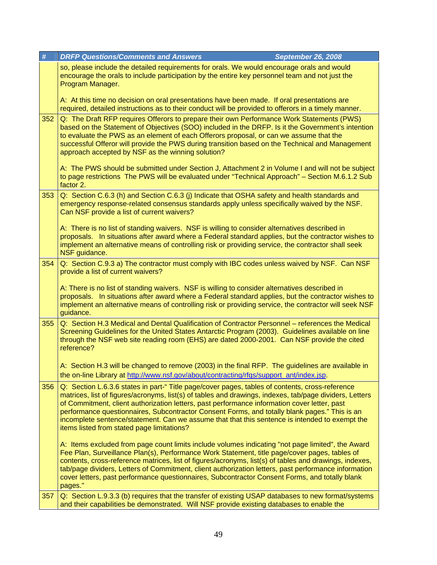| #   | <b>DRFP Questions/Comments and Answers</b><br><b>September 26, 2008</b>                                                                                                                                                                                                                                                                                                                                                                                                                                                                                                                                                                                 |
|-----|---------------------------------------------------------------------------------------------------------------------------------------------------------------------------------------------------------------------------------------------------------------------------------------------------------------------------------------------------------------------------------------------------------------------------------------------------------------------------------------------------------------------------------------------------------------------------------------------------------------------------------------------------------|
|     | so, please include the detailed requirements for orals. We would encourage orals and would<br>encourage the orals to include participation by the entire key personnel team and not just the<br>Program Manager.                                                                                                                                                                                                                                                                                                                                                                                                                                        |
|     | A: At this time no decision on oral presentations have been made. If oral presentations are<br>required, detailed instructions as to their conduct will be provided to offerors in a timely manner.                                                                                                                                                                                                                                                                                                                                                                                                                                                     |
| 352 | Q: The Draft RFP requires Offerors to prepare their own Performance Work Statements (PWS)<br>based on the Statement of Objectives (SOO) included in the DRFP. Is it the Government's intention<br>to evaluate the PWS as an element of each Offerors proposal, or can we assume that the<br>successful Offeror will provide the PWS during transition based on the Technical and Management<br>approach accepted by NSF as the winning solution?<br>A: The PWS should be submitted under Section J, Attachment 2 in Volume I and will not be subject<br>to page restrictions The PWS will be evaluated under "Technical Approach" - Section M.6.1.2 Sub |
|     | factor 2.                                                                                                                                                                                                                                                                                                                                                                                                                                                                                                                                                                                                                                               |
| 353 | Q: Section C.6.3 (h) and Section C.6.3 (j) Indicate that OSHA safety and health standards and<br>emergency response-related consensus standards apply unless specifically waived by the NSF.<br>Can NSF provide a list of current waivers?                                                                                                                                                                                                                                                                                                                                                                                                              |
|     | A: There is no list of standing waivers. NSF is willing to consider alternatives described in<br>proposals. In situations after award where a Federal standard applies, but the contractor wishes to<br>implement an alternative means of controlling risk or providing service, the contractor shall seek<br>NSF guidance.                                                                                                                                                                                                                                                                                                                             |
| 354 | Q: Section C.9.3 a) The contractor must comply with IBC codes unless waived by NSF. Can NSF<br>provide a list of current waivers?                                                                                                                                                                                                                                                                                                                                                                                                                                                                                                                       |
|     | A: There is no list of standing waivers. NSF is willing to consider alternatives described in<br>proposals. In situations after award where a Federal standard applies, but the contractor wishes to<br>implement an alternative means of controlling risk or providing service, the contractor will seek NSF<br>guidance.                                                                                                                                                                                                                                                                                                                              |
| 355 | Q: Section H.3 Medical and Dental Qualification of Contractor Personnel - references the Medical<br>Screening Guidelines for the United States Antarctic Program (2003). Guidelines available on line<br>through the NSF web site reading room (EHS) are dated 2000-2001. Can NSF provide the cited<br>reference?                                                                                                                                                                                                                                                                                                                                       |
|     | A: Section H.3 will be changed to remove (2003) in the final RFP. The guidelines are available in<br>the on-line Library at http://www.nsf.gov/about/contracting/rfqs/support_ant/index.jsp.                                                                                                                                                                                                                                                                                                                                                                                                                                                            |
| 356 | Q: Section L.6.3.6 states in part-" Title page/cover pages, tables of contents, cross-reference<br>matrices, list of figures/acronyms, list(s) of tables and drawings, indexes, tab/page dividers, Letters<br>of Commitment, client authorization letters, past performance information cover letter, past<br>performance questionnaires, Subcontractor Consent Forms, and totally blank pages." This is an<br>incomplete sentence/statement. Can we assume that that this sentence is intended to exempt the<br>items listed from stated page limitations?                                                                                             |
|     | A: Items excluded from page count limits include volumes indicating "not page limited", the Award<br>Fee Plan, Surveillance Plan(s), Performance Work Statement, title page/cover pages, tables of<br>contents, cross-reference matrices, list of figures/acronyms, list(s) of tables and drawings, indexes,<br>tab/page dividers, Letters of Commitment, client authorization letters, past performance information<br>cover letters, past performance questionnaires, Subcontractor Consent Forms, and totally blank<br>pages."                                                                                                                       |
| 357 | Q: Section L.9.3.3 (b) requires that the transfer of existing USAP databases to new format/systems<br>and their capabilities be demonstrated. Will NSF provide existing databases to enable the                                                                                                                                                                                                                                                                                                                                                                                                                                                         |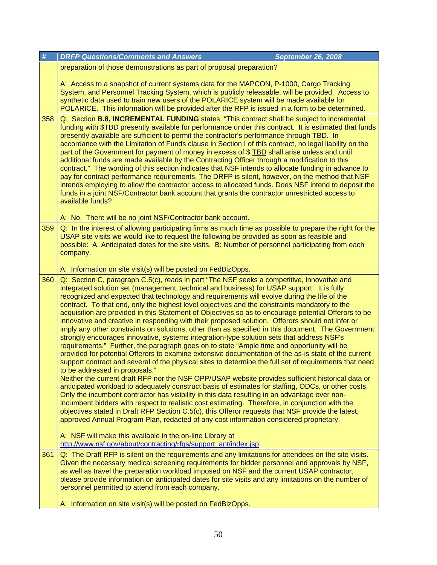| #   | <b>DRFP Questions/Comments and Answers</b><br><b>September 26, 2008</b>                                                                                                                                                                                                                                                                                                                                                                                                                                                                                                                                                                                                                                                                                                                                                                                                                                                                                                                                                                                                                                                                                                                                                                                                                                                                                                                                                                                                                                                                                                                                                                                                                                                                                                  |
|-----|--------------------------------------------------------------------------------------------------------------------------------------------------------------------------------------------------------------------------------------------------------------------------------------------------------------------------------------------------------------------------------------------------------------------------------------------------------------------------------------------------------------------------------------------------------------------------------------------------------------------------------------------------------------------------------------------------------------------------------------------------------------------------------------------------------------------------------------------------------------------------------------------------------------------------------------------------------------------------------------------------------------------------------------------------------------------------------------------------------------------------------------------------------------------------------------------------------------------------------------------------------------------------------------------------------------------------------------------------------------------------------------------------------------------------------------------------------------------------------------------------------------------------------------------------------------------------------------------------------------------------------------------------------------------------------------------------------------------------------------------------------------------------|
|     | preparation of those demonstrations as part of proposal preparation?                                                                                                                                                                                                                                                                                                                                                                                                                                                                                                                                                                                                                                                                                                                                                                                                                                                                                                                                                                                                                                                                                                                                                                                                                                                                                                                                                                                                                                                                                                                                                                                                                                                                                                     |
|     | A: Access to a snapshot of current systems data for the MAPCON, P-1000, Cargo Tracking<br>System, and Personnel Tracking System, which is publicly releasable, will be provided. Access to<br>synthetic data used to train new users of the POLARICE system will be made available for<br>POLARICE. This information will be provided after the RFP is issued in a form to be determined.                                                                                                                                                                                                                                                                                                                                                                                                                                                                                                                                                                                                                                                                                                                                                                                                                                                                                                                                                                                                                                                                                                                                                                                                                                                                                                                                                                                |
| 358 | Q: Section B.8, INCREMENTAL FUNDING states: "This contract shall be subject to incremental<br>funding with \$TBD presently available for performance under this contract. It is estimated that funds<br>presently available are sufficient to permit the contractor's performance through TBD. In<br>accordance with the Limitation of Funds clause in Section I of this contract, no legal liability on the<br>part of the Government for payment of money in excess of \$ TBD shall arise unless and until<br>additional funds are made available by the Contracting Officer through a modification to this<br>contract." The wording of this section indicates that NSF intends to allocate funding in advance to<br>pay for contract performance requirements. The DRFP is silent, however, on the method that NSF<br>intends employing to allow the contractor access to allocated funds. Does NSF intend to deposit the<br>funds in a joint NSF/Contractor bank account that grants the contractor unrestricted access to<br>available funds?<br>A: No. There will be no joint NSF/Contractor bank account.                                                                                                                                                                                                                                                                                                                                                                                                                                                                                                                                                                                                                                                        |
| 359 | Q: In the interest of allowing participating firms as much time as possible to prepare the right for the                                                                                                                                                                                                                                                                                                                                                                                                                                                                                                                                                                                                                                                                                                                                                                                                                                                                                                                                                                                                                                                                                                                                                                                                                                                                                                                                                                                                                                                                                                                                                                                                                                                                 |
|     | USAP site visits we would like to request the following be provided as soon as feasible and<br>possible: A. Anticipated dates for the site visits. B: Number of personnel participating from each<br>company.                                                                                                                                                                                                                                                                                                                                                                                                                                                                                                                                                                                                                                                                                                                                                                                                                                                                                                                                                                                                                                                                                                                                                                                                                                                                                                                                                                                                                                                                                                                                                            |
|     | A: Information on site visit(s) will be posted on FedBizOpps.                                                                                                                                                                                                                                                                                                                                                                                                                                                                                                                                                                                                                                                                                                                                                                                                                                                                                                                                                                                                                                                                                                                                                                                                                                                                                                                                                                                                                                                                                                                                                                                                                                                                                                            |
| 360 | Q: Section C, paragraph C.5(c), reads in part "The NSF seeks a competitive, innovative and<br>integrated solution set (management, technical and business) for USAP support. It is fully<br>recognized and expected that technology and requirements will evolve during the life of the<br>contract. To that end, only the highest level objectives and the constraints mandatory to the<br>acquisition are provided in this Statement of Objectives so as to encourage potential Offerors to be<br>innovative and creative in responding with their proposed solution. Offerors should not infer or<br>imply any other constraints on solutions, other than as specified in this document. The Government<br>strongly encourages innovative, systems integration-type solution sets that address NSF's<br>requirements." Further, the paragraph goes on to state "Ample time and opportunity will be<br>provided for potential Offerors to examine extensive documentation of the as-is state of the current<br>support contract and several of the physical sites to determine the full set of requirements that need<br>to be addressed in proposals."<br>Neither the current draft RFP nor the NSF OPP/USAP website provides sufficient historical data or<br>anticipated workload to adequately construct basis of estimates for staffing, ODCs, or other costs.<br>Only the incumbent contractor has visibility in this data resulting in an advantage over non-<br>incumbent bidders with respect to realistic cost estimating. Therefore, in conjunction with the<br>objectives stated in Draft RFP Section C.5(c), this Offeror requests that NSF provide the latest,<br>approved Annual Program Plan, redacted of any cost information considered proprietary. |
|     | A: NSF will make this available in the on-line Library at<br>http://www.nsf.gov/about/contracting/rfqs/support_ant/index.jsp.                                                                                                                                                                                                                                                                                                                                                                                                                                                                                                                                                                                                                                                                                                                                                                                                                                                                                                                                                                                                                                                                                                                                                                                                                                                                                                                                                                                                                                                                                                                                                                                                                                            |
| 361 | Q: The Draft RFP is silent on the requirements and any limitations for attendees on the site visits.<br>Given the necessary medical screening requirements for bidder personnel and approvals by NSF,<br>as well as travel the preparation workload imposed on NSF and the current USAP contractor,<br>please provide information on anticipated dates for site visits and any limitations on the number of<br>personnel permitted to attend from each company.                                                                                                                                                                                                                                                                                                                                                                                                                                                                                                                                                                                                                                                                                                                                                                                                                                                                                                                                                                                                                                                                                                                                                                                                                                                                                                          |
|     | A: Information on site visit(s) will be posted on FedBizOpps.                                                                                                                                                                                                                                                                                                                                                                                                                                                                                                                                                                                                                                                                                                                                                                                                                                                                                                                                                                                                                                                                                                                                                                                                                                                                                                                                                                                                                                                                                                                                                                                                                                                                                                            |
|     |                                                                                                                                                                                                                                                                                                                                                                                                                                                                                                                                                                                                                                                                                                                                                                                                                                                                                                                                                                                                                                                                                                                                                                                                                                                                                                                                                                                                                                                                                                                                                                                                                                                                                                                                                                          |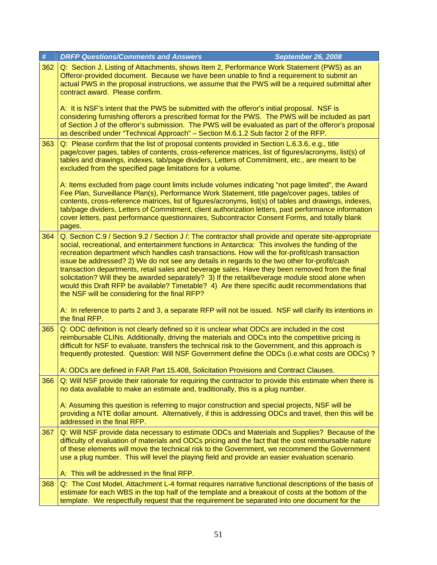| $\#$ | <b>DRFP Questions/Comments and Answers</b><br><b>September 26, 2008</b>                                                                                                                                                                                                                                                                                                                                                                                                                                                                                                                                                                                                                                                                                                  |
|------|--------------------------------------------------------------------------------------------------------------------------------------------------------------------------------------------------------------------------------------------------------------------------------------------------------------------------------------------------------------------------------------------------------------------------------------------------------------------------------------------------------------------------------------------------------------------------------------------------------------------------------------------------------------------------------------------------------------------------------------------------------------------------|
| 362  | Q: Section J, Listing of Attachments, shows Item 2, Performance Work Statement (PWS) as an<br>Offeror-provided document. Because we have been unable to find a requirement to submit an<br>actual PWS in the proposal instructions, we assume that the PWS will be a required submittal after<br>contract award. Please confirm.                                                                                                                                                                                                                                                                                                                                                                                                                                         |
|      | A: It is NSF's intent that the PWS be submitted with the offeror's initial proposal. NSF is<br>considering furnishing offerors a prescribed format for the PWS. The PWS will be included as part<br>of Section J of the offeror's submission. The PWS will be evaluated as part of the offeror's proposal<br>as described under "Technical Approach" - Section M.6.1.2 Sub factor 2 of the RFP.                                                                                                                                                                                                                                                                                                                                                                          |
| 363  | Q: Please confirm that the list of proposal contents provided in Section L.6.3.6, e.g., title<br>page/cover pages, tables of contents, cross-reference matrices, list of figures/acronyms, list(s) of<br>tables and drawings, indexes, tab/page dividers, Letters of Commitment, etc., are meant to be<br>excluded from the specified page limitations for a volume.                                                                                                                                                                                                                                                                                                                                                                                                     |
|      | A: Items excluded from page count limits include volumes indicating "not page limited", the Award<br>Fee Plan, Surveillance Plan(s), Performance Work Statement, title page/cover pages, tables of<br>contents, cross-reference matrices, list of figures/acronyms, list(s) of tables and drawings, indexes,<br>tab/page dividers, Letters of Commitment, client authorization letters, past performance information<br>cover letters, past performance questionnaires, Subcontractor Consent Forms, and totally blank<br>pages.                                                                                                                                                                                                                                         |
| 364  | Q. Section C.9 / Section 9.2 / Section J /: The contractor shall provide and operate site-appropriate<br>social, recreational, and entertainment functions in Antarctica: This involves the funding of the<br>recreation department which handles cash transactions. How will the for-profit/cash transaction<br>issue be addressed? 2) We do not see any details in regards to the two other for-profit/cash<br>transaction departments, retail sales and beverage sales. Have they been removed from the final<br>solicitation? Will they be awarded separately? 3) If the retail/beverage module stood alone when<br>would this Draft RFP be available? Timetable? 4) Are there specific audit recommendations that<br>the NSF will be considering for the final RFP? |
|      | A: In reference to parts 2 and 3, a separate RFP will not be issued. NSF will clarify its intentions in<br>the final RFP.                                                                                                                                                                                                                                                                                                                                                                                                                                                                                                                                                                                                                                                |
| 365  | Q: ODC definition is not clearly defined so it is unclear what ODCs are included in the cost<br>reimbursable CLINs. Additionally, driving the materials and ODCs into the competitive pricing is<br>difficult for NSF to evaluate, transfers the technical risk to the Government, and this approach is<br>frequently protested. Question: Will NSF Government define the ODCs (i.e.what costs are ODCs)?                                                                                                                                                                                                                                                                                                                                                                |
|      | A: ODCs are defined in FAR Part 15.408, Solicitation Provisions and Contract Clauses.                                                                                                                                                                                                                                                                                                                                                                                                                                                                                                                                                                                                                                                                                    |
| 366  | Q: Will NSF provide their rationale for requiring the contractor to provide this estimate when there is<br>no data available to make an estimate and, traditionally, this is a plug number.                                                                                                                                                                                                                                                                                                                                                                                                                                                                                                                                                                              |
|      | A: Assuming this question is referring to major construction and special projects, NSF will be<br>providing a NTE dollar amount. Alternatively, if this is addressing ODCs and travel, then this will be<br>addressed in the final RFP.                                                                                                                                                                                                                                                                                                                                                                                                                                                                                                                                  |
| 367  | Q: Will NSF provide data necessary to estimate ODCs and Materials and Supplies? Because of the<br>difficulty of evaluation of materials and ODCs pricing and the fact that the cost reimbursable nature<br>of these elements will move the technical risk to the Government, we recommend the Government<br>use a plug number. This will level the playing field and provide an easier evaluation scenario.<br>A: This will be addressed in the final RFP.                                                                                                                                                                                                                                                                                                               |
| 368  | Q: The Cost Model, Attachment L-4 format requires narrative functional descriptions of the basis of                                                                                                                                                                                                                                                                                                                                                                                                                                                                                                                                                                                                                                                                      |
|      | estimate for each WBS in the top half of the template and a breakout of costs at the bottom of the<br>template. We respectfully request that the requirement be separated into one document for the                                                                                                                                                                                                                                                                                                                                                                                                                                                                                                                                                                      |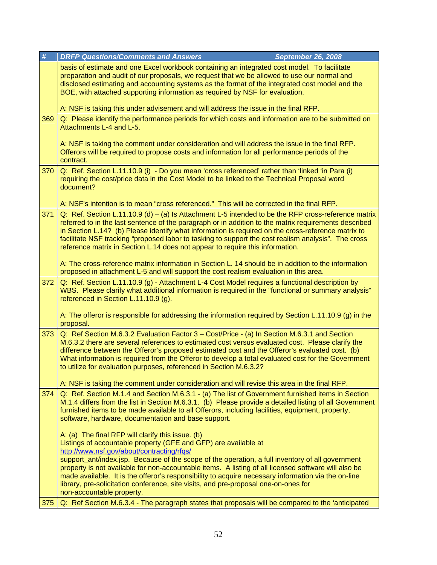| #   | <b>DRFP Questions/Comments and Answers</b><br><b>September 26, 2008</b>                                                                                                                                                                                                                                                                                                                                                                                                                                    |
|-----|------------------------------------------------------------------------------------------------------------------------------------------------------------------------------------------------------------------------------------------------------------------------------------------------------------------------------------------------------------------------------------------------------------------------------------------------------------------------------------------------------------|
|     | basis of estimate and one Excel workbook containing an integrated cost model. To facilitate<br>preparation and audit of our proposals, we request that we be allowed to use our normal and<br>disclosed estimating and accounting systems as the format of the integrated cost model and the<br>BOE, with attached supporting information as required by NSF for evaluation.                                                                                                                               |
|     | A: NSF is taking this under advisement and will address the issue in the final RFP.                                                                                                                                                                                                                                                                                                                                                                                                                        |
| 369 | Q: Please identify the performance periods for which costs and information are to be submitted on<br>Attachments L-4 and L-5.                                                                                                                                                                                                                                                                                                                                                                              |
|     | A: NSF is taking the comment under consideration and will address the issue in the final RFP.<br>Offerors will be required to propose costs and information for all performance periods of the<br>contract.                                                                                                                                                                                                                                                                                                |
| 370 | Q: Ref. Section L.11.10.9 (i) - Do you mean 'cross referenced' rather than 'linked 'in Para (i)<br>requiring the cost/price data in the Cost Model to be linked to the Technical Proposal word<br>document?                                                                                                                                                                                                                                                                                                |
|     | A: NSF's intention is to mean "cross referenced." This will be corrected in the final RFP.                                                                                                                                                                                                                                                                                                                                                                                                                 |
| 371 | Q: Ref. Section L.11.10.9 (d) – (a) Is Attachment L-5 intended to be the RFP cross-reference matrix<br>referred to in the last sentence of the paragraph or in addition to the matrix requirements described<br>in Section L.14? (b) Please identify what information is required on the cross-reference matrix to<br>facilitate NSF tracking "proposed labor to tasking to support the cost realism analysis". The cross<br>reference matrix in Section L.14 does not appear to require this information. |
|     | A: The cross-reference matrix information in Section L. 14 should be in addition to the information<br>proposed in attachment L-5 and will support the cost realism evaluation in this area.                                                                                                                                                                                                                                                                                                               |
| 372 | Q: Ref. Section L.11.10.9 (g) - Attachment L-4 Cost Model requires a functional description by<br>WBS. Please clarify what additional information is required in the "functional or summary analysis"<br>referenced in Section L.11.10.9 (g).                                                                                                                                                                                                                                                              |
|     | A: The offeror is responsible for addressing the information required by Section L.11.10.9 (g) in the<br>proposal.                                                                                                                                                                                                                                                                                                                                                                                         |
| 373 | Q: Ref Section M.6.3.2 Evaluation Factor 3 - Cost/Price - (a) In Section M.6.3.1 and Section<br>M.6.3.2 there are several references to estimated cost versus evaluated cost. Please clarify the<br>difference between the Offeror's proposed estimated cost and the Offeror's evaluated cost. (b)<br>What information is required from the Offeror to develop a total evaluated cost for the Government<br>to utilize for evaluation purposes, referenced in Section M.6.3.2?                             |
|     | A: NSF is taking the comment under consideration and will revise this area in the final RFP.                                                                                                                                                                                                                                                                                                                                                                                                               |
| 374 | Q: Ref. Section M.1.4 and Section M.6.3.1 - (a) The list of Government furnished items in Section<br>M.1.4 differs from the list in Section M.6.3.1. (b) Please provide a detailed listing of all Government<br>furnished items to be made available to all Offerors, including facilities, equipment, property,<br>software, hardware, documentation and base support.                                                                                                                                    |
|     | A: (a) The final RFP will clarify this issue. (b)<br>Listings of accountable property (GFE and GFP) are available at<br>http://www.nsf.gov/about/contracting/rfqs/                                                                                                                                                                                                                                                                                                                                         |
|     | support_ant/index.jsp. Because of the scope of the operation, a full inventory of all government<br>property is not available for non-accountable items. A listing of all licensed software will also be<br>made available. It is the offeror's responsibility to acquire necessary information via the on-line<br>library, pre-solicitation conference, site visits, and pre-proposal one-on-ones for                                                                                                     |
| 375 | non-accountable property.<br>Q: Ref Section M.6.3.4 - The paragraph states that proposals will be compared to the 'anticipated                                                                                                                                                                                                                                                                                                                                                                             |